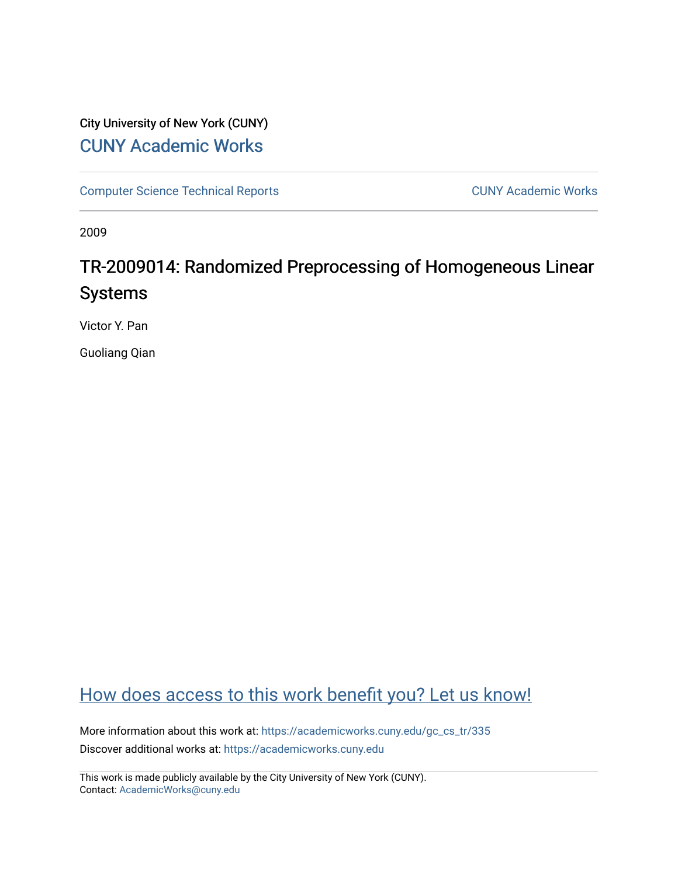# City University of New York (CUNY) [CUNY Academic Works](https://academicworks.cuny.edu/)

[Computer Science Technical Reports](https://academicworks.cuny.edu/gc_cs_tr) **CUNY Academic Works** CUNY Academic Works

2009

# TR-2009014: Randomized Preprocessing of Homogeneous Linear Systems

Victor Y. Pan

Guoliang Qian

# [How does access to this work benefit you? Let us know!](http://ols.cuny.edu/academicworks/?ref=https://academicworks.cuny.edu/gc_cs_tr/335)

More information about this work at: https://academicworks.cuny.edu/gc\_cs\_tr/335 Discover additional works at: [https://academicworks.cuny.edu](https://academicworks.cuny.edu/?)

This work is made publicly available by the City University of New York (CUNY). Contact: [AcademicWorks@cuny.edu](mailto:AcademicWorks@cuny.edu)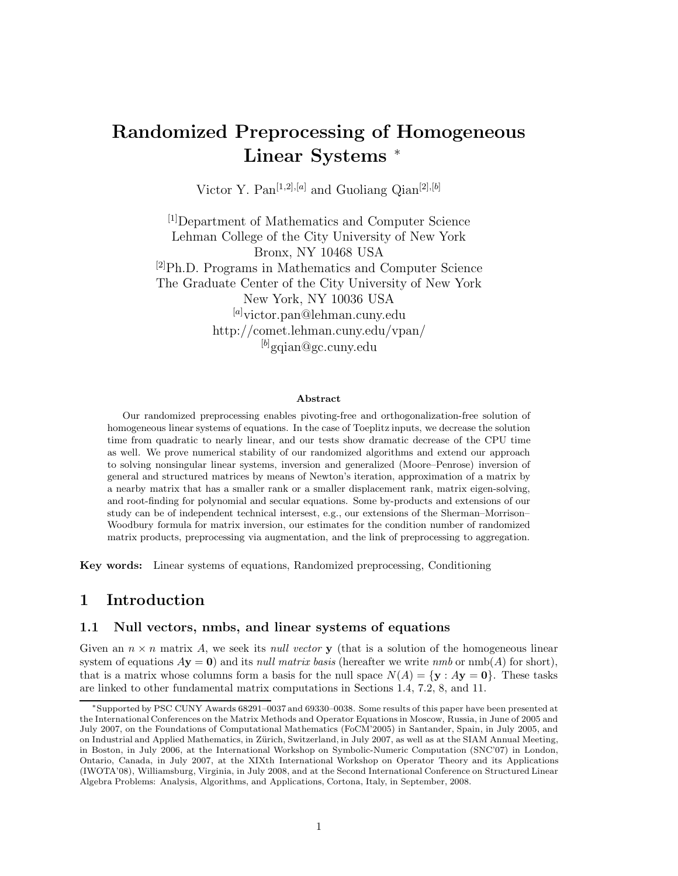# **Randomized Preprocessing of Homogeneous Linear Systems** <sup>∗</sup>

Victor Y. Pan[1*,*2]*,*[*a*] and Guoliang Qian[2]*,*[*b*]

[1]Department of Mathematics and Computer Science Lehman College of the City University of New York Bronx, NY 10468 USA  $^{[2]}Ph.D.$  Programs in Mathematics and Computer Science The Graduate Center of the City University of New York New York, NY 10036 USA [*a*] victor.pan@lehman.cuny.edu http://comet.lehman.cuny.edu/vpan/ [*b*] gqian@gc.cuny.edu

#### **Abstract**

Our randomized preprocessing enables pivoting-free and orthogonalization-free solution of homogeneous linear systems of equations. In the case of Toeplitz inputs, we decrease the solution time from quadratic to nearly linear, and our tests show dramatic decrease of the CPU time as well. We prove numerical stability of our randomized algorithms and extend our approach to solving nonsingular linear systems, inversion and generalized (Moore–Penrose) inversion of general and structured matrices by means of Newton's iteration, approximation of a matrix by a nearby matrix that has a smaller rank or a smaller displacement rank, matrix eigen-solving, and root-finding for polynomial and secular equations. Some by-products and extensions of our study can be of independent technical intersest, e.g., our extensions of the Sherman–Morrison– Woodbury formula for matrix inversion, our estimates for the condition number of randomized matrix products, preprocessing via augmentation, and the link of preprocessing to aggregation.

**Key words:** Linear systems of equations, Randomized preprocessing, Conditioning

## **1 Introduction**

#### **1.1 Null vectors, nmbs, and linear systems of equations**

Given an  $n \times n$  matrix A, we seek its *null vector* **y** (that is a solution of the homogeneous linear system of equations  $A$ **y** = **0**) and its *null matrix basis* (hereafter we write *nmb* or nmb(A) for short), that is a matrix whose columns form a basis for the null space  $N(A) = \{y : Ay = 0\}$ . These tasks are linked to other fundamental matrix computations in Sections 1.4, 7.2, 8, and 11.

<sup>∗</sup>Supported by PSC CUNY Awards 68291–0037 and 69330–0038. Some results of this paper have been presented at the International Conferences on the Matrix Methods and Operator Equations in Moscow, Russia, in June of 2005 and July 2007, on the Foundations of Computational Mathematics (FoCM'2005) in Santander, Spain, in July 2005, and on Industrial and Applied Mathematics, in Zürich, Switzerland, in July 2007, as well as at the SIAM Annual Meeting, in Boston, in July 2006, at the International Workshop on Symbolic-Numeric Computation (SNC'07) in London, Ontario, Canada, in July 2007, at the XIXth International Workshop on Operator Theory and its Applications (IWOTA'08), Williamsburg, Virginia, in July 2008, and at the Second International Conference on Structured Linear Algebra Problems: Analysis, Algorithms, and Applications, Cortona, Italy, in September, 2008.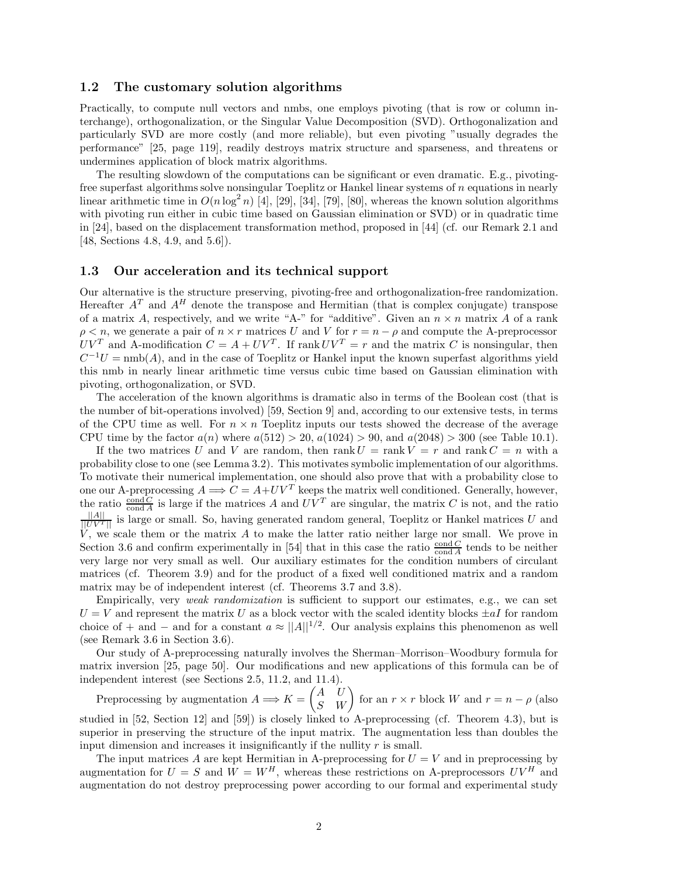#### **1.2 The customary solution algorithms**

Practically, to compute null vectors and nmbs, one employs pivoting (that is row or column interchange), orthogonalization, or the Singular Value Decomposition (SVD). Orthogonalization and particularly SVD are more costly (and more reliable), but even pivoting "usually degrades the performance" [25, page 119], readily destroys matrix structure and sparseness, and threatens or undermines application of block matrix algorithms.

The resulting slowdown of the computations can be significant or even dramatic. E.g., pivotingfree superfast algorithms solve nonsingular Toeplitz or Hankel linear systems of n equations in nearly linear arithmetic time in  $O(n \log^2 n)$  [4], [29], [34], [79], [80], whereas the known solution algorithms with pivoting run either in cubic time based on Gaussian elimination or SVD) or in quadratic time in [24], based on the displacement transformation method, proposed in [44] (cf. our Remark 2.1 and [48, Sections 4.8, 4.9, and 5.6]).

#### **1.3 Our acceleration and its technical support**

Our alternative is the structure preserving, pivoting-free and orthogonalization-free randomization. Hereafter  $A<sup>T</sup>$  and  $A<sup>H</sup>$  denote the transpose and Hermitian (that is complex conjugate) transpose of a matrix A, respectively, and we write "A-" for "additive". Given an  $n \times n$  matrix A of a rank  $\rho < n$ , we generate a pair of  $n \times r$  matrices U and V for  $r = n - \rho$  and compute the A-preprocessor  $UV^T$  and A-modification  $C = A + UV^T$ . If rank  $UV^T = r$  and the matrix C is nonsingular, then  $C^{-1}U = \text{nmb}(A)$ , and in the case of Toeplitz or Hankel input the known superfast algorithms yield this nmb in nearly linear arithmetic time versus cubic time based on Gaussian elimination with pivoting, orthogonalization, or SVD.

The acceleration of the known algorithms is dramatic also in terms of the Boolean cost (that is the number of bit-operations involved) [59, Section 9] and, according to our extensive tests, in terms of the CPU time as well. For  $n \times n$  Toeplitz inputs our tests showed the decrease of the average CPU time by the factor  $a(n)$  where  $a(512) > 20$ ,  $a(1024) > 90$ , and  $a(2048) > 300$  (see Table 10.1).

If the two matrices U and V are random, then  $rank U = rank V = r$  and  $rank C = n$  with a probability close to one (see Lemma 3.2). This motivates symbolic implementation of our algorithms. To motivate their numerical implementation, one should also prove that with a probability close to one our A-preprocessing  $A \Longrightarrow C = A + UV^T$  keeps the matrix well conditioned. Generally, however, the ratio  $\frac{\text{cond }C}{\text{cond }A}$  is large if the matrices A and  $UV^T$  are singular, the matrix C is not, and the ratio  $\frac{||A||}{||UV^T||}$  is large or small. So, having generated random general, Toeplitz or Hankel matrices U and  $V$ , we scale them or the matrix  $A$  to make the latter ratio neither large nor small. We prove in Section 3.6 and confirm experimentally in [54] that in this case the ratio  $\frac{\text{cond } C}{\text{cond } A}$  tends to be neither very large nor very small as well. Our auxiliary estimates for the condition numbers of circulant matrices (cf. Theorem 3.9) and for the product of a fixed well conditioned matrix and a random matrix may be of independent interest (cf. Theorems 3.7 and 3.8).

Empirically, very *weak randomization* is sufficient to support our estimates, e.g., we can set  $U = V$  and represent the matrix U as a block vector with the scaled identity blocks  $\pm aI$  for random choice of + and − and for a constant  $a \approx ||A||^{1/2}$ . Our analysis explains this phenomenon as well (see Remark 3.6 in Section 3.6).

Our study of A-preprocessing naturally involves the Sherman–Morrison–Woodbury formula for matrix inversion [25, page 50]. Our modifications and new applications of this formula can be of independent interest (see Sections 2.5, 11.2, and 11.4).

Preprocessing by augmentation  $A \Longrightarrow K = \begin{pmatrix} A & U \\ S & W \end{pmatrix}$  for an  $r \times r$  block W and  $r = n - \rho$  (also studied in [52, Section 12] and [59]) is closely linked to A-preprocessing (cf. Theorem 4.3), but is superior in preserving the structure of the input matrix. The augmentation less than doubles the input dimension and increases it insignificantly if the nullity  $r$  is small.

The input matrices A are kept Hermitian in A-preprocessing for  $U = V$  and in preprocessing by augmentation for  $U = S$  and  $W = W^H$ , whereas these restrictions on A-preprocessors  $UV^H$  and augmentation do not destroy preprocessing power according to our formal and experimental study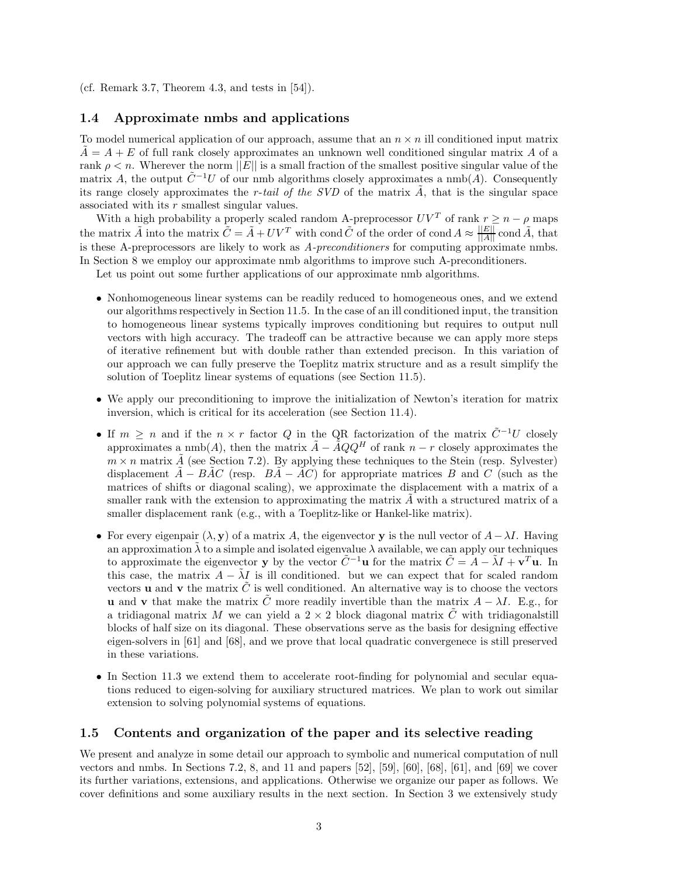(cf. Remark 3.7, Theorem 4.3, and tests in [54]).

#### **1.4 Approximate nmbs and applications**

To model numerical application of our approach, assume that an  $n \times n$  ill conditioned input matrix  $A = A + E$  of full rank closely approximates an unknown well conditioned singular matrix A of a rank  $\rho < n$ . Wherever the norm  $||E||$  is a small fraction of the smallest positive singular value of the matrix A, the output  $\tilde{C}^{-1}U$  of our nmb algorithms closely approximates a nmb(A). Consequently its range closely approximates the r-*tail of the SVD* of the matrix A˜, that is the singular space associated with its r smallest singular values.

With a high probability a properly scaled random A-preprocessor  $UV^T$  of rank  $r \geq n - \rho$  maps the matrix  $\tilde{A}$  into the matrix  $\tilde{C} = \tilde{A} + UV^T$  with cond  $\tilde{C}$  of the order of cond  $A \approx \frac{||E||}{||A||}$  cond  $\tilde{A}$ , that is these A-preprocessors are likely to work as *A-preconditioners* for computing approximate nmbs. In Section 8 we employ our approximate nmb algorithms to improve such A-preconditioners.

Let us point out some further applications of our approximate nmb algorithms.

- Nonhomogeneous linear systems can be readily reduced to homogeneous ones, and we extend our algorithms respectively in Section 11.5. In the case of an ill conditioned input, the transition to homogeneous linear systems typically improves conditioning but requires to output null vectors with high accuracy. The tradeoff can be attractive because we can apply more steps of iterative refinement but with double rather than extended precison. In this variation of our approach we can fully preserve the Toeplitz matrix structure and as a result simplify the solution of Toeplitz linear systems of equations (see Section 11.5).
- We apply our preconditioning to improve the initialization of Newton's iteration for matrix inversion, which is critical for its acceleration (see Section 11.4).
- If  $m > n$  and if the  $n \times r$  factor Q in the QR factorization of the matrix  $\tilde{C}^{-1}U$  closely approximates a nmb(A), then the matrix  $\tilde{A} - \tilde{A}QQ^H$  of rank  $n - r$  closely approximates the  $m \times n$  matrix  $\tilde{A}$  (see Section 7.2). By applying these techniques to the Stein (resp. Sylvester) displacement  $\ddot{A} - B\dot{A}C$  (resp.  $B\ddot{A} - \dot{A}C$ ) for appropriate matrices B and C (such as the matrices of shifts or diagonal scaling), we approximate the displacement with a matrix of a smaller rank with the extension to approximating the matrix  $\vec{A}$  with a structured matrix of a smaller displacement rank (e.g., with a Toeplitz-like or Hankel-like matrix).
- For every eigenpair  $(\lambda, y)$  of a matrix A, the eigenvector y is the null vector of  $A \lambda I$ . Having an approximation  $\lambda$  to a simple and isolated eigenvalue  $\lambda$  available, we can apply our techniques to approximate the eigenvector **y** by the vector  $\tilde{C}^{-1}$ **u** for the matrix  $\tilde{C} = A - \tilde{\lambda}I + \mathbf{v}^T\mathbf{u}$ . In this case, the matrix  $A - \tilde{\lambda}I$  is ill conditioned. but we can expect that for scaled random vectors **u** and **v** the matrix  $\tilde{C}$  is well conditioned. An alternative way is to choose the vectors **u** and **v** that make the matrix  $\hat{C}$  more readily invertible than the matrix  $A - \lambda I$ . E.g., for a tridiagonal matrix M we can yield a  $2 \times 2$  block diagonal matrix C with tridiagonalstill blocks of half size on its diagonal. These observations serve as the basis for designing effective eigen-solvers in [61] and [68], and we prove that local quadratic convergenece is still preserved in these variations.
- In Section 11.3 we extend them to accelerate root-finding for polynomial and secular equations reduced to eigen-solving for auxiliary structured matrices. We plan to work out similar extension to solving polynomial systems of equations.

#### **1.5 Contents and organization of the paper and its selective reading**

We present and analyze in some detail our approach to symbolic and numerical computation of null vectors and nmbs. In Sections 7.2, 8, and 11 and papers [52], [59], [60], [68], [61], and [69] we cover its further variations, extensions, and applications. Otherwise we organize our paper as follows. We cover definitions and some auxiliary results in the next section. In Section 3 we extensively study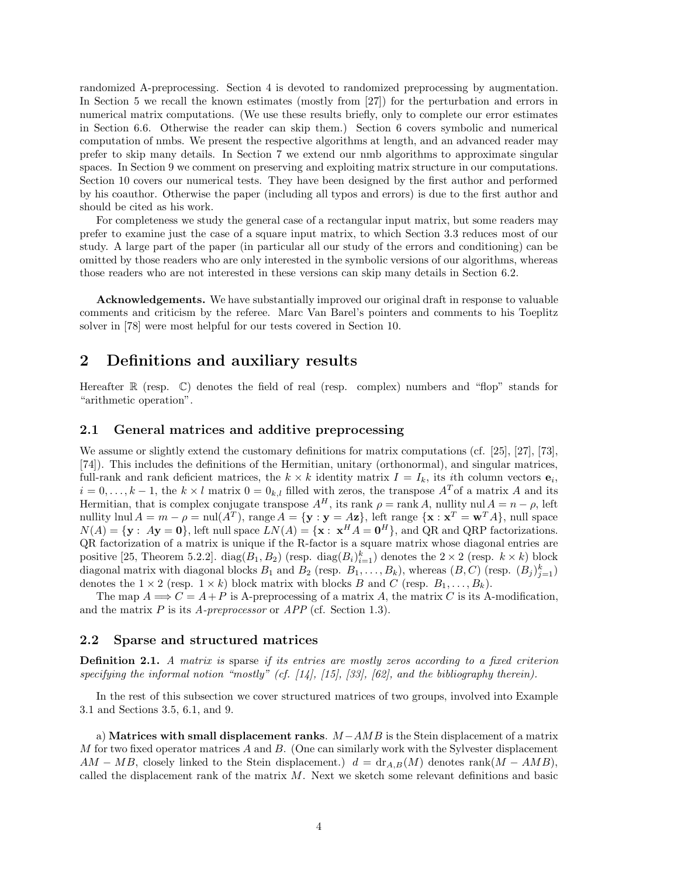randomized A-preprocessing. Section 4 is devoted to randomized preprocessing by augmentation. In Section 5 we recall the known estimates (mostly from [27]) for the perturbation and errors in numerical matrix computations. (We use these results briefly, only to complete our error estimates in Section 6.6. Otherwise the reader can skip them.) Section 6 covers symbolic and numerical computation of nmbs. We present the respective algorithms at length, and an advanced reader may prefer to skip many details. In Section 7 we extend our nmb algorithms to approximate singular spaces. In Section 9 we comment on preserving and exploiting matrix structure in our computations. Section 10 covers our numerical tests. They have been designed by the first author and performed by his coauthor. Otherwise the paper (including all typos and errors) is due to the first author and should be cited as his work.

For completeness we study the general case of a rectangular input matrix, but some readers may prefer to examine just the case of a square input matrix, to which Section 3.3 reduces most of our study. A large part of the paper (in particular all our study of the errors and conditioning) can be omitted by those readers who are only interested in the symbolic versions of our algorithms, whereas those readers who are not interested in these versions can skip many details in Section 6.2.

**Acknowledgements.** We have substantially improved our original draft in response to valuable comments and criticism by the referee. Marc Van Barel's pointers and comments to his Toeplitz solver in [78] were most helpful for our tests covered in Section 10.

## **2 Definitions and auxiliary results**

Hereafter  $\mathbb R$  (resp.  $\mathbb C$ ) denotes the field of real (resp. complex) numbers and "flop" stands for "arithmetic operation".

#### **2.1 General matrices and additive preprocessing**

We assume or slightly extend the customary definitions for matrix computations (cf. [25], [27], [73], [74]). This includes the definitions of the Hermitian, unitary (orthonormal), and singular matrices, full-rank and rank deficient matrices, the  $k \times k$  identity matrix  $I = I_k$ , its *i*th column vectors  $e_i$ ,  $i = 0, \ldots, k-1$ , the  $k \times l$  matrix  $0 = 0_{k,l}$  filled with zeros, the transpose  $A<sup>T</sup>$  of a matrix A and its Hermitian, that is complex conjugate transpose  $A^H$ , its rank  $\rho = \text{rank } A$ , nullity nul  $A = n - \rho$ , left nullity lnul  $A = m - \rho = \text{null}(A^T)$ , range  $A = \{y : y = A\mathbf{z}\}$ , left range  $\{\mathbf{x} : \mathbf{x}^T = \mathbf{w}^T A\}$ , null space  $N(A) = {\bf y : Ay = 0}$ , left null space  $LN(A) = {\bf x : x^H A = 0^H}$ , and QR and QRP factorizations. QR factorization of a matrix is unique if the R-factor is a square matrix whose diagonal entries are positive [25, Theorem 5.2.2].  $diag(B_1, B_2)$  (resp.  $diag(B_i)_{i=1}^k$ ) denotes the  $2 \times 2$  (resp.  $k \times k$ ) block diagonal matrix with diagonal blocks  $B_1$  and  $B_2$  (resp.  $B_1, \ldots, B_k$ ), whereas  $(B, C)$  (resp.  $(B_j)_{j=1}^k$ ) denotes the  $1 \times 2$  (resp.  $1 \times k$ ) block matrix with blocks B and C (resp.  $B_1, \ldots, B_k$ ).

The map  $A \Longrightarrow C = A + P$  is A-preprocessing of a matrix A, the matrix C is its A-modification, and the matrix P is its *A-preprocessor* or *APP* (cf. Section 1.3).

#### **2.2 Sparse and structured matrices**

**Definition 2.1.** *A matrix is* sparse *if its entries are mostly zeros according to a fixed criterion specifying the informal notion "mostly" (cf. [14], [15], [33], [62], and the bibliography therein).*

In the rest of this subsection we cover structured matrices of two groups, involved into Example 3.1 and Sections 3.5, 6.1, and 9.

a) **Matrices with small displacement ranks**. M−AMB is the Stein displacement of a matrix M for two fixed operator matrices  $A$  and  $B$ . (One can similarly work with the Sylvester displacement  $AM - MB$ , closely linked to the Stein displacement.)  $d = \text{dr}_{A,B}(M)$  denotes rank $(M - AMB)$ , called the displacement rank of the matrix M. Next we sketch some relevant definitions and basic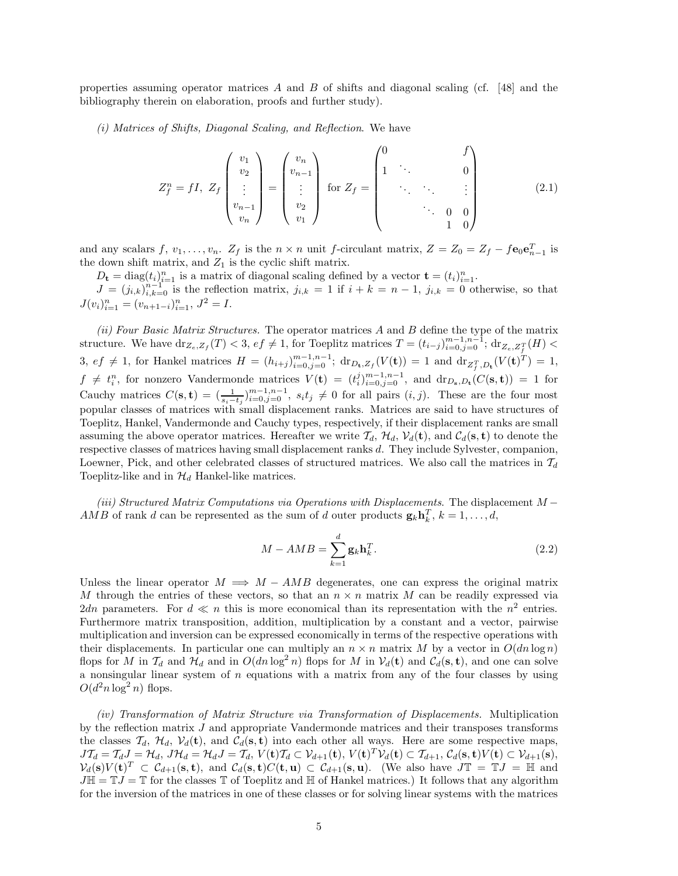properties assuming operator matrices A and B of shifts and diagonal scaling (cf. [48] and the bibliography therein on elaboration, proofs and further study).

*(i) Matrices of Shifts, Diagonal Scaling, and Reflection*. We have

$$
Z_{f}^{n} = fI, Z_{f} \begin{pmatrix} v_{1} \\ v_{2} \\ \vdots \\ v_{n-1} \\ v_{n} \end{pmatrix} = \begin{pmatrix} v_{n} \\ v_{n-1} \\ \vdots \\ v_{2} \\ v_{1} \end{pmatrix} \text{ for } Z_{f} = \begin{pmatrix} 0 & f \\ 1 & \cdot & \cdot & 0 \\ & \cdot & \cdot & \cdot & \vdots \\ & \cdot & \cdot & \cdot & \vdots \\ & \cdot & \cdot & 0 & 0 \\ & & 1 & 0 \end{pmatrix}
$$
(2.1)

and any scalars  $f, v_1, \ldots, v_n$ .  $Z_f$  is the  $n \times n$  unit f-circulant matrix,  $Z = Z_0 = Z_f - f \mathbf{e}_0 \mathbf{e}_{n-1}^T$  is the down shift matrix, and  $Z_1$  is the cyclic shift matrix.

 $D_{\mathbf{t}} = \text{diag}(t_i)_{i=1}^n$  is a matrix of diagonal scaling defined by a vector  $\mathbf{t} = (t_i)_{i=1}^n$ .  $J = (j_{i,k})_{i,k=0}^{n-1}$  is the reflection matrix,  $j_{i,k} = 1$  if  $i + k = n - 1$ ,  $j_{i,k} = 0$  otherwise, so that  $J(v_i)_{i=1}^n = (v_{n+1-i})_{i=1}^n, J^2 = I.$ 

*(ii) Four Basic Matrix Structures.* The operator matrices A and B define the type of the matrix structure. We have  $\text{dr}_{Z_e, Z_f}(T) < 3$ ,  $ef \neq 1$ , for Toeplitz matrices  $T = (t_{i-j})_{i=0, j=0}^{m-1, n-1}$ ;  $\text{dr}_{Z_e, Z_f^T}(H) <$ 3, ef  $\neq$  1, for Hankel matrices  $H = (h_{i+j})_{i=0,j=0}^{m-1,n-1}$ ; dr<sub>Dt</sub>,z<sub>f</sub>( $V$ (**t**)) = 1 and dr<sub>Z<sup>*T*</sup>,D<sub>t</sub></sub>( $V$ (**t**)<sup>*T*</sup>) = 1,  $f \neq t_i^n$ , for nonzero Vandermonde matrices  $V(\mathbf{t}) = (t_i^j)_{i=0,j=0}^{m-1,n-1}$ , and  $dr_{D_{\mathbf{s}},D_{\mathbf{t}}}(C(\mathbf{s},\mathbf{t})) = 1$  for Cauchy matrices  $C(\mathbf{s}, \mathbf{t}) = (\frac{1}{s_i-t_j})_{i=0, j=0}^{m-1,n-1}$ ,  $s_it_j \neq 0$  for all pairs  $(i, j)$ . These are the four most popular classes of matrices with small displacement ranks. Matrices are said to have structures of Toeplitz, Hankel, Vandermonde and Cauchy types, respectively, if their displacement ranks are small assuming the above operator matrices. Hereafter we write  $T_d$ ,  $\mathcal{H}_d$ ,  $\mathcal{V}_d(\mathbf{t})$ , and  $\mathcal{C}_d(\mathbf{s}, \mathbf{t})$  to denote the respective classes of matrices having small displacement ranks d. They include Sylvester, companion, Loewner, Pick, and other celebrated classes of structured matrices. We also call the matrices in  $\mathcal{T}_d$ Toeplitz-like and in  $\mathcal{H}_d$  Hankel-like matrices.

*(iii) Structured Matrix Computations via Operations with Displacements*. The displacement M − AMB of rank d can be represented as the sum of d outer products  $\mathbf{g}_k \mathbf{h}_k^T$ ,  $k = 1, \ldots, d$ ,

$$
M - AMB = \sum_{k=1}^{d} \mathbf{g}_k \mathbf{h}_k^T.
$$
 (2.2)

Unless the linear operator  $M \implies M - AMB$  degenerates, one can express the original matrix M through the entries of these vectors, so that an  $n \times n$  matrix M can be readily expressed via 2dn parameters. For  $d \ll n$  this is more economical than its representation with the  $n^2$  entries. Furthermore matrix transposition, addition, multiplication by a constant and a vector, pairwise multiplication and inversion can be expressed economically in terms of the respective operations with their displacements. In particular one can multiply an  $n \times n$  matrix M by a vector in  $O(dn \log n)$ flops for M in  $\mathcal{T}_d$  and  $\mathcal{H}_d$  and in  $O(dn \log^2 n)$  flops for M in  $\mathcal{V}_d(\mathbf{t})$  and  $\mathcal{C}_d(\mathbf{s}, \mathbf{t})$ , and one can solve a nonsingular linear system of  $n$  equations with a matrix from any of the four classes by using  $O(d^2n \log^2 n)$  flops.

*(iv) Transformation of Matrix Structure via Transformation of Displacements.* Multiplication by the reflection matrix J and appropriate Vandermonde matrices and their transposes transforms the classes  $\mathcal{T}_d$ ,  $\mathcal{H}_d$ ,  $\mathcal{V}_d(\mathbf{t})$ , and  $\mathcal{C}_d(\mathbf{s}, \mathbf{t})$  into each other all ways. Here are some respective maps,  $J\mathcal{T}_d = \mathcal{T}_d J = \mathcal{H}_d$ ,  $J\mathcal{H}_d = \mathcal{H}_d J = \mathcal{T}_d$ ,  $V(\mathbf{t})\mathcal{T}_d \subset \mathcal{V}_{d+1}(\mathbf{t}), V(\mathbf{t})^T \mathcal{V}_d(\mathbf{t}) \subset \mathcal{T}_{d+1}, \mathcal{C}_d(\mathbf{s}, \mathbf{t}) V(\mathbf{t}) \subset \mathcal{V}_{d+1}(\mathbf{s}),$  $V_d(\mathbf{s})V(\mathbf{t})^T \subset C_{d+1}(\mathbf{s}, \mathbf{t}),$  and  $C_d(\mathbf{s}, \mathbf{t})C(\mathbf{t}, \mathbf{u}) \subset C_{d+1}(\mathbf{s}, \mathbf{u}).$  (We also have  $J\mathbb{T} = \mathbb{T}J = \mathbb{H}$  and  $J\mathbb{H} = \mathbb{T}J = \mathbb{T}$  for the classes  $\mathbb{T}$  of Toeplitz and  $\mathbb{H}$  of Hankel matrices.) It follows that any algorithm for the inversion of the matrices in one of these classes or for solving linear systems with the matrices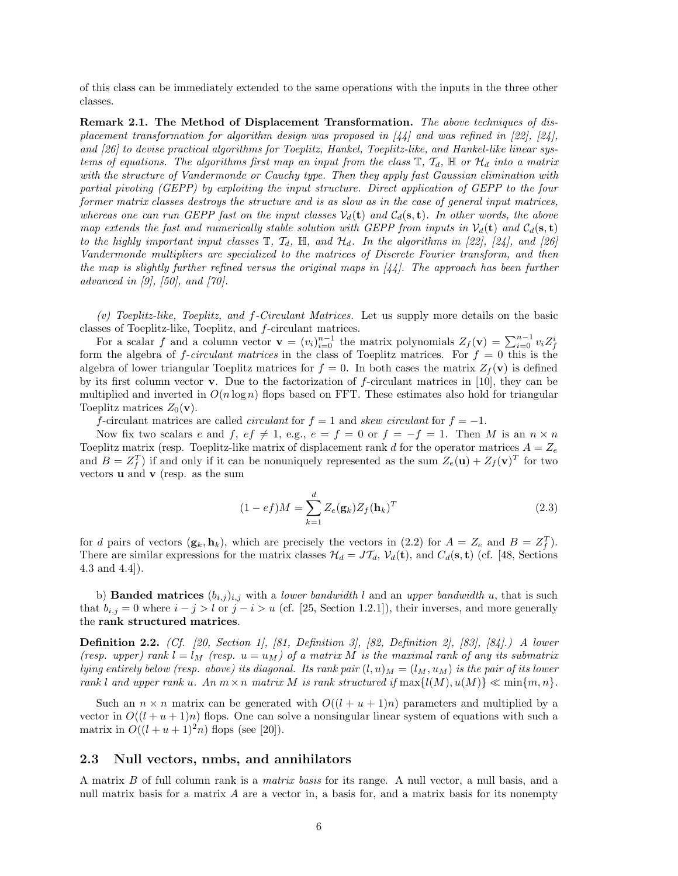of this class can be immediately extended to the same operations with the inputs in the three other classes.

**Remark 2.1. The Method of Displacement Transformation.** *The above techniques of displacement transformation for algorithm design was proposed in [44] and was refined in [22], [24], and [26] to devise practical algorithms for Toeplitz, Hankel, Toeplitz-like, and Hankel-like linear systems of equations. The algorithms first map an input from the class*  $\mathbb{T}, \mathcal{T}_d$ ,  $\mathbb{H}$  *or*  $\mathcal{H}_d$  *into a matrix with the structure of Vandermonde or Cauchy type. Then they apply fast Gaussian elimination with partial pivoting (GEPP) by exploiting the input structure. Direct application of GEPP to the four former matrix classes destroys the structure and is as slow as in the case of general input matrices, whereas one can run GEPP fast on the input classes*  $V_d(\mathbf{t})$  *and*  $C_d(\mathbf{s}, \mathbf{t})$ *. In other words, the above map extends the fast and numerically stable solution with GEPP from inputs in*  $V_d(\mathbf{t})$  *and*  $C_d(\mathbf{s}, \mathbf{t})$ *to the highly important input classes*  $\mathbb{T}$ *,*  $\mathbb{T}_d$ *,*  $\mathbb{H}$ *, and*  $\mathcal{H}_d$ *. In the algorithms in* [22], [24], and [26] *Vandermonde multipliers are specialized to the matrices of Discrete Fourier transform, and then the map is slightly further refined versus the original maps in [44]. The approach has been further advanced in [9], [50], and [70].*

*(v) Toeplitz-like, Toeplitz, and* f*-Circulant Matrices.* Let us supply more details on the basic classes of Toeplitz-like, Toeplitz, and f-circulant matrices.

For a scalar f and a column vector  $\mathbf{v} = (v_i)_{i=0}^{n-1}$  the matrix polynomials  $Z_f(\mathbf{v}) = \sum_{i=0}^{n-1} v_i Z_f^i$ form the algebra of  $f$ -*circulant matrices* in the class of Toeplitz matrices. For  $f = 0$  this is the algebra of lower triangular Toeplitz matrices for  $f = 0$ . In both cases the matrix  $Z_f(\mathbf{v})$  is defined by its first column vector **v**. Due to the factorization of f-circulant matrices in [10], they can be multiplied and inverted in  $O(n \log n)$  flops based on FFT. These estimates also hold for triangular Toeplitz matrices  $Z_0(\mathbf{v})$ .

f-circulant matrices are called *circulant* for  $f = 1$  and *skew circulant* for  $f = -1$ .

Now fix two scalars e and f, ef  $\neq 1$ , e.g.,  $e = f = 0$  or  $f = -f = 1$ . Then M is an  $n \times n$ Toeplitz matrix (resp. Toeplitz-like matrix of displacement rank d for the operator matrices  $A = Z_e$ and  $B = Z_f^T$  if and only if it can be nonuniquely represented as the sum  $Z_e(\mathbf{u}) + Z_f(\mathbf{v})^T$  for two vectors **u** and **v** (resp. as the sum

$$
(1 - e f)M = \sum_{k=1}^{d} Z_e(\mathbf{g}_k) Z_f(\mathbf{h}_k)^T
$$
\n(2.3)

for d pairs of vectors  $(\mathbf{g}_k, \mathbf{h}_k)$ , which are precisely the vectors in (2.2) for  $A = Z_e$  and  $B = Z_f^T$ . There are similar expressions for the matrix classes  $\mathcal{H}_d = J\mathcal{I}_d$ ,  $\mathcal{V}_d(\mathbf{t})$ , and  $C_d(\mathbf{s}, \mathbf{t})$  (cf. [48, Sections 4.3 and 4.4]).

b) **Banded matrices**  $(b_{i,j})_{i,j}$  with a *lower bandwidth* l and an *upper bandwidth* u, that is such that  $b_{i,j} = 0$  where  $i - j > l$  or  $j - i > u$  (cf. [25, Section 1.2.1]), their inverses, and more generally the **rank structured matrices**.

**Definition 2.2.** *(Cf. [20, Section 1], [81, Definition 3], [82, Definition 2], [83], [84].) A lower (resp. upper) rank*  $l = l_M$  *(resp.*  $u = u_M$ *) of a matrix* M *is the maximal rank of any its submatrix lying entirely below (resp. above) its diagonal. Its rank pair*  $(l, u)_M = (l_M, u_M)$  *is the pair of its lower rank* l and upper rank u. An  $m \times n$  *matrix* M is rank structured if  $\max\{l(M), u(M)\} \ll \min\{m, n\}$ .

Such an  $n \times n$  matrix can be generated with  $O((l + u + 1)n)$  parameters and multiplied by a vector in  $O((l + u + 1)n)$  flops. One can solve a nonsingular linear system of equations with such a matrix in  $O((l+u+1)^2n)$  flops (see [20]).

#### **2.3 Null vectors, nmbs, and annihilators**

A matrix B of full column rank is a *matrix basis* for its range. A null vector, a null basis, and a null matrix basis for a matrix  $A$  are a vector in, a basis for, and a matrix basis for its nonempty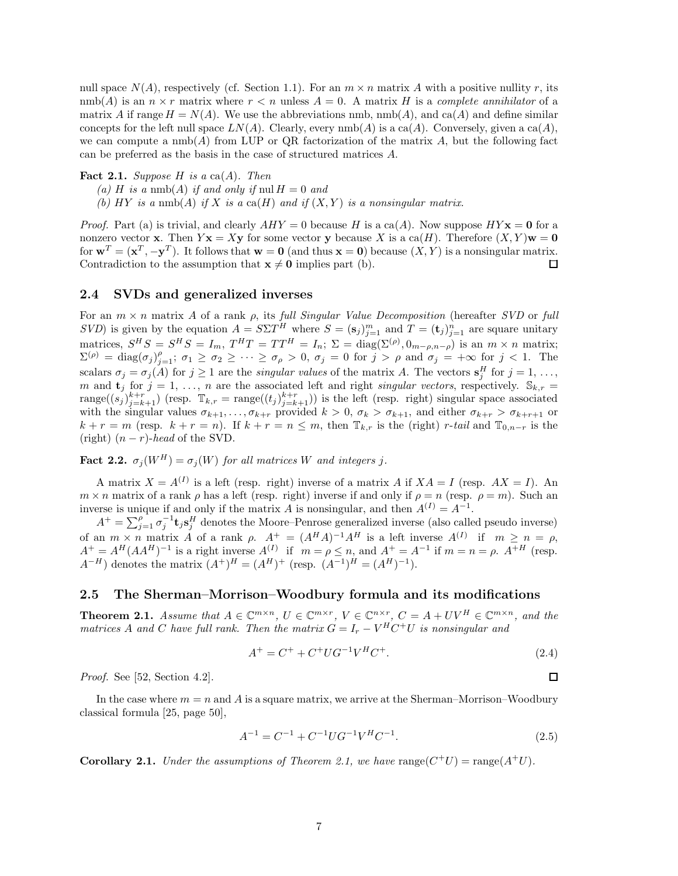null space  $N(A)$ , respectively (cf. Section 1.1). For an  $m \times n$  matrix A with a positive nullity r, its  $\text{nmb}(A)$  is an  $n \times r$  matrix where  $r < n$  unless  $A = 0$ . A matrix H is a *complete annihilator* of a matrix A if range  $H = N(A)$ . We use the abbreviations nmb, nmb(A), and ca(A) and define similar concepts for the left null space  $LN(A)$ . Clearly, every  $\text{nmb}(A)$  is a ca(A). Conversely, given a ca(A), we can compute a  $\text{nmb}(A)$  from LUP or QR factorization of the matrix A, but the following fact can be preferred as the basis in the case of structured matrices A.

#### **Fact 2.1.** *Suppose*  $H$  *is a* ca $(A)$ *. Then*

- (a) H is a nmb(A) if and only if nul  $H = 0$  and
- *(b)*  $HY$  *is a* nmb(A) *if* X *is a* ca(H) *and if*  $(X, Y)$  *is a nonsingular matrix.*

*Proof.* Part (a) is trivial, and clearly  $AHY = 0$  because H is a ca(A). Now suppose  $HY$  **x** = **0** for a nonzero vector **x**. Then  $Y$ **x** = X**y** for some vector **y** because X is a ca(H). Therefore  $(X, Y)$ **w** = **0** for  $\mathbf{w}^T = (\mathbf{x}^T, -\mathbf{y}^T)$ . It follows that  $\mathbf{w} = \mathbf{0}$  (and thus  $\mathbf{x} = \mathbf{0}$ ) because  $(X, Y)$  is a nonsingular matrix. Contradiction to the assumption that  $\mathbf{x} \neq \mathbf{0}$  implies part (b). 口

#### **2.4 SVDs and generalized inverses**

For an m × n matrix A of a rank ρ, its *full Singular Value Decomposition* (hereafter *SVD* or *full SVD*) is given by the equation  $A = S\Sigma T^H$  where  $S = (\mathbf{s}_j)_{j=1}^m$  and  $T = (\mathbf{t}_j)_{j=1}^n$  are square unitary matrices,  $S^H S = S^H S = I_m$ ,  $T^H T = TT^H = I_n$ ;  $\Sigma = \text{diag}(\Sigma^{(\rho)}, 0_{m-\rho,n-\rho})$  is an  $m \times n$  matrix;  $\Sigma^{(\rho)} = \text{diag}(\sigma_j)_{j=1}^{\rho}; \ \sigma_1 \geq \sigma_2 \geq \cdots \geq \sigma_\rho > 0, \ \sigma_j = 0 \text{ for } j > \rho \text{ and } \sigma_j = +\infty \text{ for } j < 1.$  The scalars  $\sigma_j = \sigma_j(A)$  for  $j \ge 1$  are the *singular values* of the matrix A. The vectors  $\mathbf{s}_j^H$  for  $j = 1, \ldots,$ m and **t**<sub>j</sub> for  $j = 1, \ldots, n$  are the associated left and right *singular vectors*, respectively.  $\mathbb{S}_{k,r}$  $\text{range}((s_i)_{i=k+1}^{k+r})$  (resp.  $\mathbb{T}_{k,r} = \text{range}((t_i)_{i=k+1}^{k+r})$ ) is the left (resp. right) singular space associated with the singular values  $\sigma_{k+1},\ldots,\sigma_{k+r}$  provided  $k > 0$ ,  $\sigma_k > \sigma_{k+1}$ , and either  $\sigma_{k+r} > \sigma_{k+r+1}$  or  $k + r = m$  (resp.  $k + r = n$ ). If  $k + r = n \leq m$ , then  $\mathbb{T}_{k,r}$  is the (right) r-tail and  $\mathbb{T}_{0,n-r}$  is the (right)  $(n - r)$ -*head* of the SVD.

**Fact 2.2.**  $\sigma_i(W^H) = \sigma_i(W)$  *for all matrices* W *and integers j.* 

A matrix  $X = A^{(I)}$  is a left (resp. right) inverse of a matrix A if  $XA = I$  (resp.  $AX = I$ ). An  $m \times n$  matrix of a rank  $\rho$  has a left (resp. right) inverse if and only if  $\rho = n$  (resp.  $\rho = m$ ). Such an inverse is unique if and only if the matrix A is nonsingular, and then  $A^{(I)} = A^{-1}$ .

 $A^+ = \sum_{j=1}^{\rho} \sigma_j^{-1}$ **t**<sub>j</sub>**s**<sup>H</sup></sup> denotes the Moore–Penrose generalized inverse (also called pseudo inverse) of an  $m \times n$  matrix A of a rank  $\rho$ .  $A^+ = (A^H A)^{-1} A^H$  is a left inverse  $A^{(I)}$  if  $m \geq n = \rho$ ,  $A^+ = A^H (AA^H)^{-1}$  is a right inverse  $A^{(I)}$  if  $m = \rho \leq n$ , and  $A^+ = A^{-1}$  if  $m = n = \rho$ .  $A^{+H}$  (resp.  $A^{-H}$ ) denotes the matrix  $(A^+)^H = (A^H)^+$  (resp.  $(A^{-1})^H = (A^H)^{-1}$ ).

#### **2.5 The Sherman–Morrison–Woodbury formula and its modifications**

**Theorem 2.1.** *Assume that*  $A \in \mathbb{C}^{m \times n}$ ,  $U \in \mathbb{C}^{m \times r}$ ,  $V \in \mathbb{C}^{n \times r}$ ,  $C = A + UV^H \in \mathbb{C}^{m \times n}$ , and the *matrices* A and C have full rank. Then the matrix  $G = I_r - V^H C^+ U$  is nonsingular and

$$
A^{+} = C^{+} + C^{+} U G^{-1} V^{H} C^{+}.
$$
\n(2.4)

口

*Proof.* See [52, Section 4.2].

In the case where  $m = n$  and A is a square matrix, we arrive at the Sherman–Morrison–Woodbury classical formula [25, page 50],

$$
A^{-1} = C^{-1} + C^{-1} U G^{-1} V^H C^{-1}.
$$
\n(2.5)

**Corollary 2.1.** *Under the assumptions of Theorem 2.1, we have*  $range(C^+U) = range(A^+U)$ *.*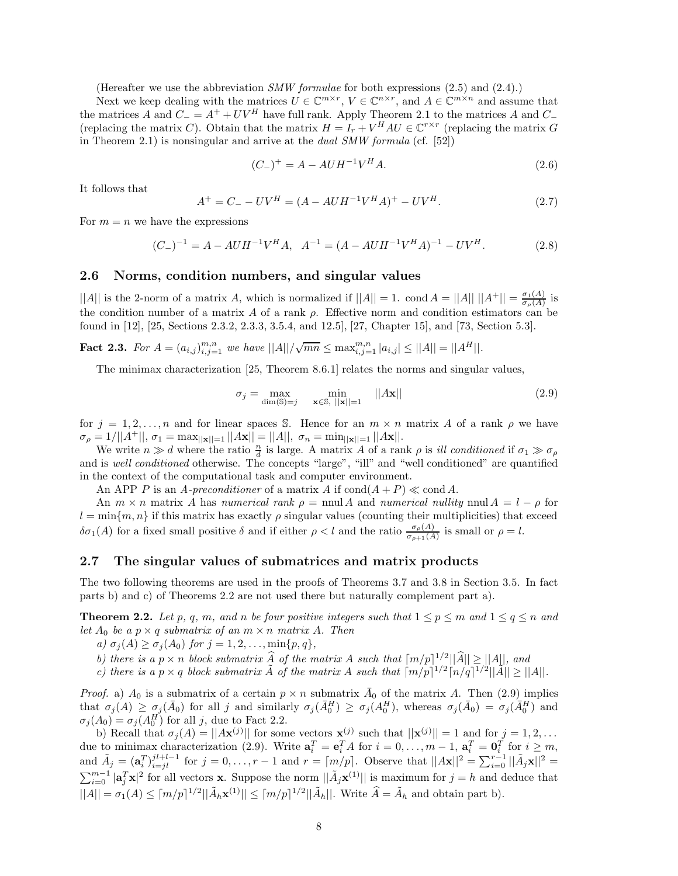(Hereafter we use the abbreviation *SMW formulae* for both expressions (2.5) and (2.4).)

Next we keep dealing with the matrices  $U \in \mathbb{C}^{m \times r}$ ,  $V \in \mathbb{C}^{n \times r}$ , and  $A \in \mathbb{C}^{m \times n}$  and assume that the matrices A and  $C_ = A^+ + UV^H$  have full rank. Apply Theorem 2.1 to the matrices A and  $C_-$ (replacing the matrix C). Obtain that the matrix  $H = I_r + V^H A U \in \mathbb{C}^{r \times r}$  (replacing the matrix G in Theorem 2.1) is nonsingular and arrive at the *dual SMW formula* (cf. [52])

$$
(C_{-})^{+} = A - A U H^{-1} V^{H} A.
$$
\n(2.6)

It follows that

$$
A^{+} = C_{-} - UV^{H} = (A - A U H^{-1} V^{H} A)^{+} - UV^{H}.
$$
\n(2.7)

For  $m = n$  we have the expressions

$$
(C_{-})^{-1} = A - A U H^{-1} V^{H} A, \quad A^{-1} = (A - A U H^{-1} V^{H} A)^{-1} - U V^{H}. \tag{2.8}
$$

#### **2.6 Norms, condition numbers, and singular values**

 $||A||$  is the 2-norm of a matrix A, which is normalized if  $||A|| = 1$ . cond  $A = ||A|| ||A^+|| = \frac{\sigma_1(A)}{\sigma_\rho(A)}$  is the condition number of a matrix A of a rank  $\rho$ . Effective norm and condition estimators can be found in [12], [25, Sections 2.3.2, 2.3.3, 3.5.4, and 12.5], [27, Chapter 15], and [73, Section 5.3].

**Fact 2.3.** For  $A = (a_{i,j})_{i,j=1}^{m,n}$  we have  $||A||/\sqrt{mn} \leq \max_{i,j=1}^{m,n} |a_{i,j}| \leq ||A|| = ||A^H||$ .

The minimax characterization [25, Theorem 8.6.1] relates the norms and singular values,

$$
\sigma_j = \max_{\dim(\mathbb{S}) = j} \min_{\mathbf{x} \in \mathbb{S}, \ ||\mathbf{x}|| = 1} \quad ||A\mathbf{x}|| \tag{2.9}
$$

for  $j = 1, 2, ..., n$  and for linear spaces S. Hence for an  $m \times n$  matrix A of a rank  $\rho$  we have  $\sigma_\rho = 1/||A^+||, \, \sigma_1 = \max_{||\mathbf{x}||=1} ||A\mathbf{x}|| = ||A||, \, \, \sigma_n = \min_{||\mathbf{x}||=1} ||A\mathbf{x}||.$ 

We write  $n \gg d$  where the ratio  $\frac{n}{d}$  is large. A matrix A of a rank  $\rho$  is *ill conditioned* if  $\sigma_1 \gg \sigma_\rho$ and is *well conditioned* otherwise. The concepts "large", "ill" and "well conditioned" are quantified in the context of the computational task and computer environment.

An APP P is an *A-preconditioner* of a matrix A if  $\text{cond}(A + P) \ll \text{cond} A$ .

An  $m \times n$  matrix A has *numerical rank*  $\rho = \text{nnul } A$  and *numerical nullity*  $\text{nnul } A = l - \rho$  for  $l = \min\{m, n\}$  if this matrix has exactly  $\rho$  singular values (counting their multiplicities) that exceed  $\delta\sigma_1(A)$  for a fixed small positive  $\delta$  and if either  $\rho < l$  and the ratio  $\frac{\sigma_\rho(A)}{\sigma_{\rho+1}(A)}$  is small or  $\rho = l$ .

#### **2.7 The singular values of submatrices and matrix products**

The two following theorems are used in the proofs of Theorems 3.7 and 3.8 in Section 3.5. In fact parts b) and c) of Theorems 2.2 are not used there but naturally complement part a).

**Theorem 2.2.** *Let* p, q, m, and n be four positive integers such that  $1 \leq p \leq m$  and  $1 \leq q \leq n$  and *let*  $A_0$  *be a*  $p \times q$  *submatrix of an*  $m \times n$  *matrix* A. Then

*a)*  $\sigma_j(A) \geq \sigma_j(A_0)$  *for*  $j = 1, 2, ..., \min\{p, q\},$ 

b) there is a  $p \times n$  block submatrix  $\widehat{A}$  of the matrix  $A$  such that  $\lceil m/p \rceil^{1/2} ||\widehat{A}|| \ge ||A||$ , and c) there is a  $p \times q$  block submatrix  $\widehat{A}$  of the matrix  $A$  such that  $\lceil m/p \rceil^{1/2} \lceil n/q \rceil^{1/2} ||\widehat{A}|| \ge ||A$ 

*Proof.* a)  $A_0$  is a submatrix of a certain  $p \times n$  submatrix  $\overline{A}_0$  of the matrix A. Then (2.9) implies that  $\sigma_j(A) \geq \sigma_j(\bar{A}_0)$  for all j and similarly  $\sigma_j(\bar{A}_0^H) \geq \sigma_j(A_0^H)$ , whereas  $\sigma_j(\bar{A}_0) = \sigma_j(\bar{A}_0^H)$  and  $\sigma_j(A_0) = \sigma_j(A_0^H)$  for all j, due to Fact 2.2.

b) Recall that  $\sigma_j(A) = ||A\mathbf{x}^{(j)}||$  for some vectors  $\mathbf{x}^{(j)}$  such that  $||\mathbf{x}^{(j)}|| = 1$  and for  $j = 1, 2, ...$ due to minimax characterization (2.9). Write  $\mathbf{a}_i^T = \mathbf{e}_i^T A$  for  $i = 0, \ldots, m-1$ ,  $\mathbf{a}_i^T = \mathbf{0}_i^T$  for  $i \geq m$ , and  $\tilde{A}_j = (\mathbf{a}_i^T)_{i=jl}^{j_l+l-1}$  for  $j = 0, \ldots, r-1$  and  $r = \lceil m/p \rceil$ . Observe that  $||A\mathbf{x}||^2 = \sum_{i=0}^{r-1} ||\tilde{A}_j\mathbf{x}||^2 =$  $\sum_{i=0}^{m-1} |\mathbf{a}_j^T \mathbf{x}|^2$  for all vectors **x**. Suppose the norm  $||\tilde{A}_j \mathbf{x}^{(1)}||$  is maximum for  $j = h$  and deduce that  $||A|| = \sigma_1(A) \leq \lceil m/p \rceil^{1/2} \lceil |\tilde{A}_h \mathbf{x}^{(1)}| \rceil \leq \lceil m/p \rceil^{1/2} \lceil |\tilde{A}_h| \rceil$ . Write  $\hat{A} = \tilde{A}_h$  and obtain part b).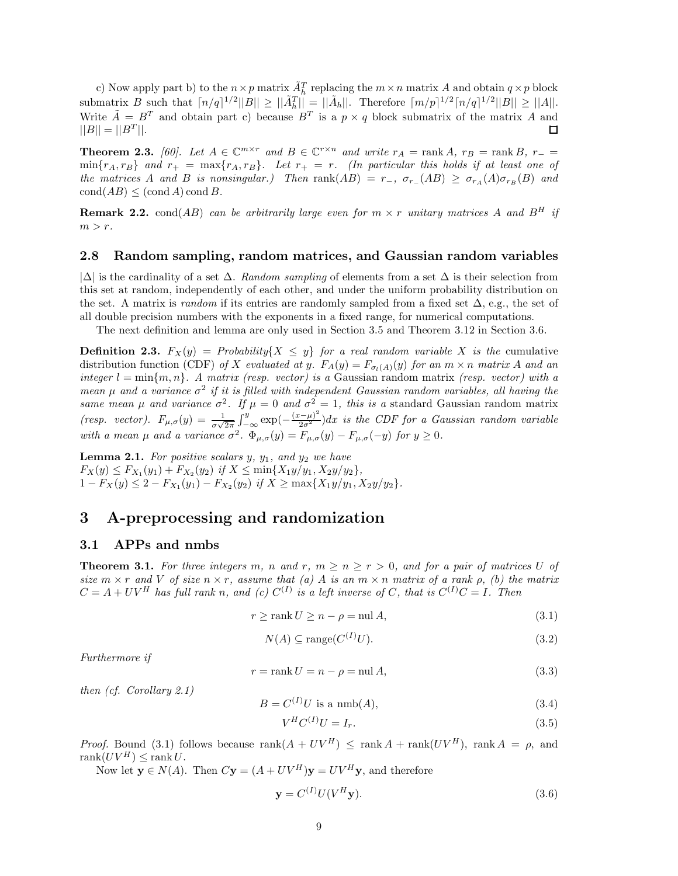c) Now apply part b) to the  $n \times p$  matrix  $\tilde{A}_h^T$  replacing the  $m \times n$  matrix A and obtain  $q \times p$  block submatrix B such that  $\lceil n/q \rceil^{1/2} ||B|| \ge ||\tilde{A}_h^T|| = ||\tilde{A}_h||$ . Therefore  $\lceil m/p \rceil^{1/2} \lceil n/q \rceil^{1/2} ||B|| \ge ||A||$ . Write  $\tilde{A} = B^T$  and obtain part c) because  $B^T$  is a  $p \times q$  block submatrix of the matrix A and  $||B|| = ||B<sup>T</sup>||.$ □

**Theorem 2.3.** *[60].* Let  $A \in \mathbb{C}^{m \times r}$  and  $B \in \mathbb{C}^{r \times n}$  and write  $r_A = \text{rank } A$ ,  $r_B = \text{rank } B$ ,  $r_- =$  $\min\{r_A, r_B\}$  and  $r_+ = \max\{r_A, r_B\}$ . Let  $r_+ = r$ . (In particular this holds if at least one of *the matrices* A *and* B *is nonsingular.)* Then  $\text{rank}(AB) = r_-, \sigma_{r_+}(AB) \geq \sigma_{r_A}(A)\sigma_{r_B}(B)$  and  $\text{cond}(AB) \leq (\text{cond }A) \text{ cond }B$ .

**Remark 2.2.** cond(AB) *can be arbitrarily large even for*  $m \times r$  *unitary matrices* A *and*  $B^H$  *if*  $m>r$ .

#### **2.8 Random sampling, random matrices, and Gaussian random variables**

|∆| is the cardinality of a set ∆. *Random sampling* of elements from a set ∆ is their selection from this set at random, independently of each other, and under the uniform probability distribution on the set. A matrix is *random* if its entries are randomly sampled from a fixed set  $\Delta$ , e.g., the set of all double precision numbers with the exponents in a fixed range, for numerical computations.

The next definition and lemma are only used in Section 3.5 and Theorem 3.12 in Section 3.6.

**Definition 2.3.**  $F_X(y) = Probability\{X \leq y\}$  *for a real random variable* X *is the* cumulative distribution function (CDF) of X evaluated at y.  $F_A(y) = F_{\sigma_l(A)}(y)$  for an  $m \times n$  matrix A and an *integer*  $l = \min\{m, n\}$ . A matrix *(resp. vector) is a* Gaussian random matrix *(resp. vector) with a mean*  $\mu$  and a variance  $\sigma^2$  if it is filled with independent Gaussian random variables, all having the *same mean*  $\mu$  *and variance*  $\sigma^2$ *. If*  $\mu = 0$  *and*  $\sigma^2 = 1$ *, this is a* standard Gaussian random matrix *(resp. vector).*  $F_{\mu,\sigma}(y) = \frac{1}{\sigma\sqrt{2\pi}} \int_{-\infty}^{y} \exp(-\frac{(x-\mu)^2}{2\sigma^2})dx$  is the CDF for a Gaussian random variable *with a mean*  $\mu$  *and a variance*  $\sigma^2$ .  $\Phi_{\mu,\sigma}(y) = F_{\mu,\sigma}(y) - F_{\mu,\sigma}(-y)$  *for*  $y \ge 0$ *.* 

**Lemma 2.1.** *For positive scalars*  $y$ *,*  $y_1$ *, and*  $y_2$  *we have*  $F_X(y) \leq F_{X_1}(y_1) + F_{X_2}(y_2)$  *if*  $X \leq \min\{X_1y/y_1, X_2y/y_2\}$ ,  $1 - F_X(y) \leq 2 - F_{X_1}(y_1) - F_{X_2}(y_2)$  *if*  $X \geq \max\{X_1y/y_1, X_2y/y_2\}.$ 

## **3 A-preprocessing and randomization**

#### **3.1 APPs and nmbs**

**Theorem 3.1.** For three integers m, n and r,  $m \geq n \geq r > 0$ , and for a pair of matrices U of *size*  $m \times r$  *and* V *of size*  $n \times r$ *, assume that* (a) A *is an*  $m \times n$  *matrix of a rank*  $\rho$ *, (b) the matrix*  $C = A + UV^H$  has full rank n, and (c)  $C^{(I)}$  is a left inverse of C, that is  $C^{(I)}C = I$ . Then

$$
r \ge \operatorname{rank} U \ge n - \rho = \operatorname{null} A,\tag{3.1}
$$

$$
N(A) \subseteq \text{range}(C^{(I)}U). \tag{3.2}
$$

*Furthermore if*

$$
r = \text{rank } U = n - \rho = \text{null } A,\tag{3.3}
$$

*then (cf. Corollary 2.1)*

$$
B = C^{(I)}U \text{ is a nmb}(A),\tag{3.4}
$$

$$
V^H C^{(I)} U = I_r. \tag{3.5}
$$

*Proof.* Bound (3.1) follows because  $\text{rank}(A + UV^H) \leq \text{rank } A + \text{rank}(UV^H)$ ,  $\text{rank } A = \rho$ , and rank $(UV^H) \leq$ rank $U$ .

Now let  $\mathbf{y} \in N(A)$ . Then  $C\mathbf{y} = (A + UV^H)\mathbf{y} = UV^H\mathbf{y}$ , and therefore

$$
\mathbf{y} = C^{(I)} U (V^H \mathbf{y}).\tag{3.6}
$$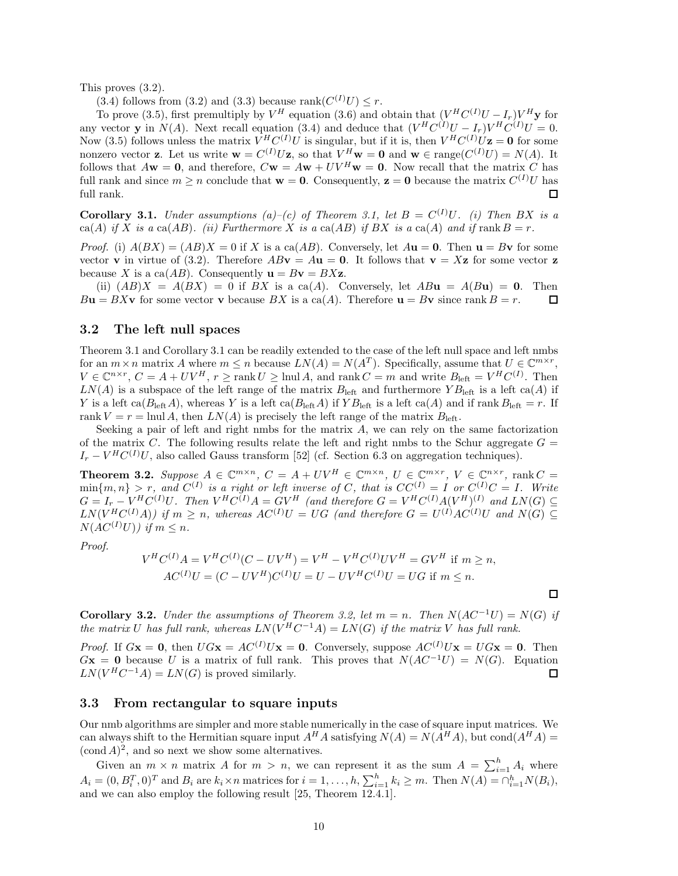This proves (3.2).

(3.4) follows from (3.2) and (3.3) because rank $(C^{(I)}U) \leq r$ .

To prove (3.5), first premultiply by  $V^H$  equation (3.6) and obtain that  $(V^H C^{(I)}U - I_r)V^H$ **y** for any vector **y** in  $N(A)$ . Next recall equation (3.4) and deduce that  $(V^HC^{(I)}U - I_r)V^HC^{(I)}U = 0$ . Now (3.5) follows unless the matrix  $V^H C^{(I)} U$  is singular, but if it is, then  $V^H C^{(I)} U \mathbf{z} = \mathbf{0}$  for some nonzero vector **z**. Let us write  $\mathbf{w} = C^{(I)}U\mathbf{z}$ , so that  $V^H\mathbf{w} = \mathbf{0}$  and  $\mathbf{w} \in \text{range}(C^{(I)}U) = N(A)$ . It follows that  $A\mathbf{w} = \mathbf{0}$ , and therefore,  $C\mathbf{w} = A\mathbf{w} + UV^H\mathbf{w} = \mathbf{0}$ . Now recall that the matrix C has full rank and since  $m \ge n$  conclude that  $\mathbf{w} = \mathbf{0}$ . Consequently,  $\mathbf{z} = \mathbf{0}$  because the matrix  $C^{(I)}U$  has full rank.  $\Box$ 

**Corollary 3.1.** *Under assumptions*  $(a)$ – $(c)$  of Theorem 3.1, let  $B = C^{(I)}U$ . (i) Then BX is a  $ca(A)$  *if* X *is a*  $ca(AB)$ *. (ii)* Furthermore X *is a*  $ca(AB)$  *if* BX *is a*  $ca(A)$  *and if*  $rank B = r$ *.* 

*Proof.* (i)  $A(BX) = (AB)X = 0$  if X is a ca(AB). Conversely, let  $A$ **u** = **0**. Then **u** = B**v** for some vector **v** in virtue of (3.2). Therefore  $ABv = Au = 0$ . It follows that  $v = Xz$  for some vector **z** because X is a ca( $AB$ ). Consequently  $\mathbf{u} = B\mathbf{v} = B\mathbf{X}\mathbf{z}$ .

(ii)  $(AB)X = A(BX) = 0$  if BX is a ca(A). Conversely, let  $AB\mathbf{u} = A(B\mathbf{u}) = \mathbf{0}$ . Then  $B$ **u** =  $BX$ **v** for some vector **v** because  $BX$  is a ca(A). Therefore **u** =  $B$ **v** since rank  $B = r$ . 口

#### **3.2 The left null spaces**

Theorem 3.1 and Corollary 3.1 can be readily extended to the case of the left null space and left nmbs for an  $m \times n$  matrix A where  $m \leq n$  because  $LN(A) = N(A^T)$ . Specifically, assume that  $U \in \mathbb{C}^{m \times r}$ ,  $V \in \mathbb{C}^{n \times r}$ ,  $C = A + UV^H$ ,  $r \ge \text{rank } U \ge \text{lnul } A$ , and  $\text{rank } C = m$  and write  $B_{\text{left}} = V^H C^{(I)}$ . Then  $LN(A)$  is a subspace of the left range of the matrix  $B_{\text{left}}$  and furthermore  $YB_{\text{left}}$  is a left ca(A) if Y is a left ca( $B_{\text{left}}A$ ), whereas Y is a left ca( $B_{\text{left}}A$ ) if  $YB_{\text{left}}$  is a left ca(A) and if rank  $B_{\text{left}} = r$ . If rank  $V = r = \text{lnul } A$ , then  $LN(A)$  is precisely the left range of the matrix  $B_{\text{left}}$ .

Seeking a pair of left and right nmbs for the matrix A, we can rely on the same factorization of the matrix C. The following results relate the left and right nmbs to the Schur aggregate  $G =$  $I_r - V^H C^{(I)} U$ , also called Gauss transform [52] (cf. Section 6.3 on aggregation techniques).

**Theorem 3.2.** Suppose  $A \in \mathbb{C}^{m \times n}$ ,  $C = A + UV^H \in \mathbb{C}^{m \times n}$ ,  $U \in \mathbb{C}^{m \times r}$ ,  $V \in \mathbb{C}^{n \times r}$ , rank  $C =$  $\min\{m, n\} > r$ , and  $C^{(I)}$  is a right or left inverse of C, that is  $CC^{(I)} = I$  or  $C^{(I)}C = I$ . Write  $G = I_r - V^H C^{(I)} U$ . Then  $V^H C^{(I)} A = G V^H$  (and therefore  $G = V^H C^{(I)} A (V^H)^{(I)}$  and  $LN(G) \subseteq$  $LN(V^HC^{(I)}A))$  if  $m \geq n$ , whereas  $AC^{(I)}U = UG$  (and therefore  $G = U^{(I)}AC^{(I)}U$  and  $N(G) \subseteq$  $N(\hat{A}C^{(I)}U)$ *)* if  $m \leq n$ .

*Proof.*

$$
V^H C^{(I)} A = V^H C^{(I)} (C - UV^H) = V^H - V^H C^{(I)} UV^H = G V^H \text{ if } m \ge n,
$$
  
\n
$$
AC^{(I)} U = (C - UV^H) C^{(I)} U = U - UV^H C^{(I)} U = U G \text{ if } m \le n.
$$

□

**Corollary 3.2.** *Under the assumptions of Theorem 3.2, let*  $m = n$ . *Then*  $N(AC^{-1}U) = N(G)$  *if the matrix* U *has full rank, whereas*  $LN(V^HC^{-1}A) = LN(G)$  *if the matrix* V *has full rank.* 

*Proof.* If  $G\mathbf{x} = \mathbf{0}$ , then  $UG\mathbf{x} = AC^{(I)}U\mathbf{x} = \mathbf{0}$ . Conversely, suppose  $AC^{(I)}U\mathbf{x} = UG\mathbf{x} = \mathbf{0}$ . Then  $G$ **x** = **0** because U is a matrix of full rank. This proves that  $N(AC^{-1}U) = N(G)$ . Equation  $LN(V^H C^{-1} A) = LN(G)$  is proved similarly. 口

#### **3.3 From rectangular to square inputs**

Our nmb algorithms are simpler and more stable numerically in the case of square input matrices. We can always shift to the Hermitian square input  $A^H A$  satisfying  $N(A) = N(A^H A)$ , but cond $(A^H A)$  $(\text{cond } A)^2$ , and so next we show some alternatives.

Given an  $m \times n$  matrix A for  $m > n$ , we can represent it as the sum  $A = \sum_{i=1}^{h} A_i$  where  $A_i = (0, B_i^T, 0)^T$  and  $B_i$  are  $k_i \times n$  matrices for  $i = 1, \ldots, h, \sum_{i=1}^h k_i \ge m$ . Then  $N(A) = \bigcap_{i=1}^h N(B_i)$ , and we can also employ the following result [25, Theorem 12.4.1].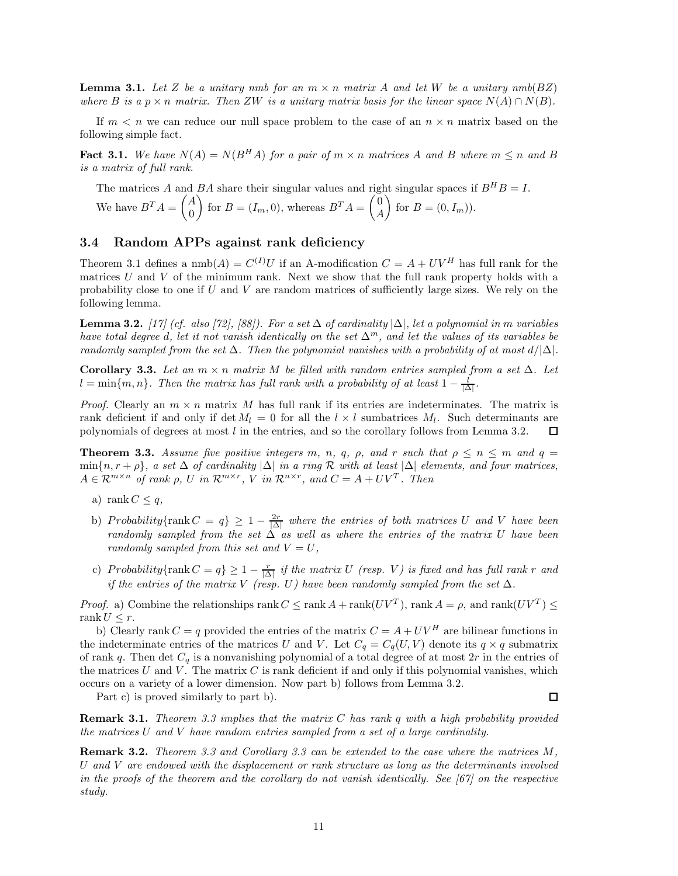**Lemma 3.1.** Let Z be a unitary nmb for an  $m \times n$  matrix A and let W be a unitary  $nmb(BZ)$ *where* B *is a*  $p \times n$  *matrix. Then* ZW *is a unitary matrix basis for the linear space*  $N(A) \cap N(B)$ *.* 

If  $m < n$  we can reduce our null space problem to the case of an  $n \times n$  matrix based on the following simple fact.

**Fact 3.1.** We have  $N(A) = N(B^H A)$  for a pair of  $m \times n$  matrices A and B where  $m \le n$  and B *is a matrix of full rank.*

The matrices A and BA share their singular values and right singular spaces if  $B^H B = I$ . We have  $B^T A = \begin{pmatrix} A & A \\ C & A \end{pmatrix}$ 0 for  $B=(I_m,0)$ , whereas  $B^T A = \begin{pmatrix} 0 & 0 \\ 0 & A \end{pmatrix}$ A for  $B=(0,I_m)$ .

### **3.4 Random APPs against rank deficiency**

Theorem 3.1 defines a  $\text{nmb}(A) = C^{(I)}U$  if an A-modification  $C = A + UV^H$  has full rank for the matrices  $U$  and  $V$  of the minimum rank. Next we show that the full rank property holds with a probability close to one if  $U$  and  $V$  are random matrices of sufficiently large sizes. We rely on the following lemma.

**Lemma 3.2.** *[17] (cf. also [72], [88]). For a set* ∆ *of cardinality* |∆|*, let a polynomial in* m *variables have total degree* d*, let it not vanish identically on the set* ∆<sup>m</sup>*, and let the values of its variables be randomly sampled from the set*  $\Delta$ *. Then the polynomial vanishes with a probability of at most*  $d/|\Delta|$ *.* 

**Corollary 3.3.** *Let an*  $m \times n$  *matrix* M *be filled with random entries sampled from a set*  $\Delta$ *. Let*  $l = \min\{m, n\}$ . Then the matrix has full rank with a probability of at least  $1 - \frac{l}{|\Delta|}$ .

*Proof.* Clearly an  $m \times n$  matrix M has full rank if its entries are indeterminates. The matrix is rank deficient if and only if det  $M_l = 0$  for all the  $l \times l$  sumbatrices  $M_l$ . Such determinants are polynomials of degrees at most l in the entries, and so the corollary follows from Lemma 3.2. 口

**Theorem 3.3.** *Assume five positive integers* m, n, q,  $\rho$ , and r such that  $\rho \leq n \leq m$  and  $q =$  $\min\{n, r + \rho\}$ , a set  $\Delta$  of cardinality  $|\Delta|$  in a ring R with at least  $|\Delta|$  *elements, and four matrices,*  $A \in \mathcal{R}^{m \times n}$  of rank  $\rho$ , U in  $\mathcal{R}^{m \times r}$ , V in  $\mathcal{R}^{n \times r}$ , and  $C = A + UV^T$ . Then

- a) rank  $C \leq q$ ,
- b) Probability{rank  $C = q$ }  $\geq 1 \frac{2r}{|\Delta|}$  where the entries of both matrices U and V have been *randomly sampled from the set* ∆ *as well as where the entries of the matrix* U *have been randomly sampled from this set and*  $V = U$ ,
- c) Probability{rank  $C = q$ }  $\geq 1 \frac{r}{|\Delta|}$  *if the matrix U (resp. V) is fixed and has full rank r and if the entries of the matrix* V *(resp. U) have been randomly sampled from the set*  $\Delta$ *.*

*Proof.* a) Combine the relationships rank  $C \leq \text{rank } A + \text{rank}(UV^T)$ , rank  $A = \rho$ , and  $\text{rank}(UV^T) \leq$ rank  $U \leq r$ .

b) Clearly rank  $C = q$  provided the entries of the matrix  $C = A + UV^H$  are bilinear functions in the indeterminate entries of the matrices U and V. Let  $C_q = C_q(U, V)$  denote its  $q \times q$  submatrix of rank q. Then det  $C_q$  is a nonvanishing polynomial of a total degree of at most  $2r$  in the entries of the matrices U and V. The matrix C is rank deficient if and only if this polynomial vanishes, which occurs on a variety of a lower dimension. Now part b) follows from Lemma 3.2.

Part c) is proved similarly to part b).

□

**Remark 3.1.** *Theorem 3.3 implies that the matrix* C *has rank* q *with a high probability provided the matrices* U *and* V *have random entries sampled from a set of a large cardinality.*

**Remark 3.2.** *Theorem 3.3 and Corollary 3.3 can be extended to the case where the matrices* M*,* U *and* V *are endowed with the displacement or rank structure as long as the determinants involved in the proofs of the theorem and the corollary do not vanish identically. See [67] on the respective study.*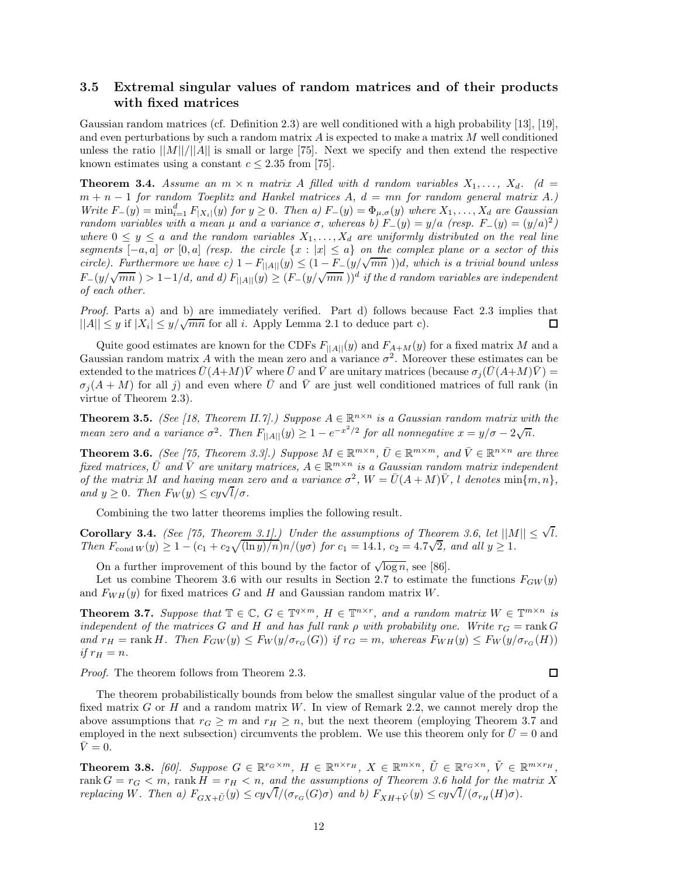### **3.5 Extremal singular values of random matrices and of their products with fixed matrices**

Gaussian random matrices (cf. Definition 2.3) are well conditioned with a high probability [13], [19], and even perturbations by such a random matrix  $A$  is expected to make a matrix  $M$  well conditioned unless the ratio  $||M||/||A||$  is small or large [75]. Next we specify and then extend the respective known estimates using a constant  $c \leq 2.35$  from [75].

**Theorem 3.4.** Assume an  $m \times n$  matrix A filled with d random variables  $X_1, \ldots, X_d$ . (d = m + n − 1 *for random Toeplitz and Hankel matrices* A*,* d = mn *for random general matrix* A*.)*  $Write\ F_{-}(y) = \min_{i=1}^d F_{|X_i|}(y)$  *for*  $y \ge 0$ *. Then a)*  $F_{-}(y) = \Phi_{\mu,\sigma}(y)$  *where*  $X_1, \ldots, X_d$  *are Gaussian random variables with a mean*  $\mu$  *and a variance*  $\sigma$ *, whereas b)*  $F_-(y) = y/a$  *(resp.*  $F_-(y) = (y/a)^2$ *) where*  $0 \leq y \leq a$  *and the random variables*  $X_1, \ldots, X_d$  *are uniformly distributed on the real line segments*  $[-a, a]$  *or*  $[0, a]$  *(resp. the circle*  $\{x : |x| \le a\}$  *on the complex plane or a sector of this circle). Furthermore we have c)*  $1 - F_{\vert A \vert} (y) \leq (1 - F_{-}(y/\sqrt{mn})))d$ , which is a trivial bound unless  $F_-(y/\sqrt{mn}) > 1-1/d$ , and  $d) F_{||A||}(y) \geq (F_-(y/\sqrt{mn}))^d$  *if the d random variables are independent of each other.*

*Proof.* Parts a) and b) are immediately verified. Part d) follows because Fact 2.3 implies that  $||A|| \leq y$  if  $|X_i| \leq y/\sqrt{mn}$  for all *i*. Apply Lemma 2.1 to deduce part c). П

Quite good estimates are known for the CDFs  $F_{\parallel A \parallel}(y)$  and  $F_{A+M}(y)$  for a fixed matrix M and a Gaussian random matrix A with the mean zero and a variance  $\sigma^2$ . Moreover these estimates can be extended to the matrices  $\bar{U}(A+M)\bar{V}$  where  $\bar{U}$  and  $\bar{V}$  are unitary matrices (because  $\sigma_i(\bar{U}(A+M)\bar{V}) =$  $\sigma_i(A + M)$  for all j) and even where U and V are just well conditioned matrices of full rank (in virtue of Theorem 2.3).

**Theorem 3.5.** *(See [18, Theorem II.7].) Suppose*  $A \in \mathbb{R}^{n \times n}$  *is a Gaussian random matrix with the mean zero and a variance*  $\sigma^2$ . Then  $F_{\vert A \vert \vert}(y) \geq 1 - e^{-x^2/2}$  *for all nonnegative*  $x = y/\sigma - 2\sqrt{n}$ .

**Theorem 3.6.** *(See [75, Theorem 3.3].) Suppose*  $M \in \mathbb{R}^{m \times n}$ ,  $\overline{U} \in \mathbb{R}^{m \times m}$ , and  $\overline{V} \in \mathbb{R}^{n \times n}$  are three *fixed matrices,*  $\overline{U}$  *and*  $\overline{V}$  *are unitary matrices,*  $A \in \mathbb{R}^{m \times n}$  *is a Gaussian random matrix independent of the matrix* M *and having mean zero and a variance*  $\sigma^2$ ,  $W = \overline{U}(A + M)\overline{V}$ , *l denotes* min{m, n}, *and*  $y \geq 0$ . Then  $F_W(y) \leq cy\sqrt{l}/\sigma$ .

Combining the two latter theorems implies the following result.

**Corollary 3.4.** *(See [75, Theorem 3.1].) Under the assumptions of Theorem 3.6, let*  $||M|| \leq \sqrt{l}$ *.* **Coronary 3.4.** (see [15, Theorem 3.1].) Under the assumptions of Theorem  $T_{\text{cond}}(y) \geq 1 - (c_1 + c_2 \sqrt{(\ln y)/n})n/(y\sigma)$  for  $c_1 = 14.1$ ,  $c_2 = 4.7\sqrt{(\ln y)/n}$ 2*,* and all  $y \geq 1$ .

On a further improvement of this bound by the factor of  $\sqrt{\log n}$ , see [86].

Let us combine Theorem 3.6 with our results in Section 2.7 to estimate the functions  $F_{GW}(y)$ and  $F_{WH}(y)$  for fixed matrices G and H and Gaussian random matrix W.

**Theorem 3.7.** Suppose that  $\mathbb{T} \in \mathbb{C}$ ,  $G \in \mathbb{T}^{q \times m}$ ,  $H \in \mathbb{T}^{n \times r}$ , and a random matrix  $W \in \mathbb{T}^{m \times n}$  is *independent of the matrices* G and H and has full rank  $\rho$  with probability one. Write  $r_G = \text{rank } G$ *and*  $r_H = \text{rank } H$ . Then  $F_{GW}(y) \leq F_W(y/\sigma_{r_G}(G))$  *if*  $r_G = m$ , whereas  $F_{WH}(y) \leq F_W(y/\sigma_{r_G}(H))$ *if*  $r_H = n$ .

*Proof.* The theorem follows from Theorem 2.3.

The theorem probabilistically bounds from below the smallest singular value of the product of a fixed matrix G or H and a random matrix W. In view of Remark 2.2, we cannot merely drop the above assumptions that  $r_G \geq m$  and  $r_H \geq n$ , but the next theorem (employing Theorem 3.7 and employed in the next subsection) circumvents the problem. We use this theorem only for  $\bar{U}=0$  and  $\bar{V} = 0.$ 

**Theorem 3.8.** *[60]. Suppose*  $G \in \mathbb{R}^{r_G \times m}$ ,  $H \in \mathbb{R}^{n \times r_H}$ ,  $X \in \mathbb{R}^{m \times n}$ ,  $\tilde{U} \in \mathbb{R}^{r_G \times n}$ ,  $\tilde{V} \in \mathbb{R}^{m \times r_H}$ , rank  $G = r_G < m$ , rank  $H = r_H < n$ , and the assumptions of Theorem 3.6 hold for the matrix X *replacing* W. Then a)  $F_{GX+\tilde{U}}(y) \leq cy\sqrt{l}/(\sigma_{rG}(G)\sigma)$  and b)  $F_{XH+\tilde{V}}(y) \leq cy\sqrt{l}/(\sigma_{rH}(H)\sigma)$ .

口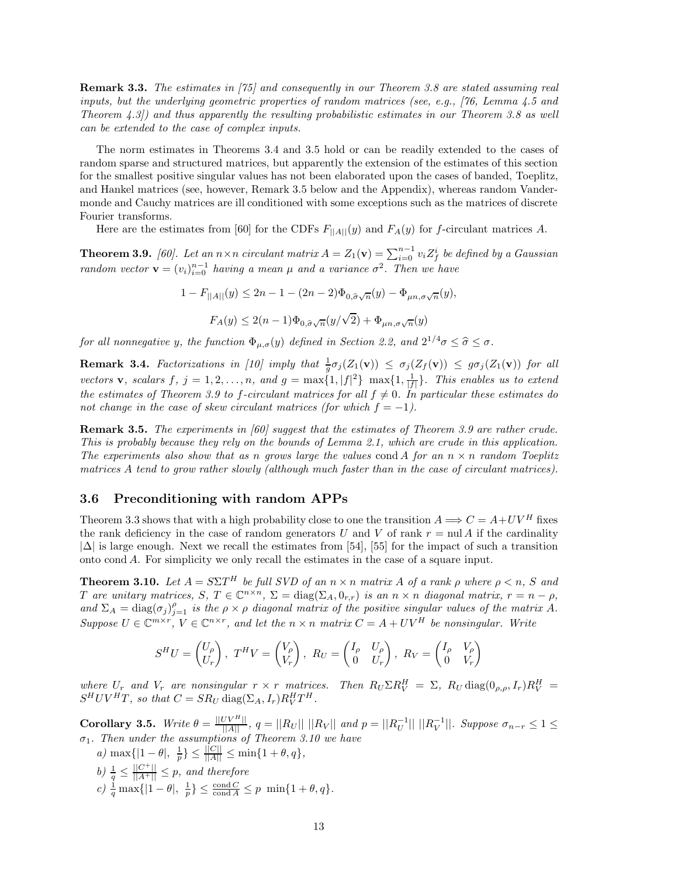**Remark 3.3.** *The estimates in [75] and consequently in our Theorem 3.8 are stated assuming real inputs, but the underlying geometric properties of random matrices (see, e.g., [76, Lemma 4.5 and Theorem 4.3]) and thus apparently the resulting probabilistic estimates in our Theorem 3.8 as well can be extended to the case of complex inputs.*

The norm estimates in Theorems 3.4 and 3.5 hold or can be readily extended to the cases of random sparse and structured matrices, but apparently the extension of the estimates of this section for the smallest positive singular values has not been elaborated upon the cases of banded, Toeplitz, and Hankel matrices (see, however, Remark 3.5 below and the Appendix), whereas random Vandermonde and Cauchy matrices are ill conditioned with some exceptions such as the matrices of discrete Fourier transforms.

Here are the estimates from [60] for the CDFs  $F_{\parallel A\parallel}(y)$  and  $F_A(y)$  for f-circulant matrices A.

**Theorem 3.9.** [60]. Let an  $n \times n$  circulant matrix  $A = Z_1(\mathbf{v}) = \sum_{i=0}^{n-1} v_i Z_f^i$  be defined by a Gaussian *random vector*  $\mathbf{v} = (v_i)_{i=0}^{n-1}$  *having a mean*  $\mu$  *and a variance*  $\sigma^2$ . *Then we have* 

> $1 - F_{\vert A \vert \vert}(y) \leq 2n - 1 - (2n - 2)\Phi_{0,\hat{\sigma}\sqrt{n}}(y) - \Phi_{\mu n,\sigma\sqrt{n}}(y),$  $F_A(y) \leq 2(n-1)\Phi_{0,\hat{\sigma}\sqrt{n}}(y/\sqrt{2}) + \Phi_{\mu n,\sigma\sqrt{n}}(y)$

*for all nonnegative* y, the function  $\Phi_{\mu,\sigma}(y)$  *defined in Section 2.2, and*  $2^{1/4}\sigma \leq \hat{\sigma} \leq \sigma$ .

**Remark 3.4.** *Factorizations in [10] imply that*  $\frac{1}{g}\sigma_j(Z_1(\mathbf{v})) \leq \sigma_j(Z_f(\mathbf{v})) \leq g\sigma_j(Z_1(\mathbf{v}))$  *for all vectors* **v***, scalars* f*,*  $j = 1, 2, ..., n$ *, and*  $g = \max\{1, |f|^2\} \max\{1, \frac{1}{|f|}\}\$ *. This enables us to extend the estimates of Theorem 3.9 to f-circulant matrices for all*  $f \neq 0$ *. In particular these estimates do not change in the case of skew circulant matrices (for which*  $f = -1$ ).

**Remark 3.5.** *The experiments in [60] suggest that the estimates of Theorem 3.9 are rather crude. This is probably because they rely on the bounds of Lemma 2.1, which are crude in this application. The experiments also show that as n grows large the values* cond A *for an*  $n \times n$  *random Toeplitz matrices* A *tend to grow rather slowly (although much faster than in the case of circulant matrices).*

#### **3.6 Preconditioning with random APPs**

Theorem 3.3 shows that with a high probability close to one the transition  $A \Longrightarrow C = A + UV^H$  fixes the rank deficiency in the case of random generators U and V of rank  $r = \text{null } A$  if the cardinality  $|\Delta|$  is large enough. Next we recall the estimates from [54], [55] for the impact of such a transition onto cond A. For simplicity we only recall the estimates in the case of a square input.

**Theorem 3.10.** *Let*  $A = S\Sigma T^H$  *be full SVD of an*  $n \times n$  *matrix* A *of a rank*  $\rho$  *where*  $\rho \le n$ *, S and*  $T$  *are unitary matrices,*  $S, T \in \mathbb{C}^{n \times n}, \Sigma = \text{diag}(\Sigma_A, 0_{r,r})$  *is an*  $n \times n$  *diagonal matrix,*  $r = n - \rho$ *,* and  $\Sigma_A = \text{diag}(\sigma_j)_{j=1}^{\rho}$  *is the*  $\rho \times \rho$  *diagonal matrix of the positive singular values of the matrix* A.  $Suppose U \in \mathbb{C}^{m \times r}, V \in \mathbb{C}^{n \times r}, and let the n \times n matrix C = A + UV^H$  *be nonsingular. Write* 

$$
S^{H}U = \begin{pmatrix} U_{\rho} \\ U_{r} \end{pmatrix}, T^{H}V = \begin{pmatrix} V_{\rho} \\ V_{r} \end{pmatrix}, R_{U} = \begin{pmatrix} I_{\rho} & U_{\rho} \\ 0 & U_{r} \end{pmatrix}, R_{V} = \begin{pmatrix} I_{\rho} & V_{\rho} \\ 0 & V_{r} \end{pmatrix}
$$

where  $U_r$  and  $V_r$  are nonsingular  $r \times r$  *matrices. Then*  $R_U \Sigma R_V^H = \Sigma$ ,  $R_U \text{diag}(0_{\rho,\rho},I_r)R_V^H =$  $S^H UV^H T$ , so that  $C = SR_U \text{ diag}(\Sigma_A, I_r) R_V^H T^H$ .

**Corollary 3.5.** *Write*  $\theta = \frac{||UV^H||}{||A||}$ ,  $q = ||R_U|| \, ||R_V||$  and  $p = ||R_U^{-1}|| \, ||R_V^{-1}||$ . Suppose  $\sigma_{n-r} \leq 1 \leq$ σ1*. Then under the assumptions of Theorem 3.10 we have*

*a)* max $\{|1 - \theta|, \frac{1}{p}\} \leq \frac{||C||}{||A||} \leq \min\{1 + \theta, q\},\$ *b*)  $\frac{1}{q} \leq \frac{||C^+||}{||A^+||} \leq p$ , and therefore  $c) \frac{1}{q} \max\{|1-\theta|, \frac{1}{p}\}\leq \frac{\text{cond } C}{\text{cond } A}\leq p \min\{1+\theta, q\}.$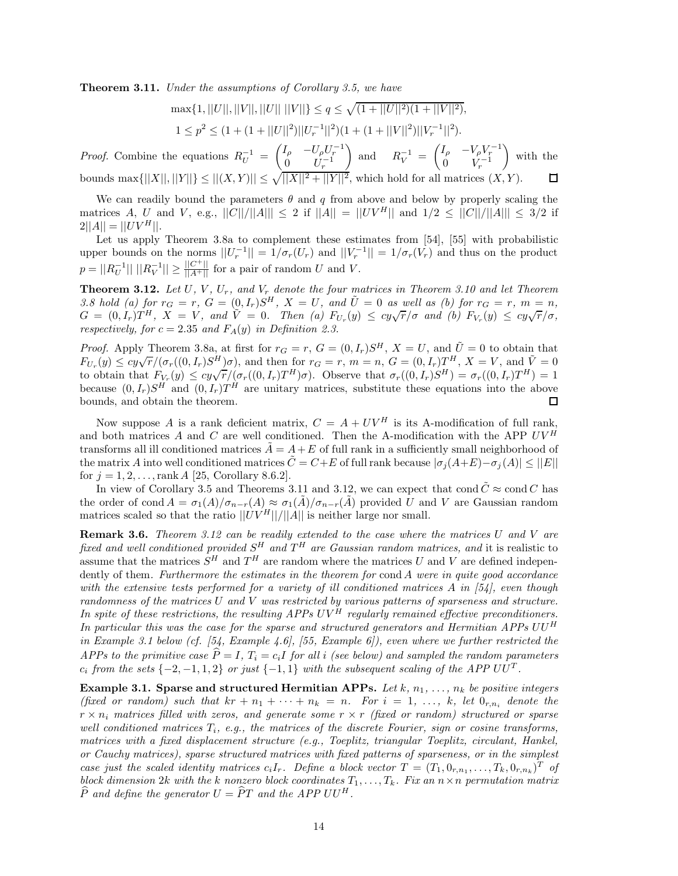**Theorem 3.11.** *Under the assumptions of Corollary 3.5, we have*

$$
\max\{1, ||U||, ||V||, ||U|| \, ||V||\} \le q \le \sqrt{(1+||U||^2)(1+||V||^2)},
$$
  

$$
1 \le p^2 \le (1+(1+||U||^2)||U_r^{-1}||^2)(1+(1+||V||^2)||V_r^{-1}||^2).
$$

*Proof.* Combine the equations  $R_U^{-1} = \begin{pmatrix} I_\rho & -U_\rho U_r^{-1} \\ 0 & I_r^{-1} \end{pmatrix}$ ) and  $R_V^{-1} = \begin{pmatrix} I_\rho & -V_\rho V_r^{-1} \\ 0 & V^{-1} \end{pmatrix}$ - with the  $\begin{array}{cc} 0 & U_r^{-1} \end{array}$  $\begin{array}{cc} 0 & V_r^{-1} \end{array}$ bounds  $\max\{||X||, ||Y||\} \le ||(X, Y)|| \le \sqrt{||X||^2 + ||Y||^2}$ , which hold for all matrices  $(X, Y)$ . 囗

We can readily bound the parameters  $\theta$  and q from above and below by properly scaling the matrices A, U and V, e.g.,  $||C||/||A||| \le 2$  if  $||A|| = ||UV^H||$  and  $1/2 \le ||C||/||A||| \le 3/2$  if  $2||A|| = ||UV^H||.$ 

Let us apply Theorem 3.8a to complement these estimates from [54], [55] with probabilistic upper bounds on the norms  $||U_r^{-1}|| = 1/\sigma_r(U_r)$  and  $||V_r^{-1}|| = 1/\sigma_r(V_r)$  and thus on the product  $p = ||R_U^{-1}|| \, ||R_V^{-1}|| \ge \frac{||C^+||}{||A^+||}$  for a pair of random U and V.

**Theorem 3.12.** Let U, V, U<sub>r</sub>, and V<sub>r</sub> denote the four matrices in Theorem 3.10 and let Theorem 3.8 hold (a) for  $r_G = r$ ,  $G = (0, I_r)S^H$ ,  $X = U$ , and  $\tilde{U} = 0$  as well as (b) for  $r_G = r$ ,  $m = n$ ,<br> $G = (0, I_r)T^H$ ,  $X = V$ , and  $\tilde{V} = 0$ . Then (a)  $F_{U_r}(y) \leq cy\sqrt{r}/\sigma$  and (b)  $F_{V_r}(y) \leq cy\sqrt{r}/\sigma$ , *respectively, for*  $c = 2.35$  *and*  $F_A(y)$  *in Definition 2.3.* 

*Proof.* Apply Theorem 3.8a, at first for  $r_G = r$ ,  $G = (0, I_r)S^H$ ,  $X = U$ , and  $\tilde{U} = 0$  to obtain that  $F_{U_r}(y) \leq cy\sqrt{r}/(\sigma_r((0,I_r)S^H)\sigma)$ , and then for  $r_G = r$ ,  $m = n$ ,  $G = (0,I_r)T^H$ ,  $X = V$ , and  $\tilde{V} = 0$ to obtain that  $F_{V_r}(y) \leq cy\sqrt{r}/(\sigma_r((0,I_r)T^H)\sigma)$ . Observe that  $\sigma_r((0,I_r)S^H) = \sigma_r((0,I_r)T^H) = 1$ because  $(0, I_r)S^H$  and  $(0, I_r)T^H$  are unitary matrices, substitute these equations into the above bounds, and obtain the theorem. 口

Now suppose A is a rank deficient matrix,  $C = A + UV^H$  is its A-modification of full rank, and both matrices A and C are well conditioned. Then the A-modification with the APP  $UV^H$ transforms all ill conditioned matrices  $A = A + E$  of full rank in a sufficiently small neighborhood of the matrix A into well conditioned matrices  $\tilde{C} = C+E$  of full rank because  $|\sigma_i(A+E) - \sigma_i(A)| \leq ||E||$ for  $j = 1, 2, ..., rank A$  [25, Corollary 8.6.2].

In view of Corollary 3.5 and Theorems 3.11 and 3.12, we can expect that cond  $\tilde{C} \approx \text{cond } C$  has the order of cond  $A = \sigma_1(A)/\sigma_{n-r}(A) \approx \sigma_1(A)/\sigma_{n-r}(A)$  provided U and V are Gaussian random matrices scaled so that the ratio  $||UV^H||/||A||$  is neither large nor small.

**Remark 3.6.** *Theorem 3.12 can be readily extended to the case where the matrices* U *and* V *are fixed and well conditioned provided*  $S<sup>H</sup>$  *and*  $T<sup>H</sup>$  *are Gaussian random matrices, and* it is realistic to assume that the matrices  $S<sup>H</sup>$  and  $T<sup>H</sup>$  are random where the matrices U and V are defined independently of them*. Furthermore the estimates in the theorem for* cond A *were in quite good accordance with the extensive tests performed for a variety of ill conditioned matrices* A *in [54], even though randomness of the matrices* U *and* V *was restricted by various patterns of sparseness and structure. In spite of these restrictions, the resulting APPs* UV <sup>H</sup> *regularly remained effective preconditioners. In particular this was the case for the sparse and structured generators and Hermitian APPs* UU <sup>H</sup> *in Example 3.1 below (cf. [54, Example 4.6], [55, Example 6]), even where we further restricted the APPs to the primitive case*  $\hat{P} = I$ ,  $T_i = c_i I$  *for all i (see below) and sampled the random parameters*  $c_i$  *from the sets*  $\{-2, -1, 1, 2\}$  *or just*  $\{-1, 1\}$  *with the subsequent scaling of the APP UUT*.

**Example 3.1. Sparse and structured Hermitian APPs.** Let  $k$ ,  $n_1, \ldots, n_k$  be positive integers *(fixed or random) such that*  $kr + n_1 + \cdots + n_k = n$ *. For*  $i = 1, \ldots, k$ *, let*  $0_{r,n_i}$  *denote the* r × n<sup>i</sup> *matrices filled with zeros, and generate some* r × r *(fixed or random) structured or sparse well conditioned matrices*  $T_i$ *, e.g., the matrices of the discrete Fourier, sign or cosine transforms, matrices with a fixed displacement structure (e.g., Toeplitz, triangular Toeplitz, circulant, Hankel, or Cauchy matrices), sparse structured matrices with fixed patterns of sparseness, or in the simplest case just the scaled identity matrices*  $c_iI_r$ . Define a block vector  $T = (T_1, 0_{r,n_1}, \ldots, T_k, 0_{r,n_k})^T$  of *block dimension* 2k with the k nonzero block coordinates  $T_1, \ldots, T_k$ . Fix an  $n \times n$  permutation matrix  $\widehat{P}$  *and define the generator*  $U = \widehat{P}T$  *and the APP UU*<sup>H</sup>.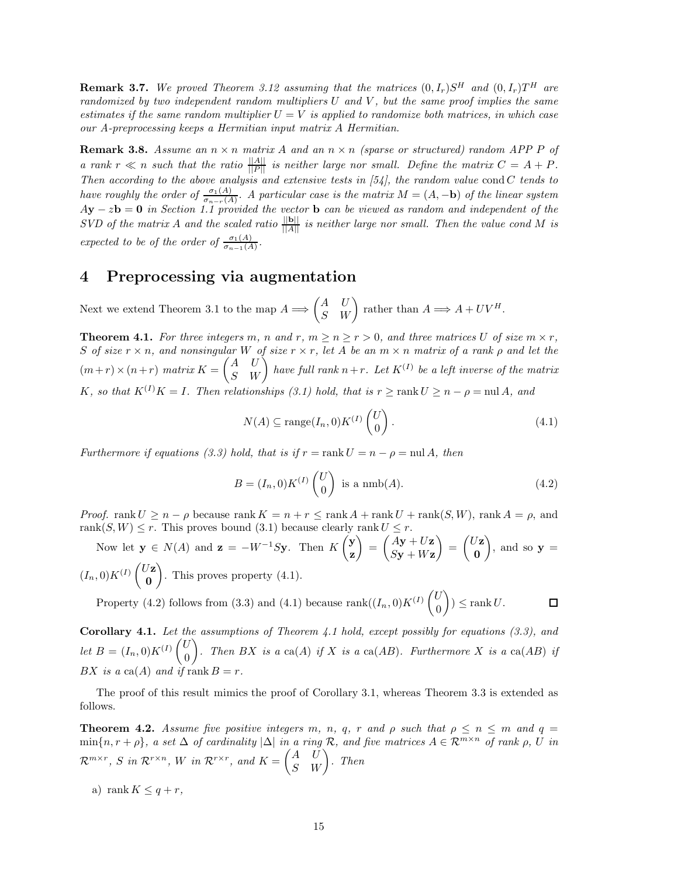**Remark 3.7.** We proved Theorem 3.12 assuming that the matrices  $(0, I_r)S^H$  and  $(0, I_r)T^H$  are *randomized by two independent random multipliers* U *and* V *, but the same proof implies the same estimates if the same random multiplier*  $U = V$  *is applied to randomize both matrices, in which case our A-preprocessing keeps a Hermitian input matrix* A *Hermitian.*

**Remark 3.8.** Assume an  $n \times n$  *matrix* A and an  $n \times n$  *(sparse or structured) random APP P of a* rank  $r \ll n$  such that the ratio  $\frac{||A||}{||P||}$  is neither large nor small. Define the matrix  $C = A + P$ . *Then according to the above analysis and extensive tests in [54], the random value* cond C *tends to have roughly the order of*  $\frac{\sigma_1(A)}{\sigma_{n-r}(A)}$ . A particular case is the matrix  $M = (A, -\mathbf{b})$  *of the linear system* A**y** − z**b** = **0** *in Section 1.1 provided the vector* **b** *can be viewed as random and independent of the SVD* of the matrix A and the scaled ratio  $\frac{||\mathbf{b}||}{||A||}$  is neither large nor small. Then the value cond M is *expected to be of the order of*  $\frac{\sigma_1(A)}{\sigma_{n-1}(A)}$ *.* 

## **4 Preprocessing via augmentation**

Next we extend Theorem 3.1 to the map  $A \Longrightarrow \begin{pmatrix} A & U \\ S & W \end{pmatrix}$  rather than  $A \Longrightarrow A + UV^H$ .

**Theorem 4.1.** For three integers m, n and r,  $m \ge n \ge r > 0$ , and three matrices U of size  $m \times r$ , S *of size* r × n*, and nonsingular* W *of size* r × r*, let* A *be an* m × n *matrix of a rank* ρ *and let the*  $(m+r) \times (n+r)$  matrix  $K = \begin{pmatrix} A & U \ S & W \end{pmatrix}$  have full rank  $n+r$ . Let  $K^{(I)}$  be a left inverse of the matrix K, so that  $K^{(I)}K = I$ . Then relationships (3.1) hold, that is  $r \geq \text{rank } U \geq n - \rho = \text{null } A$ , and

$$
N(A) \subseteq \text{range}(I_n, 0)K^{(I)}\begin{pmatrix} U \\ 0 \end{pmatrix}.
$$
\n(4.1)

*Furthermore if equations (3.3) hold, that is if*  $r = \text{rank } U = n - \rho = \text{null } A$ , then

$$
B = (I_n, 0)K^{(I)}\begin{pmatrix} U \\ 0 \end{pmatrix}
$$
 is a  $\text{nmb}(A)$ . (4.2)

*Proof.* rank  $U \geq n - \rho$  because rank  $K = n + r \leq \text{rank }A + \text{rank }U + \text{rank}(S, W)$ , rank  $A = \rho$ , and rank $(S, W) \leq r$ . This proves bound (3.1) because clearly rank  $U \leq r$ .

Now let  $\mathbf{y} \in N(A)$  and  $\mathbf{z} = -W^{-1}S\mathbf{y}$ . Then  $K\begin{pmatrix} \mathbf{y} \\ R \end{pmatrix}$ **z**  $= \left( \frac{Ay + Uz}{Cx + Wz} \right)$  $S$ **y** +  $W$ **z**  $= \begin{pmatrix} U\mathbf{z} \\ 0 \end{pmatrix}$ **0**  $\Big)$ , and so  $\mathbf{y} =$  $(I_n,0)K^{(I)}\begin{pmatrix} U\mathbf{z} & 0\\ 0 & \mathbf{z} \end{pmatrix}$ **0** -. This proves property (4.1).

Property (4.2) follows from (3.3) and (4.1) because rank $((I_n, 0)K^{(I)}\begin{pmatrix}U\\0\end{pmatrix})$  $\Big) \leq \text{rank } U.$  $\Box$ 0

**Corollary 4.1.** *Let the assumptions of Theorem 4.1 hold, except possibly for equations (3.3), and let*  $B = (I_n, 0)K^{(I)}\begin{pmatrix} U \\ 0 \end{pmatrix}$ 0 ). Then BX is a ca(A) if X is a ca(AB). Furthermore X is a ca(AB) if BX is a ca(A) and if rank  $B = r$ .

The proof of this result mimics the proof of Corollary 3.1, whereas Theorem 3.3 is extended as follows.

**Theorem 4.2.** *Assume five positive integers* m, n, q, r and  $\rho$  *such that*  $\rho \leq n \leq m$  *and*  $q =$  $\min\{n, r + \rho\}$ , a set  $\Delta$  *of cardinality*  $|\Delta|$  *in a ring* R, and five matrices  $A \in \mathcal{R}^{m \times n}$  *of rank*  $\rho$ ,  $\overline{U}$  *in*  $\mathcal{R}^{m \times r}, \ S \ \textit{in} \ \mathcal{R}^{r \times n}, \ W \ \textit{in} \ \mathcal{R}^{r \times r}, \ \textit{and} \ \textit{K} = \begin{pmatrix} A & U \ S & W \end{pmatrix}. \ \ \textit{Then}$ 

a) rank  $K \leq q + r$ ,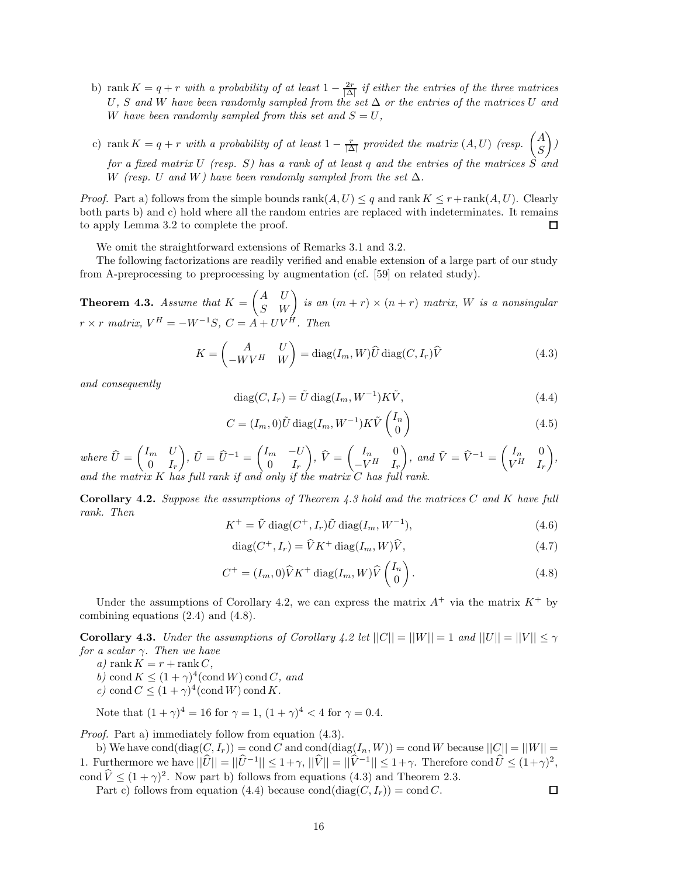- b) rank  $K = q + r$  *with a probability of at least*  $1 \frac{2r}{|\Delta|}$  *if either the entries of the three matrices* U*,* S *and* W *have been randomly sampled from the set* ∆ *or the entries of the matrices* U *and* W have been randomly sampled from this set and  $S = U$ ,
- c) rank  $K = q + r$  with a probability of at least  $1 \frac{r}{|\Delta|}$  provided the matrix  $(A, U)$  (resp.  $\begin{pmatrix} A \\ S \end{pmatrix}$ S - *) for a fixed matrix* U *(resp.* S*) has a rank of at least* q *and the entries of the matrices* S *and* W *(resp.* U and W) have been randomly sampled from the set  $\Delta$ *.*

*Proof.* Part a) follows from the simple bounds  $rank(A, U) \leq q$  and  $rank K \leq r + rank(A, U)$ . Clearly both parts b) and c) hold where all the random entries are replaced with indeterminates. It remains to apply Lemma 3.2 to complete the proof.  $\Box$ 

We omit the straightforward extensions of Remarks 3.1 and 3.2.

The following factorizations are readily verified and enable extension of a large part of our study from A-preprocessing to preprocessing by augmentation (cf. [59] on related study).

**Theorem 4.3.** *Assume that*  $K = \begin{pmatrix} A & U \\ S & W \end{pmatrix}$  is an  $(m + r) \times (n + r)$  matrix, W is a nonsingular  $r \times r$  *matrix,*  $V^H = -W^{-1}S$ ,  $C = \overrightarrow{A} + UV^{\overrightarrow{H}}$ . Then

$$
K = \begin{pmatrix} A & U \\ -WV^H & W \end{pmatrix} = \text{diag}(I_m, W)\widehat{U} \text{diag}(C, I_r)\widehat{V}
$$
(4.3)

*and consequently*

$$
diag(C, I_r) = \tilde{U} \operatorname{diag}(I_m, W^{-1}) K \tilde{V}, \qquad (4.4)
$$

$$
C = (I_m, 0)\tilde{U}\operatorname{diag}(I_m, W^{-1})K\tilde{V}\begin{pmatrix}I_n\\0\end{pmatrix}
$$
\n(4.5)

 $where \ \widehat{U} = \begin{pmatrix} I_m & U \ 0 & I_r \end{pmatrix}$  $0 \t I_r$  $\left( \begin{matrix} \tilde{U} \end{matrix} \right)$ ,  $\tilde{U} = \widehat{U}^{-1} = \begin{pmatrix} I_m & -U_m & \tilde{U} \ 0 & I_r & \tilde{U} \end{pmatrix}$  $0 \t I_r$  $\bigg), \ \widehat{V} = \begin{pmatrix} I_n & 0 \\ -V^H & I_n \end{pmatrix}$  $-V^H$  I<sub>r</sub>  $\begin{pmatrix} \cdot & \cdot & \cdot \\ \cdot & \cdot & \cdot \\ \cdot & \cdot & \cdot \\ \cdot & \cdot & \cdot \end{pmatrix}$ , and  $\tilde{V} = \hat{V}^{-1} = \begin{pmatrix} I_n & 0 \\ V^H & I_n \end{pmatrix}$  $V^H$  I<sub>r</sub> - *, and the matrix* K has full rank if and only if the matrix

**Corollary 4.2.** *Suppose the assumptions of Theorem 4.3 hold and the matrices* C *and* K *have full rank. Then*

$$
K^{+} = \tilde{V} \operatorname{diag}(C^{+}, I_{r}) \tilde{U} \operatorname{diag}(I_{m}, W^{-1}), \qquad (4.6)
$$

$$
\text{diag}(C^+, I_r) = \widehat{V} K^+ \text{diag}(I_m, W)\widehat{V},\tag{4.7}
$$

$$
C^{+} = (I_m, 0)\widehat{V}K^{+} \operatorname{diag}(I_m, W)\widehat{V}\begin{pmatrix} I_n \\ 0 \end{pmatrix}.
$$
 (4.8)

 $\Box$ 

Under the assumptions of Corollary 4.2, we can express the matrix  $A^+$  via the matrix  $K^+$  by combining equations (2.4) and (4.8).

**Corollary 4.3.** *Under the assumptions of Corollary 4.2 let*  $||C|| = ||W|| = 1$  *and*  $||U|| = ||V|| \le \gamma$ *for a scalar* γ*. Then we have*

 $a)$  rank  $K = r + \text{rank } C$ ,

*b*) cond  $K \leq (1 + \gamma)^4$  (cond *W*) cond *C*, and

*c*) cond  $C \leq (1 + \gamma)^4$  (cond W) cond K.

Note that  $(1 + \gamma)^4 = 16$  for  $\gamma = 1$ ,  $(1 + \gamma)^4 < 4$  for  $\gamma = 0.4$ .

*Proof.* Part a) immediately follow from equation (4.3).

b) We have cond $(\text{diag}(C, I_r)) = \text{cond } C$  and  $\text{cond}(\text{diag}(I_n, W)) = \text{cond } W$  because  $||C|| = ||W|| =$ 1. Furthermore we have  $||\hat{U}|| = ||\hat{U}^{-1}|| \leq 1+\gamma$ ,  $||\hat{V}|| = ||\hat{V}^{-1}|| \leq 1+\gamma$ . Therefore cond  $\hat{U} \leq (1+\gamma)^2$ , cond  $\hat{V} \leq (1+\gamma)^2$ . Now part b) follows from equations (4.3) and Theorem 2.3.

Part c) follows from equation (4.4) because cond(diag( $C, I_r$ )) = cond C.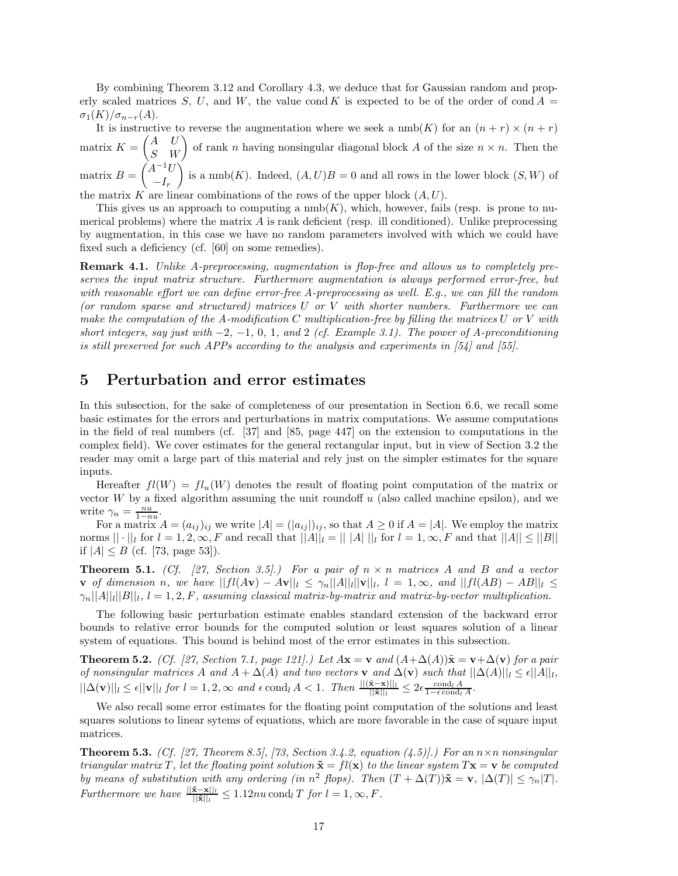By combining Theorem 3.12 and Corollary 4.3, we deduce that for Gaussian random and properly scaled matrices S, U, and W, the value cond K is expected to be of the order of cond  $A =$  $\sigma_1(K)/\sigma_{n-r}(A)$ .

It is instructive to reverse the augmentation where we seek a  $\text{nmb}(K)$  for an  $(n + r) \times (n + r)$ matrix  $K = \begin{pmatrix} A & U \\ S & W \end{pmatrix}$  of rank n having nonsingular diagonal block A of the size  $n \times n$ . Then the matrix  $B = \int_{0}^{1} A^{-1}U$  $-I_r$ is a nmb(K). Indeed,  $(A, U)B = 0$  and all rows in the lower block  $(S, W)$  of

the matrix K are linear combinations of the rows of the upper block  $(A, U)$ .

This gives us an approach to computing a  $\text{nmb}(K)$ , which, however, fails (resp. is prone to numerical problems) where the matrix  $A$  is rank deficient (resp. ill conditioned). Unlike preprocessing by augmentation, in this case we have no random parameters involved with which we could have fixed such a deficiency (cf. [60] on some remedies).

**Remark 4.1.** *Unlike A-preprocessing, augmentation is flop-free and allows us to completely preserves the input matrix structure. Furthermore augmentation is always performed error-free, but with reasonable effort we can define error-free A-preprocessing as well. E.g., we can fill the random (or random sparse and structured) matrices* U *or* V *with shorter numbers. Furthermore we can make the computation of the A-modification* C *multiplication-free by filling the matrices* U *or* V *with short integers, say just with* −2*,* −1*,* 0*,* 1*, and* 2 *(cf. Example 3.1). The power of A-preconditioning is still preserved for such APPs according to the analysis and experiments in [54] and [55].*

## **5 Perturbation and error estimates**

In this subsection, for the sake of completeness of our presentation in Section 6.6, we recall some basic estimates for the errors and perturbations in matrix computations. We assume computations in the field of real numbers (cf. [37] and [85, page 447] on the extension to computations in the complex field). We cover estimates for the general rectangular input, but in view of Section 3.2 the reader may omit a large part of this material and rely just on the simpler estimates for the square inputs.

Hereafter  $fl(W) = fl_u(W)$  denotes the result of floating point computation of the matrix or vector  $W$  by a fixed algorithm assuming the unit roundoff  $u$  (also called machine epsilon), and we write  $\gamma_n = \frac{nu}{1 - nu}$ .

For a matrix  $A = (a_{ij})_{ij}$  we write  $|A| = (|a_{ij}|)_{ij}$ , so that  $A \ge 0$  if  $A = |A|$ . We employ the matrix norms  $|| \cdot ||_l$  for  $l = 1, 2, \infty, F$  and recall that  $||A||_l = || |A|| ||_l$  for  $l = 1, \infty, F$  and that  $||A|| \le ||B||$ if  $|A| \leq B$  (cf. [73, page 53]).

**Theorem 5.1.** *(Cf. [27, Section 3.5].) For a pair of*  $n \times n$  *matrices* A *and* B *and* a vector **v** *of dimension n*, we have  $||fl(A**v**) − A**v**||<sub>l</sub> ≤ γ<sub>n</sub>||A||<sub>l</sub>||**v**||<sub>l</sub>,$  l = 1, ∞, and  $||fl(AB) − AB||<sub>l</sub> ≤$  $\gamma_n||A||_l||B||_l$ ,  $l = 1, 2, F$ , assuming classical matrix-by-matrix and matrix-by-vector multiplication.

The following basic perturbation estimate enables standard extension of the backward error bounds to relative error bounds for the computed solution or least squares solution of a linear system of equations. This bound is behind most of the error estimates in this subsection.

**Theorem 5.2.** *(Cf. [27, Section 7.1, page 121].) Let*  $A\mathbf{x} = \mathbf{v}$  and  $(A+\Delta(A))\tilde{\mathbf{x}} = \mathbf{v}+\Delta(\mathbf{v})$  *for a pair of nonsingular matrices* A *and*  $A + \Delta(A)$  *and two vectors* **v** *and*  $\Delta(\mathbf{v})$  *such that*  $||\Delta(A)||_l \leq \epsilon ||A||_l$ ,  $||\Delta(\mathbf{v})||_l \leq \epsilon ||\mathbf{v}||_l$  *for*  $l = 1, 2, \infty$  *and*  $\epsilon$  cond<sub>l</sub> A < 1*.* Then  $\frac{||(\tilde{\mathbf{x}}-\mathbf{x})||_l}{||\tilde{\mathbf{x}}||_l} \leq 2\epsilon \frac{\text{cond}_l A}{1-\epsilon \text{cond}_l A}$ .

We also recall some error estimates for the floating point computation of the solutions and least squares solutions to linear sytems of equations, which are more favorable in the case of square input matrices.

**Theorem 5.3.** *(Cf. [27, Theorem 8.5], [73, Section 3.4.2, equation (4.5)].) For an*  $n \times n$  *nonsingular triangular matrix* T, let the floating point solution  $\tilde{\mathbf{x}} = f\mathbf{l}(\mathbf{x})$  to the linear system  $T\mathbf{x} = \mathbf{v}$  be computed *by means of substitution with any ordering (in*  $n^2$  *flops). Then*  $(T + \Delta(T))\tilde{\mathbf{x}} = \mathbf{v}$ ,  $|\Delta(T)| \leq \gamma_n |T|$ *. Furthermore we have*  $\frac{||\tilde{\mathbf{x}} - \mathbf{x}||_l}{||\tilde{\mathbf{x}}||_l} \leq 1.12nu \text{ cond}_l T$  *for*  $l = 1, \infty, F$ .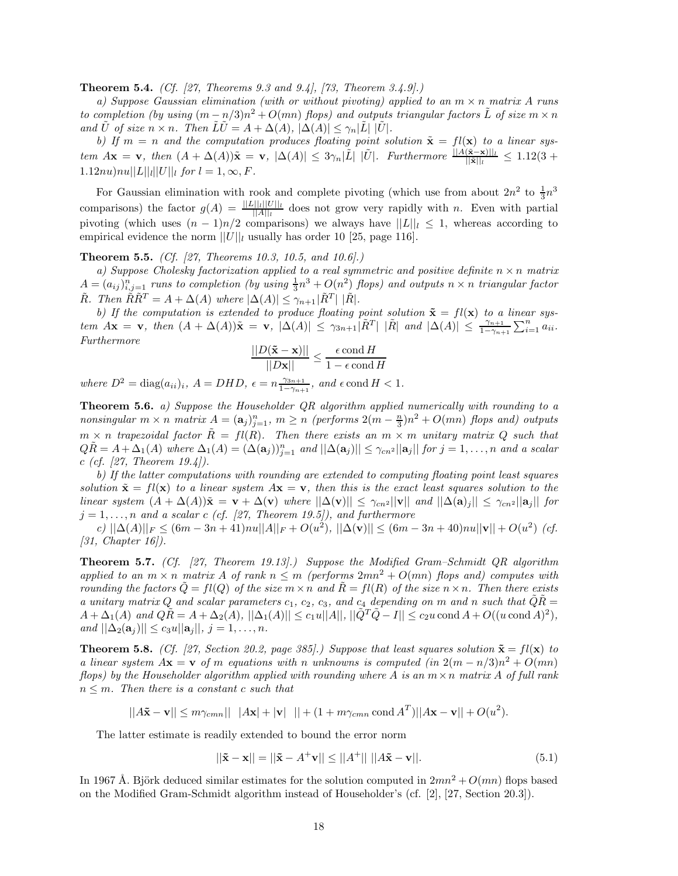**Theorem 5.4.** *(Cf. [27, Theorems 9.3 and 9.4], [73, Theorem 3.4.9].)*

*a) Suppose Gaussian elimination (with or without pivoting) applied to an* m × n *matrix* A *runs to completion (by using*  $(m - n/3)n^2 + O(mn)$  *flops) and outputs triangular factors* L *of size*  $m \times n$ *and*  $\tilde{U}$  *of size*  $n \times n$ *. Then*  $\tilde{L}\tilde{U} = A + \Delta(A), |\Delta(A)| \leq \gamma_n |\tilde{L}| |\tilde{U}|$ *.* 

*b)* If  $m = n$  and the computation produces floating point solution  $\tilde{\mathbf{x}} = fl(\mathbf{x})$  to a linear sys $tem$   $A\mathbf{x} = \mathbf{v}$ ,  $then$   $(A + \Delta(A))\tilde{\mathbf{x}} = \mathbf{v}$ ,  $|\Delta(A)| \leq 3\gamma_n|\tilde{L}| |\tilde{U}|$ . Furthermore  $\frac{||A(\tilde{\mathbf{x}} - \mathbf{x})||_l}{||\tilde{\mathbf{x}}||_l} \leq 1.12(3 +$  $1.12nu\\|nu||L|||_{l}||U||_{l}$  *for*  $l = 1, \infty, F$ .

For Gaussian elimination with rook and complete pivoting (which use from about  $2n^2$  to  $\frac{1}{3}n^3$ comparisons) the factor  $g(A) = \frac{||L||_l|||U||_l}{||A||_l}$  does not grow very rapidly with n. Even with partial pivoting (which uses  $(n-1)n/2$  comparisons) we always have  $||L||_l \leq 1$ , whereas according to empirical evidence the norm  $||U||_l$  usually has order 10 [25, page 116].

**Theorem 5.5.** *(Cf. [27, Theorems 10.3, 10.5, and 10.6].)*

*a) Suppose Cholesky factorization applied to a real symmetric and positive definite* n × n *matrix*  $A = (a_{ij})_{i,j=1}^n$  *runs to completion (by using*  $\frac{1}{3}n^3 + O(n^2)$  *flops) and outputs*  $n \times n$  *triangular factor*  $\tilde{R}$ *. Then*  $\tilde{R}\tilde{R}^T = A + \Delta(A)$  where  $|\Delta(A)| \leq \gamma_{n+1} |\tilde{R}^T| |\tilde{R}|$ *.* 

*b)* If the computation is extended to produce floating point solution  $\tilde{\mathbf{x}} = f\mathbf{l}(\mathbf{x})$  to a linear sys- $\lim_{n \to \infty} A$ **x** = **v***,* then  $(A + \Delta(A))$ **x** = **v***,*  $|\Delta(A)| \leq \gamma_{3n+1} |\tilde{R}^{T}| |\tilde{R}|$  and  $|\Delta(A)| \leq \frac{\gamma_{n+1}}{1 - \gamma_{n+1}} \sum_{i=1}^{n} a_{ii}$ . *Furthermore*

$$
\frac{||D(\mathbf{\tilde{x}} - \mathbf{x})||}{||D\mathbf{x}||} \le \frac{\epsilon \text{ cond } H}{1 - \epsilon \text{ cond } H}
$$

 $where D<sup>2</sup> = diag(a_{ii})<sub>i</sub>, A = DHD, \epsilon = n\frac{\gamma_{3n+1}}{1-\gamma_{n+1}}, and \epsilon \text{cond } H < 1.$ 

**Theorem 5.6.** *a) Suppose the Householder QR algorithm applied numerically with rounding to a*  $nonsingular \ m \times n \ matrix \ A = (\mathbf{a}_j)_{j=1}^n, \ m \geq n \ (performs \ 2(m - \frac{n}{3})n^2 + O(mn) \ flops \ and) \ outputs$  $m \times n$  *trapezoidal factor*  $\tilde{R} = fl(R)$ . Then there exists an  $m \times m$  *unitary matrix* Q such that  $Q\tilde{R} = A + \Delta_1(A)$  where  $\Delta_1(A) = (\Delta(a_j))_{j=1}^n$  and  $||\Delta(a_j)|| \leq \gamma_{cn^2} ||a_j||$  for  $j = 1, \ldots, n$  and a scalar c *(cf. [27, Theorem 19.4]).*

*b) If the latter computations with rounding are extended to computing floating point least squares solution*  $\tilde{\mathbf{x}} = f\mathbf{l}(\mathbf{x})$  to a linear system  $A\mathbf{x} = \mathbf{v}$ , then this is the exact least squares solution to the *linear system*  $(A + \Delta(A))\tilde{\mathbf{x}} = \mathbf{v} + \Delta(\mathbf{v})$  *where*  $||\Delta(\mathbf{v})|| \leq \gamma_{cn^2}||\mathbf{v}||$  *and*  $||\Delta(\mathbf{a})_j|| \leq \gamma_{cn^2}||\mathbf{a}_j||$  *for*  $j = 1, \ldots, n$  and a scalar c (cf. [27, Theorem 19.5]), and furthermore

 $|c\rangle$  ||∆(A)|| $_F \leq (6m - 3n + 41)nu||A||_F + O(u^2)$ ,  $||\Delta(\mathbf{v})|| \leq (6m - 3n + 40)nu||\mathbf{v}|| + O(u^2)$  *(cf.*) *[31, Chapter 16]).*

**Theorem 5.7.** *(Cf. [27, Theorem 19.13].) Suppose the Modified Gram–Schmidt QR algorithm applied to an*  $m \times n$  *matrix* A *of rank*  $n \leq m$  (performs  $2mn^2 + O(mn)$  *flops and) computes with rounding the factors*  $\tilde{Q} = fl(Q)$  *of the size*  $m \times n$  *and*  $\tilde{R} = fl(R)$  *of the size*  $n \times n$ *. Then there exists a unitary matrix* Q *and scalar parameters*  $c_1$ ,  $c_2$ ,  $c_3$ , and  $c_4$  depending on m and n such that  $\tilde{Q}\tilde{R} =$  $A + \Delta_1(A)$  *and*  $Q\tilde{R} = A + \Delta_2(A)$ ,  $||\Delta_1(A)|| \leq c_1u||A||$ ,  $||\tilde{Q}^T\tilde{Q} - I|| \leq c_2u \text{ cond }A + O((u \text{ cond }A)^2)$ , *and*  $||\Delta_2(\mathbf{a}_j)|| \leq c_3 u ||\mathbf{a}_j||, j = 1, ..., n.$ 

**Theorem 5.8.** *(Cf. [27, Section 20.2, page 385].) Suppose that least squares solution*  $\tilde{\mathbf{x}} = f\mathbf{l}(\mathbf{x})$  to *a linear system*  $A\mathbf{x} = \mathbf{v}$  *of* m *equations with* n *unknowns is computed (in*  $2(m - n/3)n^2 + O(mn)$ ) *flops) by the Householder algorithm applied with rounding where* A *is an* m×n *matrix* A *of full rank*  $n \leq m$ . Then there is a constant c such that

 $||A\mathbf{\tilde{x}} - \mathbf{v}|| \le m\gamma_{cmn}|| |A\mathbf{x}| + |\mathbf{v}| || + (1 + m\gamma_{cmn} \text{ cond } A^T)||A\mathbf{x} - \mathbf{v}|| + O(u^2).$ 

The latter estimate is readily extended to bound the error norm

$$
||\tilde{\mathbf{x}} - \mathbf{x}|| = ||\tilde{\mathbf{x}} - A^{+}\mathbf{v}|| \le ||A^{+}|| \, ||A\tilde{\mathbf{x}} - \mathbf{v}||. \tag{5.1}
$$

In 1967 Å. Björk deduced similar estimates for the solution computed in  $2mn^2 + O(mn)$  flops based on the Modified Gram-Schmidt algorithm instead of Householder's (cf. [2], [27, Section 20.3]).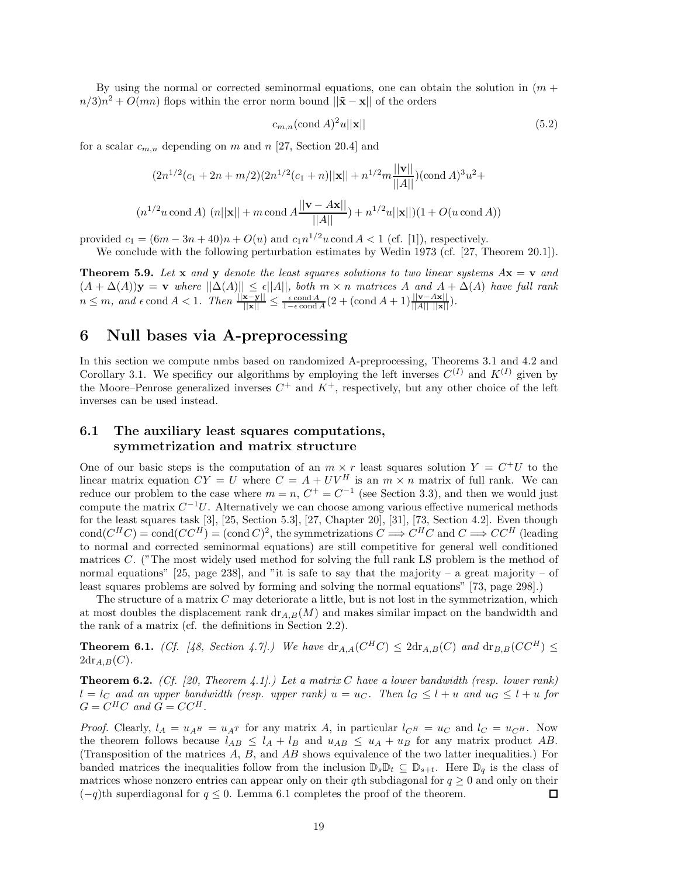By using the normal or corrected seminormal equations, one can obtain the solution in  $(m +$  $n/3$  $n^2 + O(mn)$  flops within the error norm bound  $||\mathbf{\tilde{x}} - \mathbf{x}||$  of the orders

$$
c_{m,n}(\text{cond }A)^2u||\mathbf{x}||\tag{5.2}
$$

for a scalar  $c_{m,n}$  depending on m and n [27, Section 20.4] and

$$
(2n^{1/2}(c_1 + 2n + m/2)(2n^{1/2}(c_1 + n)||\mathbf{x}|| + n^{1/2}m\frac{||\mathbf{v}||}{||A||})(\text{cond }A)^3u^2 +
$$
  

$$
(n^{1/2}u \text{ cond }A) (n||\mathbf{x}|| + m \text{ cond }A\frac{||\mathbf{v} - A\mathbf{x}||}{||A||}) + n^{1/2}u||\mathbf{x}||)(1 + O(u \text{ cond }A))
$$

provided  $c_1 = (6m - 3n + 40)n + O(u)$  and  $c_1n^{1/2}u$  cond  $A < 1$  (cf. [1]), respectively.

We conclude with the following perturbation estimates by Wedin 1973 (cf. [27, Theorem 20.1]).

**Theorem 5.9.** Let **x** and **y** denote the least squares solutions to two linear systems  $Ax = v$  and  $(A + \Delta(A))\mathbf{y} = \mathbf{v}$  *where*  $||\Delta(A)|| \leq \epsilon ||A||$ *, both*  $m \times n$  *matrices* A *and*  $A + \Delta(A)$  *have full rank*  $n \leq m$ , and  $\epsilon$  cond  $A < 1$ . Then  $\frac{||\mathbf{x} - \mathbf{y}||}{||\mathbf{x}||} \leq \frac{\epsilon \text{cond } A}{1 - \epsilon \text{cond } A} (2 + (\text{cond } A + 1) \frac{||\mathbf{v} - A\mathbf{x}||}{||A|| ||\mathbf{x}||}).$ 

## **6 Null bases via A-preprocessing**

In this section we compute nmbs based on randomized A-preprocessing, Theorems 3.1 and 4.2 and Corollary 3.1. We specificy our algorithms by employing the left inverses  $C^{(I)}$  and  $K^{(I)}$  given by the Moore–Penrose generalized inverses  $C^+$  and  $K^+$ , respectively, but any other choice of the left inverses can be used instead.

## **6.1 The auxiliary least squares computations, symmetrization and matrix structure**

One of our basic steps is the computation of an  $m \times r$  least squares solution  $Y = C^{+}U$  to the linear matrix equation  $CY = U$  where  $C = A + UV^H$  is an  $m \times n$  matrix of full rank. We can reduce our problem to the case where  $m = n$ ,  $C^+ = C^{-1}$  (see Section 3.3), and then we would just compute the matrix  $C^{-1}U$ . Alternatively we can choose among various effective numerical methods for the least squares task [3], [25, Section 5.3], [27, Chapter 20], [31], [73, Section 4.2]. Even though cond $(C^HC) = \text{cond}(CC^H) = (\text{cond }C)^2$ , the symmetrizations  $C \Longrightarrow C^HC$  and  $C \Longrightarrow CC^H$  (leading to normal and corrected seminormal equations) are still competitive for general well conditioned matrices C. ("The most widely used method for solving the full rank LS problem is the method of normal equations" [25, page 238], and "it is safe to say that the majority – a great majority – of least squares problems are solved by forming and solving the normal equations" [73, page 298].)

The structure of a matrix  $C$  may deteriorate a little, but is not lost in the symmetrization, which at most doubles the displacement rank  $\text{dr}_{A,B}(M)$  and makes similar impact on the bandwidth and the rank of a matrix (cf. the definitions in Section 2.2).

**Theorem 6.1.** *(Cf. [48, Section 4.7].)* We have  $dr_{A,A}(C^HC) \leq 2dr_{A,B}(C)$  and  $dr_{B,B}(CC^H) \leq$  $2d\text{r}_{A,B}(C)$ .

**Theorem 6.2.** *(Cf. [20, Theorem 4.1].) Let a matrix* C *have a lower bandwidth (resp. lower rank)*  $l = l<sub>C</sub>$  and an upper bandwidth (resp. upper rank)  $u = u<sub>C</sub>$ . Then  $l<sub>G</sub> \leq l + u$  and  $u<sub>G</sub> \leq l + u$  for  $G = C^H C$  and  $G = C C^H$ .

*Proof.* Clearly,  $l_A = u_{A^H} = u_{A^T}$  for any matrix A, in particular  $l_{C^H} = u_C$  and  $l_C = u_{C^H}$ . Now the theorem follows because  $l_{AB} \leq l_A + l_B$  and  $u_{AB} \leq u_A + u_B$  for any matrix product AB. (Transposition of the matrices A, B, and AB shows equivalence of the two latter inequalities.) For banded matrices the inequalities follow from the inclusion  $\mathbb{D}_s \mathbb{D}_t \subseteq \mathbb{D}_{s+t}$ . Here  $\mathbb{D}_q$  is the class of matrices whose nonzero entries can appear only on their qth subdiagonal for  $q \geq 0$  and only on their  $(-q)$ th superdiagonal for  $q \leq 0$ . Lemma 6.1 completes the proof of the theorem. □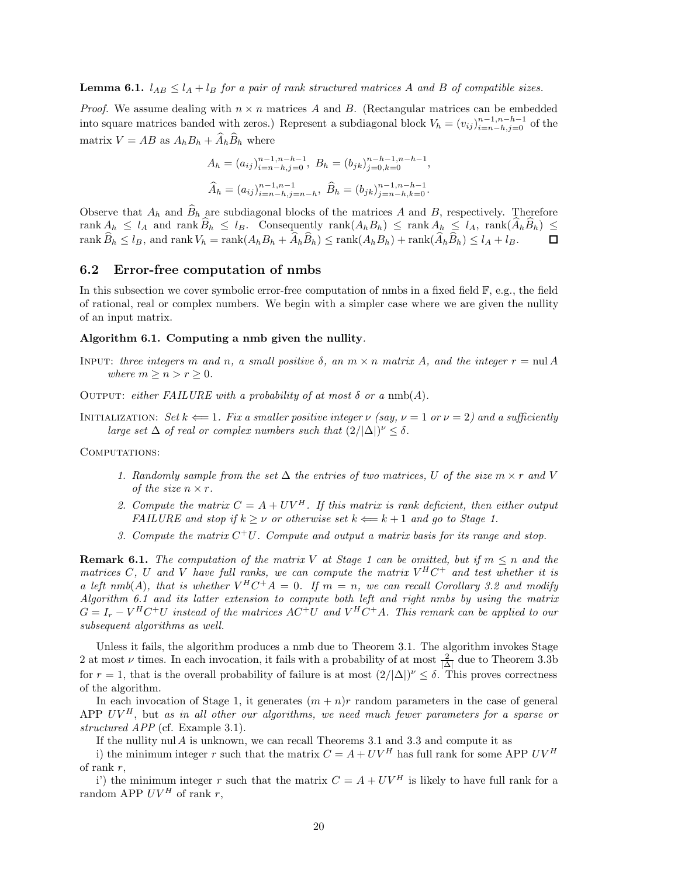**Lemma 6.1.**  $l_{AB} \leq l_A + l_B$  *for a pair of rank structured matrices* A *and* B *of compatible sizes.* 

*Proof.* We assume dealing with  $n \times n$  matrices A and B. (Rectangular matrices can be embedded into square matrices banded with zeros.) Represent a subdiagonal block  $V_h = (v_{ij})_{i=n-h,j=0}^{n-1,n-h-1}$  of the matrix  $V = AB$  as  $A_h B_h + \widehat{A}_h \widehat{B}_h$  where

$$
A_h = (a_{ij})_{i=n-h,j=0}^{n-1,n-h-1}, B_h = (b_{jk})_{j=0,k=0}^{n-h-1,n-h-1},
$$
  

$$
\widehat{A}_h = (a_{ij})_{i=n-h,j=n-h}^{n-1,n-1}, \widehat{B}_h = (b_{jk})_{j=n-h,k=0}^{n-1,n-h-1}.
$$

Observe that  $A_h$  and  $\widehat{B}_h$  are subdiagonal blocks of the matrices A and B, respectively. Therefore rank  $A_h \leq l_A$  and rank  $\widehat{B}_h \leq l_B$ . Consequently rank $(A_h B_h) \leq$  rank  $A_h \leq l_A$ , rank $(\widehat{A}_h \widehat{B}_h) \leq$  rank  $\widehat{B}_h < l_B$ , and rank  $V_h =$ rank $(A_h B_h + \widehat{A}_h \widehat{B}_h)$  < rank $(A_h B_h) +$ rank $(\widehat{A}_h \widehat{B}_h) \leq l_A + l_B$ . rank  $\widehat{B}_h \leq l_B$ , and rank  $V_h = \text{rank}(A_h B_h + \widehat{A}_h \widehat{B}_h) \leq \text{rank}(A_h B_h) + \text{rank}(\widehat{A}_h \widehat{B}_h) \leq l_A + l_B$ .

#### **6.2 Error-free computation of nmbs**

In this subsection we cover symbolic error-free computation of nmbs in a fixed field F, e.g., the field of rational, real or complex numbers. We begin with a simpler case where we are given the nullity of an input matrix.

#### **Algorithm 6.1. Computing a nmb given the nullity***.*

- INPUT: *three integers* m *and* n, a small positive  $\delta$ , an  $m \times n$  matrix A, and the integer  $r = \text{null } A$ *where*  $m \geq n > r \geq 0$ *.*
- OUTPUT: *either FAILURE with a probability of at most*  $\delta$  *or a* nmb(A).
- INITIALIZATION: *Set*  $k \leftarrow 1$ *. Fix a smaller positive integer*  $\nu$  *(say,*  $\nu = 1$  *or*  $\nu = 2$ *) and a sufficiently large set*  $\Delta$  *of real or complex numbers such that*  $(2/|\Delta|)^{\nu} \leq \delta$ .

#### COMPUTATIONS:

- *1. Randomly sample from the set*  $\Delta$  *the entries of two matrices,* U *of the size*  $m \times r$  *and* V *of the size*  $n \times r$ .
- 2. Compute the matrix  $C = A + UV^H$ . If this matrix is rank deficient, then either output *FAILURE and stop if*  $k > \nu$  *or otherwise set*  $k \Leftarrow k+1$  *and go to Stage 1.*
- *3. Compute the matrix* C<sup>+</sup>U*. Compute and output a matrix basis for its range and stop.*

**Remark 6.1.** *The computation of the matrix* V *at Stage 1 can be omitted, but if*  $m \leq n$  *and the matrices* C, U and V have full ranks, we can compute the matrix  $V^H C^+$  and test whether it is *a left nmb*(A)*, that is whether*  $V^H C^+ A = 0$ *. If*  $m = n$ *, we can recall Corollary 3.2 and modify Algorithm 6.1 and its latter extension to compute both left and right nmbs by using the matrix*  $G = I_r - V^H C^+ U$  instead of the matrices  $AC^+ U$  and  $V^H C^+ A$ . This remark can be applied to our *subsequent algorithms as well.*

Unless it fails, the algorithm produces a nmb due to Theorem 3.1. The algorithm invokes Stage 2 at most  $\nu$  times. In each invocation, it fails with a probability of at most  $\frac{2}{|\Delta|}$  due to Theorem 3.3b for  $r = 1$ , that is the overall probability of failure is at most  $(2/|\Delta|)^{\nu} \leq \delta$ . This proves correctness of the algorithm.

In each invocation of Stage 1, it generates  $(m + n)r$  random parameters in the case of general APP  $UV^H$ , but *as in all other our algorithms, we need much fewer parameters for a sparse or structured APP* (cf. Example 3.1).

If the nullity nul A is unknown, we can recall Theorems 3.1 and 3.3 and compute it as

i) the minimum integer r such that the matrix  $C = A + UV^H$  has full rank for some APP  $UV^H$ of rank r,

i') the minimum integer r such that the matrix  $C = A + UV^H$  is likely to have full rank for a random APP  $UV^H$  of rank r,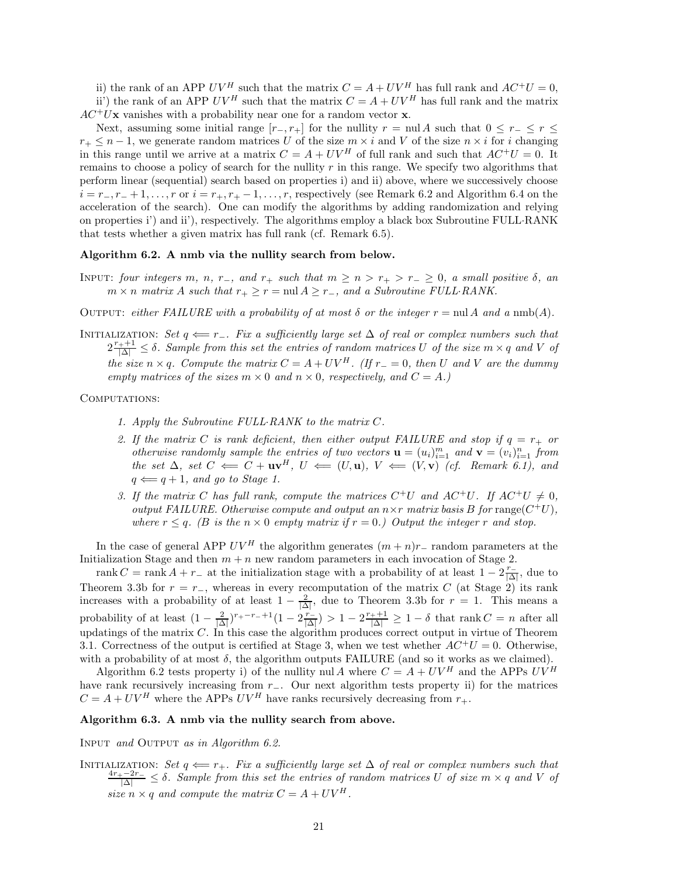ii) the rank of an APP UV<sup>H</sup> such that the matrix  $C = A + UV^H$  has full rank and  $AC^+U = 0$ . ii') the rank of an APP  $UV^H$  such that the matrix  $C = A + UV^H$  has full rank and the matrix

 $AC^{+}U$ **x** vanishes with a probability near one for a random vector **x**.

Next, assuming some initial range  $[r_-, r_+]$  for the nullity  $r = \text{null } A$  such that  $0 \leq r_- \leq r \leq$  $r_+ \leq n-1$ , we generate random matrices U of the size  $m \times i$  and V of the size  $n \times i$  for i changing in this range until we arrive at a matrix  $C = A + UV^H$  of full rank and such that  $AC^+U = 0$ . It remains to choose a policy of search for the nullity  $r$  in this range. We specify two algorithms that perform linear (sequential) search based on properties i) and ii) above, where we successively choose  $i = r_-, r_- + 1, \ldots, r$  or  $i = r_+, r_+ - 1, \ldots, r$ , respectively (see Remark 6.2 and Algorithm 6.4 on the acceleration of the search). One can modify the algorithms by adding randomization and relying on properties i') and ii'), respectively. The algorithms employ a black box Subroutine FULL·RANK that tests whether a given matrix has full rank (cf. Remark 6.5).

#### **Algorithm 6.2. A nmb via the nullity search from below.**

INPUT: *four integers* m, n, r<sub>−</sub>, and r<sub>+</sub> such that  $m \ge n > r_+ > r_- \ge 0$ , a small positive  $\delta$ , an  $m \times n$  *matrix* A such that  $r_+ \geq r = \text{null } A \geq r_-\text{, and a Subroutine FULL-RANK.}$ 

OUTPUT: *either FAILURE with a probability of at most*  $\delta$  *or the integer*  $r = \text{null } A$  *and*  $a \text{ nmb}(A)$ *.* 

INITIALIZATION: *Set*  $q \leftarrow r_-\$ *. Fix a sufficiently large set*  $\Delta$  *of real or complex numbers such that*  $2\frac{r_{+}+1}{|\Delta|} \leq \delta$ . Sample from this set the entries of random matrices U of the size  $m \times q$  and V of  $$ *empty matrices of the sizes*  $m \times 0$  *and*  $n \times 0$ *, respectively, and*  $C = A$ *.*)

COMPUTATIONS:

- *1. Apply the Subroutine FULL*·*RANK to the matrix* C*.*
- 2. If the matrix C is rank deficient, then either output FAILURE and stop if  $q = r_+$  or *otherwise randomly sample the entries of two vectors*  $\mathbf{u} = (u_i)_{i=1}^m$  and  $\mathbf{v} = (v_i)_{i=1}^n$  from *the set*  $\Delta$ *, set*  $C \leftarrow C + \mathbf{u}\mathbf{v}^H$ *,*  $U \leftarrow (U, \mathbf{u})$ *,*  $V \leftarrow (V, \mathbf{v})$  *(cf. Remark 6.1), and*  $q \leftarrow q + 1$ *, and go to Stage 1.*
- *3. If the matrix* C has full rank, compute the matrices  $C^+U$  and  $AC^+U$ . If  $AC^+U \neq 0$ , *output FAILURE. Otherwise compute and output an*  $n \times r$  *matrix basis* B for range( $C^+U$ ), *where*  $r \leq q$ . (*B is the*  $n \times 0$  *empty matrix if*  $r = 0$ *.) Output the integer* r *and stop.*

In the case of general APP  $UV^H$  the algorithm generates  $(m+n)r_$ – random parameters at the Initialization Stage and then  $m + n$  new random parameters in each invocation of Stage 2.

rank  $C = \text{rank } A + r_-$  at the initialization stage with a probability of at least  $1 - 2 \frac{r_-}{|\Delta|}$ , due to Theorem 3.3b for  $r = r_-\,$ , whereas in every recomputation of the matrix C (at Stage 2) its rank increases with a probability of at least  $1 - \frac{2}{|\Delta|}$ , due to Theorem 3.3b for  $r = 1$ . This means a probability of at least  $\left(1 - \frac{2}{|\Delta|}\right)^{r_+ - r_- + 1} \left(1 - 2\frac{r_-}{|\Delta|}\right) > 1 - 2\frac{r_+ + 1}{|\Delta|} \ge 1 - \delta$  that rank  $C = n$  after all updatings of the matrix  $C$ . In this case the algorithm produces correct output in virtue of Theorem 3.1. Correctness of the output is certified at Stage 3, when we test whether  $AC^{+}U = 0$ . Otherwise, with a probability of at most  $\delta$ , the algorithm outputs FAILURE (and so it works as we claimed).

Algorithm 6.2 tests property i) of the nullity nul A where  $C = A + UV^H$  and the APPs  $UV^H$ have rank recursively increasing from r−. Our next algorithm tests property ii) for the matrices  $C = A + UV^H$  where the APPs  $UV^H$  have ranks recursively decreasing from  $r_+$ .

#### **Algorithm 6.3. A nmb via the nullity search from above.**

Input *and* Output *as in Algorithm 6.2.*

INITIALIZATION: Set  $q \leftarrow r_+$ *. Fix a sufficiently large set*  $\Delta$  *of real or complex numbers such that* <sup>4</sup>r+−2r*<sup>−</sup>* <sup>|</sup>∆<sup>|</sup> <sup>≤</sup> <sup>δ</sup>*. Sample from this set the entries of random matrices* <sup>U</sup> *of size* <sup>m</sup> <sup>×</sup> <sup>q</sup> *and* <sup>V</sup> *of size*  $n \times q$  *and compute the matrix*  $C = A + UV^H$ .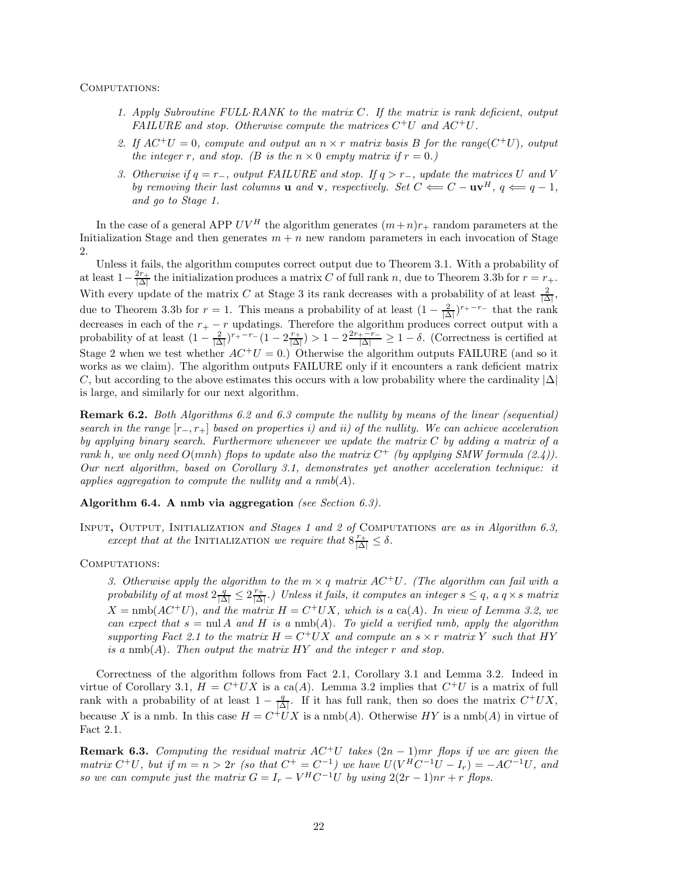#### COMPUTATIONS:

- *1. Apply Subroutine FULL*·*RANK to the matrix* C*. If the matrix is rank deficient, output FAILURE and stop. Otherwise compute the matrices* C+U *and* AC+U*.*
- 2. If  $AC^+U = 0$ , compute and output an  $n \times r$  matrix basis B for the range $(C^+U)$ , output *the integer* r, and stop. (*B* is the  $n \times 0$  *empty matrix if*  $r = 0$ *.*)
- *3. Otherwise if* q = r−*, output FAILURE and stop. If* q>r−*, update the matrices* U *and* V *by removing their last columns* **u** *and* **v***, respectively. Set*  $C \leftarrow C - \mathbf{u}\mathbf{v}^H$ ,  $q \leftarrow q - 1$ , *and go to Stage 1.*

In the case of a general APP  $UV^H$  the algorithm generates  $(m+n)r_+$  random parameters at the Initialization Stage and then generates  $m + n$  new random parameters in each invocation of Stage 2.

Unless it fails, the algorithm computes correct output due to Theorem 3.1. With a probability of at least  $1-\frac{2r_+}{|\Delta|}$  the initialization produces a matrix C of full rank n, due to Theorem 3.3b for  $r = r_+$ . With every update of the matrix C at Stage 3 its rank decreases with a probability of at least  $\frac{2}{|\Delta|}$ , due to Theorem 3.3b for  $r = 1$ . This means a probability of at least  $(1 - \frac{2}{|\Delta|})^{r_+ - r_-}$  that the rank decreases in each of the  $r_{+} - r$  updatings. Therefore the algorithm produces correct output with a probability of at least  $\left(1 - \frac{2}{|\Delta|}\right)^{r_+ - r_-} \left(1 - 2\frac{r_+}{|\Delta|}\right) > 1 - 2\frac{2r_+ - r_-}{|\Delta|} \geq 1 - \delta$ . (Correctness is certified at Stage 2 when we test whether  $AC^+U = 0$ .) Otherwise the algorithm outputs FAILURE (and so it works as we claim). The algorithm outputs FAILURE only if it encounters a rank deficient matrix C, but according to the above estimates this occurs with a low probability where the cardinality  $|\Delta|$ is large, and similarly for our next algorithm.

**Remark 6.2.** *Both Algorithms 6.2 and 6.3 compute the nullity by means of the linear (sequential) search in the range* [r−, r+] *based on properties i) and ii) of the nullity. We can achieve acceleration by applying binary search. Furthermore whenever we update the matrix* C *by adding a matrix of a rank* h*, we only need* O(mnh) *flops to update also the matrix* C<sup>+</sup> *(by applying SMW formula (2.4)). Our next algorithm, based on Corollary 3.1, demonstrates yet another acceleration technique: it applies aggregation to compute the nullity and a nmb*(A)*.*

#### **Algorithm 6.4. A nmb via aggregation** *(see Section 6.3).*

Input**,** Output*,* Initialization *and Stages 1 and 2 of* Computations *are as in Algorithm 6.3, except that at the* INITIALIZATION *we require that*  $8 \frac{r_+}{|\Delta|} \leq \delta$ .

#### COMPUTATIONS:

*3. Otherwise apply the algorithm to the*  $m \times q$  *matrix*  $AC^+U$ *. (The algorithm can fail with a*  $probability of at most  $2\frac{q}{|\Delta|} \leq 2\frac{r_+}{|\Delta|}$ .) Unless it fails, it computes an integer  $s \leq q$ , a  $q \times s$  matrix$  $X = \text{nmb}(AC^+U)$ *, and the matrix*  $H = C^+UX$ *, which is a* ca(A). In view of Lemma 3.2, we *can expect that*  $s = \text{null } A$  *and*  $H$  *is a*  $\text{nnb}(A)$ *. To yield a verified nmb, apply the algorithm supporting Fact 2.1 to the matrix*  $H = C^+UX$  *and compute an*  $s \times r$  *matrix* Y *such that*  $HY$ *is a* nmb(A)*. Then output the matrix* HY *and the integer* r *and stop.*

Correctness of the algorithm follows from Fact 2.1, Corollary 3.1 and Lemma 3.2. Indeed in virtue of Corollary 3.1,  $H = C^+UX$  is a ca(A). Lemma 3.2 implies that  $C^+U$  is a matrix of full rank with a probability of at least  $1 - \frac{q}{|\Delta|}$ . If it has full rank, then so does the matrix  $C^+UX$ , because X is a nmb. In this case  $H = C^+UX$  is a nmb(A). Otherwise HY is a nmb(A) in virtue of Fact 2.1.

**Remark 6.3.** *Computing the residual matrix*  $AC^+U$  *takes*  $(2n - 1)mr$  *flops if we are given the*  $matrix C^+U$ , but if  $m = n > 2r$  *(so that*  $C^+ = C^{-1}$ *)* we have  $U(V^H C^{-1}U - I_r) = -AC^{-1}U$ , and *so we can compute just the matrix*  $G = I_r - V^H C^{-1} U$  *by using*  $2(2r - 1)nr + r$  *flops.*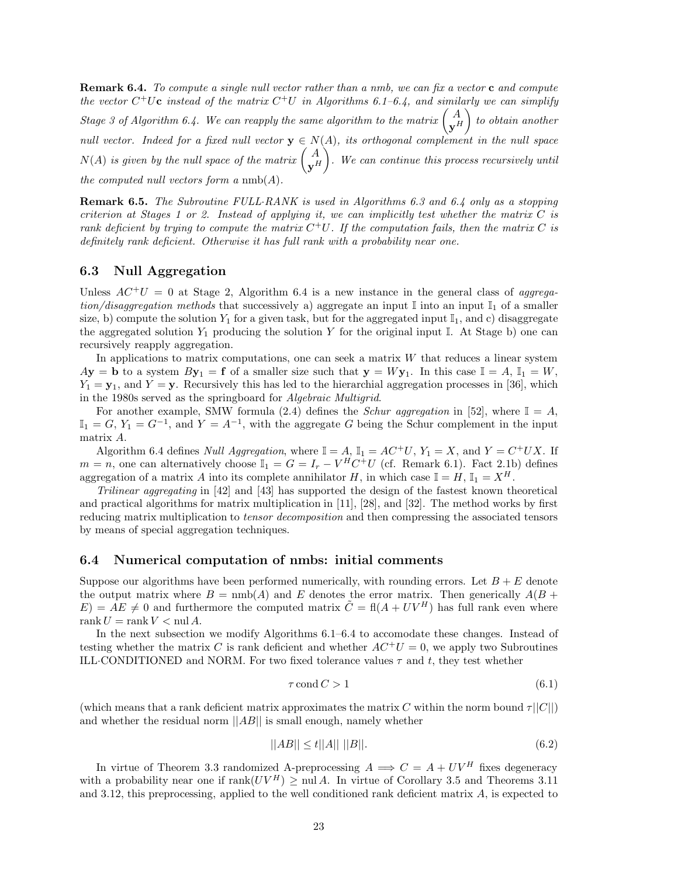**Remark 6.4.** *To compute a single null vector rather than a nmb, we can fix a vector* **c** *and compute the vector*  $C^+U$ **c** *instead of the matrix*  $C^+U$  *in Algorithms 6.1–6.4, and similarly we can simplify Stage 3 of Algorithm 6.4. We can reapply the same algorithm to the matrix*  $\begin{pmatrix} A \ Y^H & 0 \end{pmatrix}$ - *to obtain another null vector. Indeed for a fixed null vector*  $\mathbf{y} \in N(A)$ *, its orthogonal complement in the null space*  $N(A)$  is given by the null space of the matrix  $\begin{pmatrix} A \ \mathbf{y}^H \end{pmatrix}$ -*. We can continue this process recursively until the computed null vectors form a* nmb(A)*.*

**Remark 6.5.** *The Subroutine FULL*·*RANK is used in Algorithms 6.3 and 6.4 only as a stopping criterion at Stages 1 or 2. Instead of applying it, we can implicitly test whether the matrix* C *is rank deficient by trying to compute the matrix*  $C^+U$ . If the computation fails, then the matrix C is *definitely rank deficient. Otherwise it has full rank with a probability near one.*

#### **6.3 Null Aggregation**

Unless  $AC^+U = 0$  at Stage 2, Algorithm 6.4 is a new instance in the general class of *aggregation/disaggregation methods* that successively a) aggregate an input  $\mathbb{I}$  into an input  $\mathbb{I}_1$  of a smaller size, b) compute the solution  $Y_1$  for a given task, but for the aggregated input  $\mathbb{I}_1$ , and c) disaggregate the aggregated solution  $Y_1$  producing the solution Y for the original input I. At Stage b) one can recursively reapply aggregation.

In applications to matrix computations, one can seek a matrix W that reduces a linear system  $A$ **y** = **b** to a system  $B$ **y**<sub>1</sub> = **f** of a smaller size such that  $y = Wy_1$ . In this case  $I = A$ ,  $I_1 = W$ ,  $Y_1 = \mathbf{y}_1$ , and  $Y = \mathbf{y}$ . Recursively this has led to the hierarchial aggregation processes in [36], which in the 1980s served as the springboard for *Algebraic Multigrid*.

For another example, SMW formula (2.4) defines the *Schur aggregation* in [52], where  $\mathbb{I} = A$ ,  $\mathbb{I}_1 = G$ ,  $Y_1 = G^{-1}$ , and  $Y = A^{-1}$ , with the aggregate G being the Schur complement in the input matrix A.

Algorithm 6.4 defines *Null Aggregation*, where  $\mathbb{I} = A$ ,  $\mathbb{I}_1 = AC^+U$ ,  $Y_1 = X$ , and  $Y = C^+UX$ . If  $m = n$ , one can alternatively choose  $\mathbb{I}_1 = G = I_r - V^H C^+ U$  (cf. Remark 6.1). Fact 2.1b) defines aggregation of a matrix A into its complete annihilator H, in which case  $\mathbb{I} = H$ ,  $\mathbb{I}_1 = X^H$ .

*Trilinear aggregating* in [42] and [43] has supported the design of the fastest known theoretical and practical algorithms for matrix multiplication in [11], [28], and [32]. The method works by first reducing matrix multiplication to *tensor decomposition* and then compressing the associated tensors by means of special aggregation techniques.

#### **6.4 Numerical computation of nmbs: initial comments**

Suppose our algorithms have been performed numerically, with rounding errors. Let  $B + E$  denote the output matrix where  $B = \text{nmb}(A)$  and E denotes the error matrix. Then generically  $A(B +$  $E$  = AE  $\neq$  0 and furthermore the computed matrix  $\tilde{C} = \text{fl}(A + UV^H)$  has full rank even where rank  $U = \text{rank } V < \text{null } A$ .

In the next subsection we modify Algorithms 6.1–6.4 to accomodate these changes. Instead of testing whether the matrix C is rank deficient and whether  $AC^+U = 0$ , we apply two Subroutines ILL·CONDITIONED and NORM. For two fixed tolerance values  $\tau$  and  $t$ , they test whether

$$
\tau \operatorname{cond} C > 1\tag{6.1}
$$

(which means that a rank deficient matrix approximates the matrix C within the norm bound  $\tau||C||$ ) and whether the residual norm  $||AB||$  is small enough, namely whether

$$
||AB|| \le t||A|| \, ||B||. \tag{6.2}
$$

In virtue of Theorem 3.3 randomized A-preprocessing  $A \implies C = A + UV^H$  fixes degeneracy with a probability near one if  $\text{rank}(UV^H) > \text{null } A$ . In virtue of Corollary 3.5 and Theorems 3.11 and 3.12, this preprocessing, applied to the well conditioned rank deficient matrix A, is expected to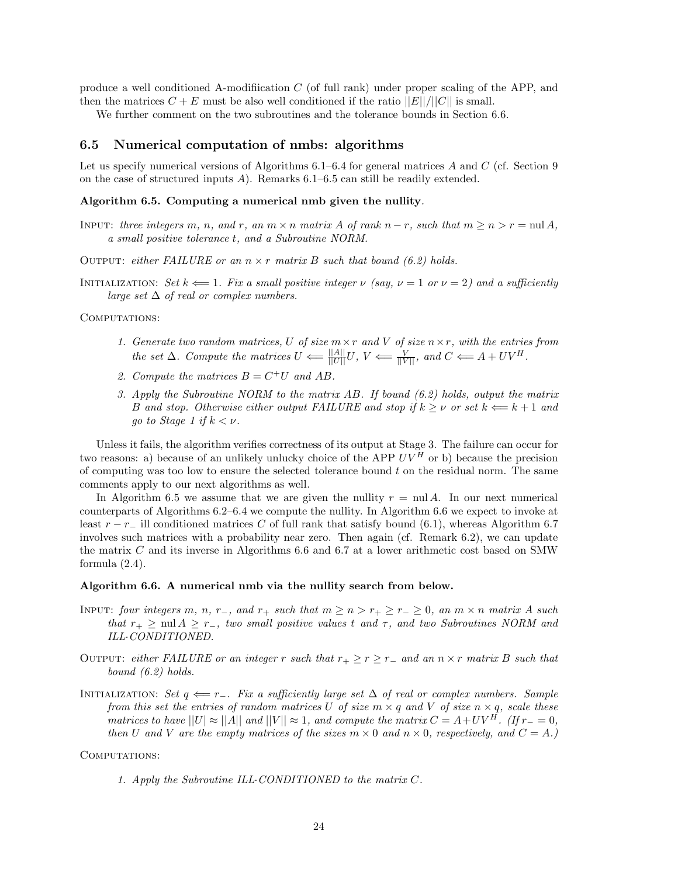produce a well conditioned A-modifiication C (of full rank) under proper scaling of the APP, and then the matrices  $C + E$  must be also well conditioned if the ratio  $||E||/||C||$  is small.

We further comment on the two subroutines and the tolerance bounds in Section 6.6.

#### **6.5 Numerical computation of nmbs: algorithms**

Let us specify numerical versions of Algorithms  $6.1-6.4$  for general matrices A and C (cf. Section 9) on the case of structured inputs A). Remarks 6.1–6.5 can still be readily extended.

#### **Algorithm 6.5. Computing a numerical nmb given the nullity***.*

- INPUT: *three integers* m, n, and r, an  $m \times n$  matrix A of rank  $n r$ , such that  $m \ge n > r = \text{null } A$ , *a small positive tolerance* t*, and a Subroutine NORM.*
- OUTPUT: *either FAILURE* or an  $n \times r$  *matrix* B *such that bound* (6.2) holds.
- INITIALIZATION: *Set*  $k \leftarrow 1$ *. Fix a small positive integer*  $\nu$  *(say,*  $\nu = 1$  *or*  $\nu = 2$ *) and a sufficiently large set* ∆ *of real or complex numbers.*

COMPUTATIONS:

- *1. Generate two random matrices,* U *of size* m×r *and* V *of size* n×r*, with the entries from the set*  $\Delta$ *. Compute the matrices*  $U \leftarrow \frac{||A||}{||U||} U$ ,  $V \leftarrow \frac{V}{||V||}$ *, and*  $C \leftarrow A + UV^H$ *.*
- 2. Compute the matrices  $B = C^+U$  and AB.
- *3. Apply the Subroutine NORM to the matrix* AB*. If bound (6.2) holds, output the matrix* B and stop. Otherwise either output FAILURE and stop if  $k \geq \nu$  or set  $k \Leftarrow k+1$  and *go to Stage 1 if*  $k < \nu$ *.*

Unless it fails, the algorithm verifies correctness of its output at Stage 3. The failure can occur for two reasons: a) because of an unlikely unlucky choice of the APP  $UV^H$  or b) because the precision of computing was too low to ensure the selected tolerance bound t on the residual norm. The same comments apply to our next algorithms as well.

In Algorithm 6.5 we assume that we are given the nullity  $r = \text{nu} A$ . In our next numerical counterparts of Algorithms 6.2–6.4 we compute the nullity. In Algorithm 6.6 we expect to invoke at least  $r - r_-\$  ill conditioned matrices C of full rank that satisfy bound (6.1), whereas Algorithm 6.7 involves such matrices with a probability near zero. Then again (cf. Remark 6.2), we can update the matrix C and its inverse in Algorithms 6.6 and 6.7 at a lower arithmetic cost based on SMW formula (2.4).

#### **Algorithm 6.6. A numerical nmb via the nullity search from below.**

- INPUT: *four integers*  $m$ *,*  $n$ *,*  $r_$ *, and*  $r_+$  *such that*  $m \geq n > r_+ \geq r_- \geq 0$ *, an*  $m \times n$  *matrix* A *such that*  $r_+ \geq \text{null } A \geq r_-$ , *two small positive values t and*  $\tau$ , *and two Subroutines NORM and ILL*·*CONDITIONED.*
- OUTPUT: *either FAILURE* or an integer r *such that*  $r_+ \geq r \geq r_-$  and an  $n \times r$  *matrix* B *such that bound (6.2) holds.*
- Initialization: *Set* q ⇐= r−*. Fix a sufficiently large set* ∆ *of real or complex numbers. Sample from this set the entries of random matrices* U *of size*  $m \times q$  *and* V *of size*  $n \times q$ *, scale these matrices to have*  $||U| \approx ||A||$  *and*  $||V|| \approx 1$ *, and compute the matrix*  $C = A + UV^H$ *. (If*  $r_ = 0$ *, then* U and V are the empty matrices of the sizes  $m \times 0$  and  $n \times 0$ , respectively, and  $C = A$ .)

COMPUTATIONS:

*1. Apply the Subroutine ILL*·*CONDITIONED to the matrix* C*.*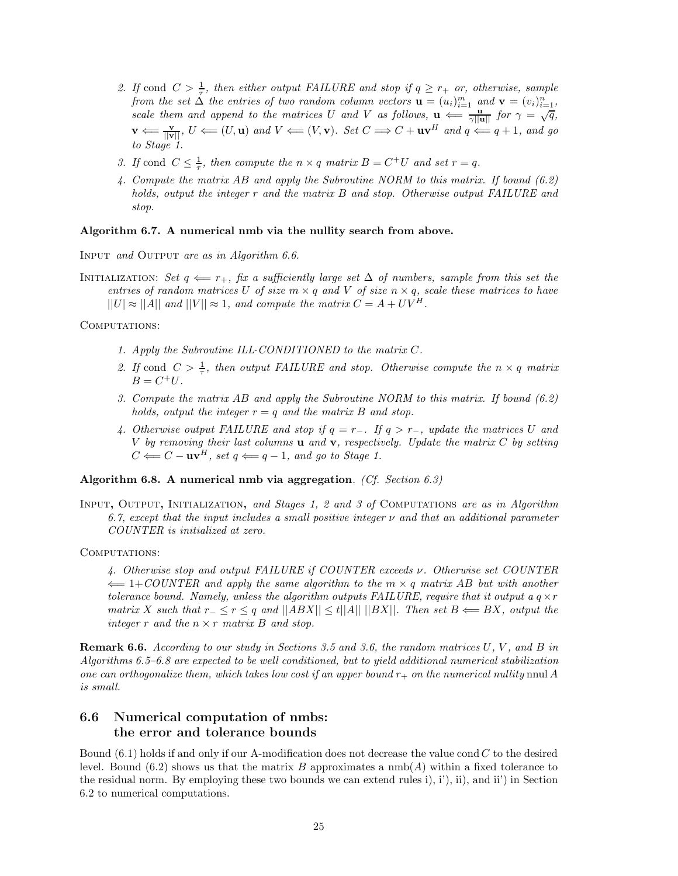- 2. If cond  $C > \frac{1}{\tau}$ , then either output FAILURE and stop if  $q \geq r_+$  or, otherwise, sample *from the set*  $\Delta$  *the entries of two random column vectors*  $\mathbf{u} = (u_i)_{i=1}^m$  *and*  $\mathbf{v} = (v_i)_{i=1}^n$ *, scale them and append to the matrices* U *and* V *as follows,*  $\mathbf{u} \leftarrow \frac{\mathbf{u}_i}{\gamma ||\mathbf{u}||}$  *for*  $\gamma = \sqrt{q}$ *,*  $\frac{\mathbf{u}_i}{\gamma ||\mathbf{u}||}$  *for*  $\gamma = \sqrt{q}$ *,*  $\mathbf{v} \leftarrow \frac{\mathbf{v}}{\|\mathbf{v}\|}, \ U \leftarrow (U, \mathbf{u}) \text{ and } V \leftarrow (V, \mathbf{v})$ *. Set*  $C \Longrightarrow C + \mathbf{u}\mathbf{v}^H \text{ and } q \leftarrow q+1$ *, and go to Stage 1.*
- *3. If* cond  $C \leq \frac{1}{\tau}$ , then compute the  $n \times q$  matrix  $B = C^+U$  and set  $r = q$ .
- *4. Compute the matrix* AB *and apply the Subroutine NORM to this matrix. If bound (6.2) holds, output the integer* r *and the matrix* B *and stop. Otherwise output FAILURE and stop.*

#### **Algorithm 6.7. A numerical nmb via the nullity search from above.**

Input *and* Output *are as in Algorithm 6.6.*

INITIALIZATION: *Set*  $q \leftarrow r_+$ *, fix a sufficiently large set*  $\Delta$  *of numbers, sample from this set the entries of random matrices* U *of size*  $m \times q$  *and* V *of size*  $n \times q$ *, scale these matrices to have*  $||U| \approx ||A||$  and  $||V|| \approx 1$ , and compute the matrix  $C = A + UV^H$ .

COMPUTATIONS:

- *1. Apply the Subroutine ILL*·*CONDITIONED to the matrix* C*.*
- 2. If cond  $C > \frac{1}{\tau}$ , then output FAILURE and stop. Otherwise compute the  $n \times q$  matrix  $B = C^+U.$
- *3. Compute the matrix* AB *and apply the Subroutine NORM to this matrix. If bound (6.2) holds, output the integer*  $r = q$  *and the matrix* B *and stop.*
- *4. Otherwise output FAILURE and stop if* q = r−*. If* q>r−*, update the matrices* U *and* V *by removing their last columns* **u** *and* **v***, respectively. Update the matrix* C *by setting*  $C \leftarrow C - \mathbf{u}\mathbf{v}^H$ , set  $q \leftarrow q - 1$ , and go to Stage 1.

#### **Algorithm 6.8. A numerical nmb via aggregation***. (Cf. Section 6.3)*

Input**,** Output**,** Initialization**,** *and Stages 1, 2 and 3 of* Computations *are as in Algorithm 6.7, except that the input includes a small positive integer* ν *and that an additional parameter COUNTER is initialized at zero.*

COMPUTATIONS:

*4. Otherwise stop and output FAILURE if COUNTER exceeds* ν*. Otherwise set COUNTER* ⇐= 1+*COUNTER and apply the same algorithm to the* m × q *matrix* AB *but with another tolerance bound. Namely, unless the algorithm outputs FAILURE, require that it output a* $q \times r$ *matrix* X such that  $r_− ≤ r ≤ q$  and  $||ABX|| ≤ t||A|| ||BX||$ *. Then set*  $B \Leftarrow BX$ *, output the integer* r *and the* n × r *matrix* B *and stop.*

**Remark 6.6.** *According to our study in Sections 3.5 and 3.6, the random matrices* U*,* V *, and* B *in Algorithms 6.5–6.8 are expected to be well conditioned, but to yield additional numerical stabilization one can orthogonalize them, which takes low cost if an upper bound*  $r_+$  *on the numerical nullity* nnul A *is small.*

## **6.6 Numerical computation of nmbs: the error and tolerance bounds**

Bound  $(6.1)$  holds if and only if our A-modification does not decrease the value cond C to the desired level. Bound  $(6.2)$  shows us that the matrix B approximates a  $\text{nmb}(A)$  within a fixed tolerance to the residual norm. By employing these two bounds we can extend rules i), i'), ii), and ii') in Section 6.2 to numerical computations.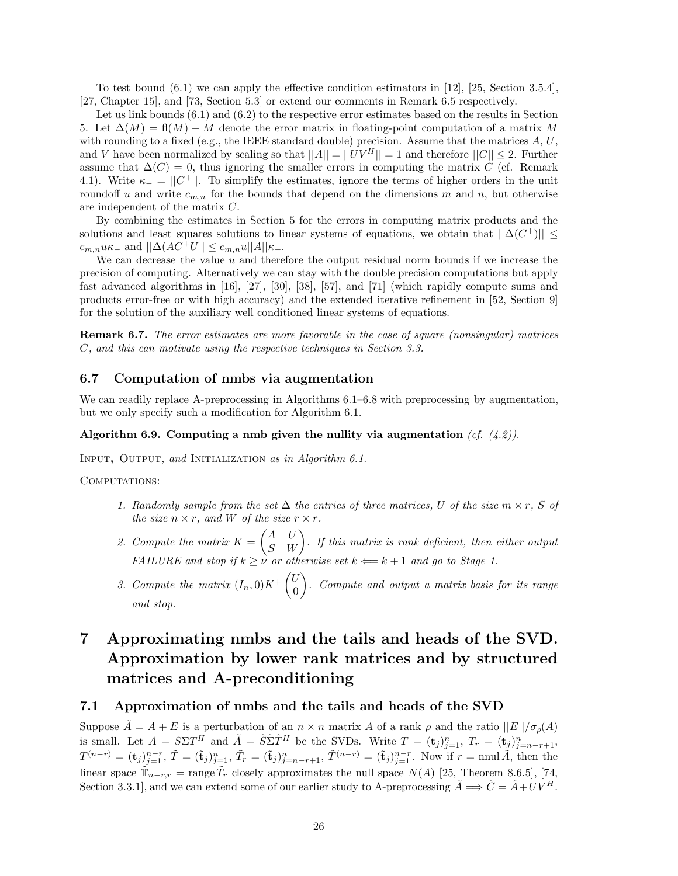To test bound (6.1) we can apply the effective condition estimators in [12], [25, Section 3.5.4], [27, Chapter 15], and [73, Section 5.3] or extend our comments in Remark 6.5 respectively.

Let us link bounds  $(6.1)$  and  $(6.2)$  to the respective error estimates based on the results in Section 5. Let  $\Delta(M) = \text{fl}(M) - M$  denote the error matrix in floating-point computation of a matrix M with rounding to a fixed (e.g., the IEEE standard double) precision. Assume that the matrices  $A, U$ , and V have been normalized by scaling so that  $||A|| = ||UV^H|| = 1$  and therefore  $||C|| \leq 2$ . Further assume that  $\Delta(C) = 0$ , thus ignoring the smaller errors in computing the matrix C (cf. Remark 4.1). Write  $\kappa_-=||C^+||$ . To simplify the estimates, ignore the terms of higher orders in the unit roundoff u and write  $c_{m,n}$  for the bounds that depend on the dimensions m and n, but otherwise are independent of the matrix C.

By combining the estimates in Section 5 for the errors in computing matrix products and the solutions and least squares solutions to linear systems of equations, we obtain that  $||\Delta(C^+)|| \le$  $c_{m,n}u\kappa_-\text{ and }||\Delta(AC^+U||\leq c_{m,n}u||A||\kappa_-\text{.}$ 

We can decrease the value  $u$  and therefore the output residual norm bounds if we increase the precision of computing. Alternatively we can stay with the double precision computations but apply fast advanced algorithms in [16], [27], [30], [38], [57], and [71] (which rapidly compute sums and products error-free or with high accuracy) and the extended iterative refinement in [52, Section 9] for the solution of the auxiliary well conditioned linear systems of equations.

**Remark 6.7.** *The error estimates are more favorable in the case of square (nonsingular) matrices* C*, and this can motivate using the respective techniques in Section 3.3.*

#### **6.7 Computation of nmbs via augmentation**

We can readily replace A-preprocessing in Algorithms  $6.1-6.8$  with preprocessing by augmentation, but we only specify such a modification for Algorithm 6.1.

#### **Algorithm 6.9. Computing a nmb given the nullity via augmentation** *(cf. (4.2)).*

Input**,** Output*, and* Initialization *as in Algorithm 6.1.*

COMPUTATIONS:

- *1. Randomly sample from the set*  $\Delta$  *the entries of three matrices, U of the size*  $m \times r$ *, S of the size*  $n \times r$ *, and W of the size*  $r \times r$ *.*
- 2. Compute the matrix  $K = \begin{pmatrix} A & U \ S & W \end{pmatrix}$ . If this matrix is rank deficient, then either output *FAILURE and stop if*  $k \geq \nu$  *or otherwise set*  $k \Leftarrow k+1$  *and go to Stage 1.*
- 3. Compute the matrix  $(I_n, 0)K^+\begin{pmatrix} U_n \end{pmatrix}$ 0 - *. Compute and output a matrix basis for its range and stop.*

## **7 Approximating nmbs and the tails and heads of the SVD. Approximation by lower rank matrices and by structured matrices and A-preconditioning**

#### **7.1 Approximation of nmbs and the tails and heads of the SVD**

Suppose  $\tilde{A} = A + E$  is a perturbation of an  $n \times n$  matrix A of a rank  $\rho$  and the ratio  $||E|| / \sigma_o(A)$ is small. Let  $A = S\Sigma T^H$  and  $\tilde{A} = \tilde{S}\tilde{\Sigma}\tilde{T}^H$  be the SVDs. Write  $T = (\mathbf{t}_j)_{j=1}^n$ ,  $T_r = (\mathbf{t}_j)_{j=n-r+1}^n$ ,  $T^{(n-r)} = (\mathbf{t}_j)_{j=1}^{n-r}, \tilde{T} = (\tilde{\mathbf{t}}_j)_{j=1}^n, \tilde{T}_r = (\tilde{\mathbf{t}}_j)_{j=n-r+1}^n, \tilde{T}^{(n-r)} = (\tilde{\mathbf{t}}_j)_{j=1}^{n-r}.$  Now if  $r = \text{null }\tilde{A}$ , then the linear space  $\mathbb{T}_{n-r,r}$  = range  $\bar{T}_r$  closely approximates the null space  $N(A)$  [25, Theorem 8.6.5], [74, Section 3.3.1], and we can extend some of our earlier study to A-preprocessing  $\tilde{A} \Longrightarrow \tilde{C} = \tilde{A} + UV^H$ .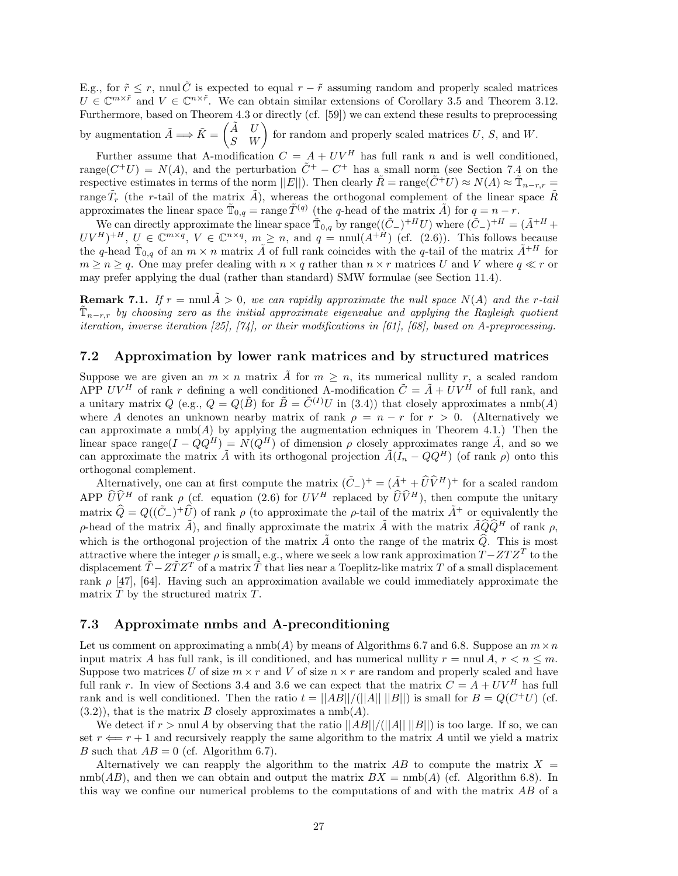E.g., for  $\tilde{r} \leq r$ , nnul  $\tilde{C}$  is expected to equal  $r - \tilde{r}$  assuming random and properly scaled matrices  $U \in \mathbb{C}^{m \times \tilde{r}}$  and  $V \in \mathbb{C}^{n \times \tilde{r}}$ . We can obtain similar extensions of Corollary 3.5 and Theorem 3.12. Furthermore, based on Theorem 4.3 or directly (cf. [59]) we can extend these results to preprocessing by augmentation  $\tilde{A} \Longrightarrow \tilde{K} = \begin{pmatrix} \tilde{A} & U \\ S & W \end{pmatrix}$  for random and properly scaled matrices U, S, and W.

Further assume that A-modification  $C = A + UV^H$  has full rank n and is well conditioned, range( $C^+U$ ) =  $N(A)$ , and the perturbation  $\tilde{C}^+ - C^+$  has a small norm (see Section 7.4 on the respective estimates in terms of the norm  $||E||$ . Then clearly  $\tilde{R} = \text{range}(\tilde{C}^+U) \approx N(A) \approx \tilde{T}_{n-r,r} =$ range  $\tilde{T}_r$  (the r-tail of the matrix  $\tilde{A}$ ), whereas the orthogonal complement of the linear space  $\tilde{R}$ approximates the linear space  $\tilde{T}_{0,q} = \text{range } \tilde{T}^{(q)}$  (the q-head of the matrix  $\tilde{A}$ ) for  $q = n - r$ .

We can directly approximate the linear space  $\tilde{T}_{0,q}$  by range $((\tilde{C}_{-})+H)$  where  $(\tilde{C}_{-})+H = (\tilde{A}+H)$  $UV^H)^{+H}$ ,  $U \in \mathbb{C}^{m \times q}$ ,  $V \in \mathbb{C}^{n \times q}$ ,  $m \geq n$ , and  $q = \text{null}(A^{+H})$  (cf. (2.6)). This follows because the q-head  $\tilde{T}_{0,q}$  of an  $m \times n$  matrix  $\tilde{A}$  of full rank coincides with the q-tail of the matrix  $\tilde{A}^{+H}$  for  $m \geq n \geq q$ . One may prefer dealing with  $n \times q$  rather than  $n \times r$  matrices U and V where  $q \ll r$  or may prefer applying the dual (rather than standard) SMW formulae (see Section 11.4).

**Remark 7.1.** If  $r = \text{null } A > 0$ , we can rapidly approximate the null space  $N(A)$  and the r-tail  $\mathbb{T}_{n-r,r}$  by choosing zero as the initial approximate eigenvalue and applying the Rayleigh quotient *iteration, inverse iteration [25], [74], or their modifications in [61], [68], based on A-preprocessing.*

#### **7.2 Approximation by lower rank matrices and by structured matrices**

Suppose we are given an  $m \times n$  matrix  $\tilde{A}$  for  $m \geq n$ , its numerical nullity r, a scaled random APP UV<sup>H</sup> of rank r defining a well conditioned A-modification  $\tilde{C} = \tilde{A} + UV^H$  of full rank, and a unitary matrix  $Q$  (e.g.,  $Q = Q(\tilde{B})$  for  $\tilde{B} = \tilde{C}^{(I)}U$  in (3.4)) that closely approximates a nmb(A) where A denotes an unknown nearby matrix of rank  $\rho = n - r$  for  $r > 0$ . (Alternatively we can approximate a  $\text{nmb}(A)$  by applying the augmentation echniques in Theorem 4.1.) Then the linear space range $(I - QQ^H) = N(Q^H)$  of dimension  $\rho$  closely approximates range  $\tilde{A}$ , and so we can approximate the matrix  $\tilde{A}$  with its orthogonal projection  $\tilde{A}(I_n - QQ^H)$  (of rank  $\rho$ ) onto this orthogonal complement.

Alternatively, one can at first compute the matrix  $(\tilde{C}_{-})^{+} = (\tilde{A}^{+} + \hat{U}\hat{V}^{H})^{+}$  for a scaled random APP  $\widehat{U}\widehat{V}^H$  of rank  $\rho$  (cf. equation (2.6) for  $UV^H$  replaced by  $\widehat{U}\widehat{V}^H$ ), then compute the unitary matrix  $\hat{Q} = Q((\tilde{C}_{-})^{+}\hat{U})$  of rank  $\rho$  (to approximate the  $\rho$ -tail of the matrix  $\tilde{A}^{+}$  or equivalently the ρ-head of the matrix  $\tilde{A}$ ), and finally approximate the matrix  $\tilde{A}$  with the matrix  $\tilde{A}\hat{Q}\hat{Q}^H$  of rank ρ, which is the orthogonal projection of the matrix  $\tilde{A}$  onto the range of the matrix  $\hat{Q}$ . This is most attractive where the integer  $\rho$  is small, e.g., where we seek a low rank approximation  $T - ZTZ^{T}$  to the displacement  $\tilde{T}-Z\tilde{T}Z^{T}$  of a matrix  $\tilde{T}$  that lies near a Toeplitz-like matrix T of a small displacement rank  $\rho$  [47], [64]. Having such an approximation available we could immediately approximate the matrix  $T$  by the structured matrix  $T$ .

#### **7.3 Approximate nmbs and A-preconditioning**

Let us comment on approximating a nmb(A) by means of Algorithms 6.7 and 6.8. Suppose an  $m \times n$ input matrix A has full rank, is ill conditioned, and has numerical nullity  $r = \text{mul } A, r < n \leq m$ . Suppose two matrices U of size  $m \times r$  and V of size  $n \times r$  are random and properly scaled and have full rank r. In view of Sections 3.4 and 3.6 we can expect that the matrix  $C = A + UV^H$  has full rank and is well conditioned. Then the ratio  $t = ||AB||/(||A|| \, ||B||)$  is small for  $B = Q(C^+U)$  (cf.  $(3.2)$ , that is the matrix B closely approximates a nmb(A).

We detect if  $r > \text{nnul } A$  by observing that the ratio  $||AB||/||A|| ||B||$  is too large. If so, we can set  $r \leftarrow r + 1$  and recursively reapply the same algorithm to the matrix A until we yield a matrix B such that  $AB = 0$  (cf. Algorithm 6.7).

Alternatively we can reapply the algorithm to the matrix  $AB$  to compute the matrix  $X =$  $nmb(AB)$ , and then we can obtain and output the matrix  $BX = nmb(A)$  (cf. Algorithm 6.8). In this way we confine our numerical problems to the computations of and with the matrix AB of a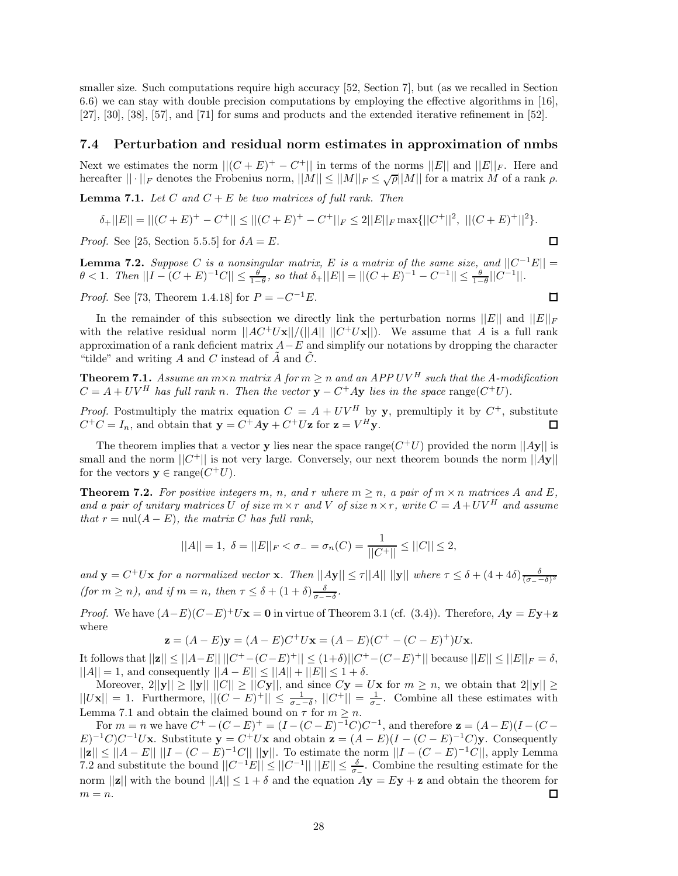smaller size. Such computations require high accuracy [52, Section 7], but (as we recalled in Section 6.6) we can stay with double precision computations by employing the effective algorithms in [16], [27], [30], [38], [57], and [71] for sums and products and the extended iterative refinement in [52].

#### **7.4 Perturbation and residual norm estimates in approximation of nmbs**

Next we estimates the norm  $||(C + E)^+ - C^+||$  in terms of the norms  $||E||$  and  $||E||_F$ . Here and hereafter  $|| \cdot ||_F$  denotes the Frobenius norm,  $||M|| \le ||M||_F \le \sqrt{\rho} ||M||$  for a matrix M of a rank  $\rho$ .

**Lemma 7.1.** *Let* C and  $C + E$  *be two matrices of full rank. Then* 

$$
\delta_+||E|| = ||(C+E)^+ - C^+|| \le ||(C+E)^+ - C^+||_F \le 2||E||_F \max\{||C^+||^2, ||(C+E)^+||^2\}.
$$

*Proof.* See [25, Section 5.5.5] for  $\delta A = E$ .

**Lemma 7.2.** *Suppose* C *is a nonsingular matrix,* E *is a matrix of the same size, and*  $||C^{-1}E|| =$  $\theta < 1$ . Then  $||I - (C + E)^{-1}C|| \leq \frac{\theta}{1-\theta}$ , so that  $\delta_+ ||E|| = ||(C + E)^{-1} - C^{-1}|| \leq \frac{\theta}{1-\theta}||C^{-1}||$ .

 $\Box$ 

口

*Proof.* See [73, Theorem 1.4.18] for  $P = -C^{-1}E$ .

In the remainder of this subsection we directly link the perturbation norms  $||E||$  and  $||E||_F$ with the relative residual norm  $||AC^+U\mathbf{x}||/(||A|| \, ||C^+U\mathbf{x}||)$ . We assume that A is a full rank approximation of a rank deficient matrix  $A-E$  and simplify our notations by dropping the character "tilde" and writing  $A$  and  $C$  instead of  $A$  and  $C$ .

**Theorem 7.1.** *Assume an*  $m \times n$  *matrix A for*  $m \geq n$  *and an APP UV*<sup>*H*</sup> *such that the A-modification*  $C = A + UV^H$  has full rank n. Then the vector  $y - C^+Ay$  lies in the space range( $C^+U$ ).

*Proof.* Postmultiply the matrix equation  $C = A + UV^H$  by **y**, premultiply it by  $C^+$ , substitute  $C^+C = I_n$ , and obtain that  $\mathbf{y} = C^+Ay + C^+U\mathbf{z}$  for  $\mathbf{z} = V^H\mathbf{y}$ .

The theorem implies that a vector **y** lies near the space range( $C^+U$ ) provided the norm  $||Ay||$  is small and the norm  $||C^+||$  is not very large. Conversely, our next theorem bounds the norm  $||Ay||$ for the vectors  $y \in \text{range}(C^+U)$ .

**Theorem 7.2.** For positive integers m, n, and r where  $m \geq n$ , a pair of  $m \times n$  matrices A and E, *and a pair of unitary matrices* U *of size*  $m \times r$  *and* V *of size*  $n \times r$ *, write*  $C = A + UV^H$  *and assume that*  $r = \text{null}(A - E)$ *, the matrix* C *has full rank*,

$$
||A|| = 1, \ \delta = ||E||_F < \sigma_- = \sigma_n(C) = \frac{1}{||C^+||} \le ||C|| \le 2,
$$

*and*  $\mathbf{y} = C^+U\mathbf{x}$  *for a normalized vector* **x***. Then*  $||A\mathbf{y}|| \le \tau ||A|| \, ||\mathbf{y}||$  *where*  $\tau \le \delta + (4 + 4\delta) \frac{\delta}{(\sigma - \delta)^2}$ *(for*  $m \ge n$ *), and if*  $m = n$ *, then*  $\tau \le \delta + (1 + \delta) \frac{\delta}{\sigma - \delta}$ *.* 

*Proof.* We have  $(A-E)(C-E)^+U$ **x** = **0** in virtue of Theorem 3.1 (cf. (3.4)). Therefore,  $A$ **y** =  $E$ **y**+**z** where

$$
\mathbf{z} = (A - E)\mathbf{y} = (A - E)C^{+}U\mathbf{x} = (A - E)(C^{+} - (C - E)^{+})U\mathbf{x}.
$$

It follows that  $||\mathbf{z}|| \leq ||A-E|| \, ||C^+-(C-E)^+|| \leq (1+\delta) ||C^+-(C-E)^+||$  because  $||E|| \leq ||E||_F = δ$ ,  $||A|| = 1$ , and consequently  $||A - E|| \le ||A|| + ||E|| \le 1 + \delta$ .

Moreover,  $2||y|| \ge ||y|| ||C|| \ge ||Cy||$ , and since  $Cy = Ux$  for  $m \ge n$ , we obtain that  $2||y|| \ge$  $||Ux|| = 1$ . Furthermore,  $||(C - E)^+|| \le \frac{1}{\sigma - \delta}$ ,  $||C^+|| = \frac{1}{\sigma - \epsilon}$ . Combine all these estimates with Lemma 7.1 and obtain the claimed bound on  $\tau$  for  $m \geq n$ .

For  $m = n$  we have  $C^+ - (C - E)^+ = (I - (C - E)^{-1}C)C^{-1}$ , and therefore  $\mathbf{z} = (A - E)(I - (C - E)^{-1}C)C^{-1}$  $E^{-1}C$ <sup>-1</sup>C)C<sup>-1</sup>U**x**. Substitute **y** = C<sup>+</sup>U**x** and obtain **z** =  $(A - E)(I - (C - E)^{-1}C)$ **y**. Consequently  $||\mathbf{z}|| \leq ||A - E|| ||I - (C - E)^{-1}C|| ||\mathbf{y}||.$  To estimate the norm  $||I - (C - E)^{-1}C||$ , apply Lemma 7.2 and substitute the bound  $||C^{-1}E|| \le ||C^{-1}|| \, ||E|| \le \frac{\delta}{\sigma_-}$ . Combine the resulting estimate for the norm  $||\mathbf{z}||$  with the bound  $||A|| \leq 1 + \delta$  and the equation  $A\mathbf{y} = E\mathbf{y} + \mathbf{z}$  and obtain the theorem for  $m = n$ . 口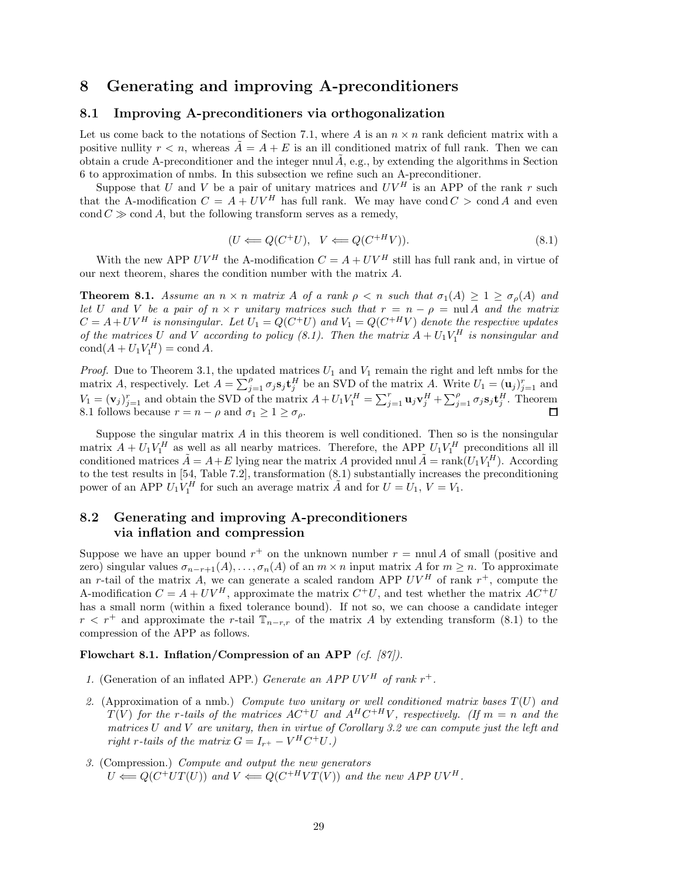## **8 Generating and improving A-preconditioners**

#### **8.1 Improving A-preconditioners via orthogonalization**

Let us come back to the notations of Section 7.1, where A is an  $n \times n$  rank deficient matrix with a positive nullity  $r < n$ , whereas  $A = A + E$  is an ill conditioned matrix of full rank. Then we can obtain a crude A-preconditioner and the integer nnul  $A$ , e.g., by extending the algorithms in Section 6 to approximation of nmbs. In this subsection we refine such an A-preconditioner.

Suppose that U and V be a pair of unitary matrices and  $UV^H$  is an APP of the rank r such that the A-modification  $C = A + UV^H$  has full rank. We may have cond  $C > \text{cond } A$  and even  $\text{cond } C \gg \text{cond } A$ , but the following transform serves as a remedy,

$$
(U \Longleftarrow Q(C^+U), \quad V \Longleftarrow Q(C^{+H}V)). \tag{8.1}
$$

With the new APP  $UV^H$  the A-modification  $C = A + UV^H$  still has full rank and, in virtue of our next theorem, shares the condition number with the matrix A.

**Theorem 8.1.** *Assume an*  $n \times n$  *matrix* A *of a rank*  $\rho \leq n$  *such that*  $\sigma_1(A) \geq 1 \geq \sigma_\rho(A)$  *and let* U and V *be a pair of*  $n \times r$  *unitary matrices such that*  $r = n - \rho = \text{null } A$  *and the matrix*  $C = A + UV^H$  is nonsingular. Let  $U_1 = Q(C^+U)$  and  $V_1 = Q(C^{+H}V)$  denote the respective updates *of the matrices* U and V according to policy (8.1). Then the matrix  $A + U_1 V_1^H$  is nonsingular and  $\text{cond}(A + U_1 V_1^H) = \text{cond} A.$ 

*Proof.* Due to Theorem 3.1, the updated matrices  $U_1$  and  $V_1$  remain the right and left nmbs for the matrix A, respectively. Let  $A = \sum_{j=1}^{p} \sigma_j s_j \mathbf{t}_j^H$  be an SVD of the matrix A. Write  $U_1 = (\mathbf{u}_j)_{j=1}^r$  and  $V_1 = (\mathbf{v}_j)_{j=1}^r$  and obtain the SVD of the matrix  $A + U_1 V_1^H = \sum_{j=1}^r \mathbf{u}_j \mathbf{v}_j^H + \sum_{j=1}^{\rho} \sigma_j \mathbf{s}_j \mathbf{t}_j^H$ . Theorem 8.1 follows because  $r = n - \rho$  and  $\sigma_1 \geq 1 \geq \sigma_\rho$ .

Suppose the singular matrix  $A$  in this theorem is well conditioned. Then so is the nonsingular matrix  $A + U_1 V_1^H$  as well as all nearby matrices. Therefore, the APP  $U_1 V_1^H$  preconditions all ill conditioned matrices  $\tilde{A} = A + E$  lying near the matrix A provided nnul  $\tilde{A} = \text{rank}(U_1 V_1^H)$ . According to the test results in [54, Table 7.2], transformation (8.1) substantially increases the preconditioning power of an APP  $U_1 V_1^H$  for such an average matrix  $\tilde{A}$  and for  $U = U_1$ ,  $V = V_1$ .

## **8.2 Generating and improving A-preconditioners via inflation and compression**

Suppose we have an upper bound  $r^+$  on the unknown number  $r = \text{null } A$  of small (positive and zero) singular values  $\sigma_{n-r+1}(A),\ldots,\sigma_n(A)$  of an  $m \times n$  input matrix A for  $m \geq n$ . To approximate an r-tail of the matrix A, we can generate a scaled random APP  $UV^H$  of rank  $r^+$ , compute the A-modification  $C = A + UV^H$ , approximate the matrix  $C^+U$ , and test whether the matrix  $AC^+U$ has a small norm (within a fixed tolerance bound). If not so, we can choose a candidate integer  $r < r^+$  and approximate the r-tail  $\mathbb{T}_{n-r,r}$  of the matrix A by extending transform (8.1) to the compression of the APP as follows.

#### **Flowchart 8.1. Inflation/Compression of an APP** *(cf. [87]).*

- *1.* (Generation of an inflated APP.) *Generate an APP UV<sup>H</sup> of rank*  $r^+$ *.*
- *2.* (Approximation of a nmb.) *Compute two unitary or well conditioned matrix bases* T(U) *and*  $T(V)$  *for the r-tails of the matrices*  $AC^+U$  *and*  $A^HC^{+HV}$ *, respectively. (If*  $m = n$  *and the matrices* U *and* V *are unitary, then in virtue of Corollary 3.2 we can compute just the left and right* r-tails of the matrix  $G = I_{r^+} - V^H C^+ U$ .)
- *3.* (Compression.) *Compute and output the new generators*  $U \leftarrow Q(C^+ U T(U))$  and  $V \leftarrow Q(C^+ {}^H V T(V))$  and the new APP UV<sup>H</sup>.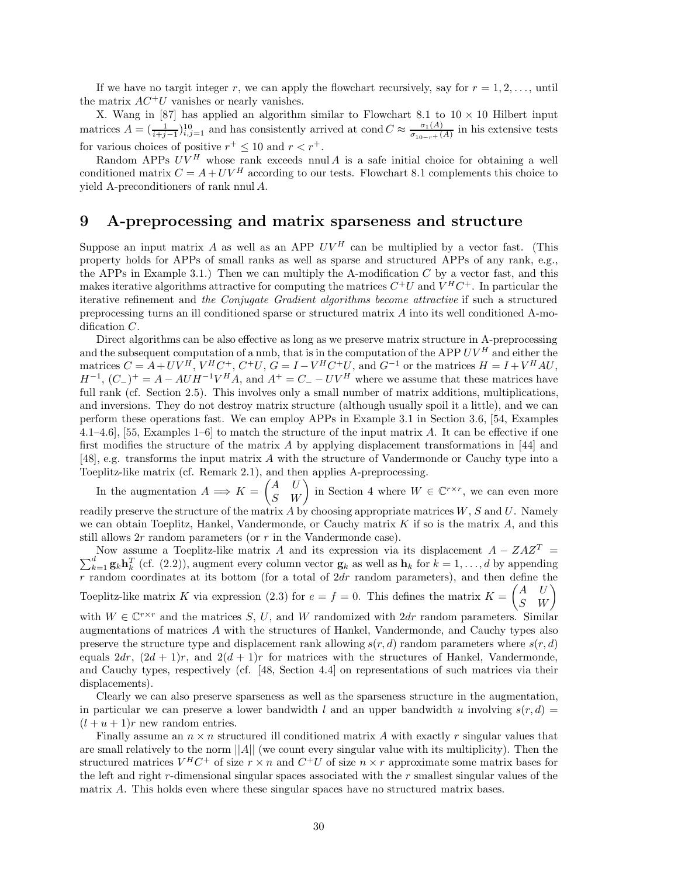If we have no targit integer r, we can apply the flowchart recursively, say for  $r = 1, 2, \ldots$ , until the matrix  $AC^+U$  vanishes or nearly vanishes.

X. Wang in [87] has applied an algorithm similar to Flowchart 8.1 to  $10 \times 10$  Hilbert input matrices  $A = (\frac{1}{i+j-1})_{i,j=1}^{10}$  and has consistently arrived at cond  $C \approx \frac{\sigma_1(A)}{\sigma_{10-r}+(A)}$  in his extensive tests for various choices of positive  $r^+\leq 10$  and  $r < r^+.$ 

Random APPs  $UV^H$  whose rank exceeds nnul A is a safe initial choice for obtaining a well conditioned matrix  $C = A + UV^H$  according to our tests. Flowchart 8.1 complements this choice to yield A-preconditioners of rank nnul A.

## **9 A-preprocessing and matrix sparseness and structure**

Suppose an input matrix A as well as an APP  $UV^H$  can be multiplied by a vector fast. (This property holds for APPs of small ranks as well as sparse and structured APPs of any rank, e.g., the APPs in Example 3.1.) Then we can multiply the A-modification  $C$  by a vector fast, and this makes iterative algorithms attractive for computing the matrices  $C^+U$  and  $V^HC^+$ . In particular the iterative refinement and *the Conjugate Gradient algorithms become attractive* if such a structured preprocessing turns an ill conditioned sparse or structured matrix A into its well conditioned A-modification C.

Direct algorithms can be also effective as long as we preserve matrix structure in A-preprocessing and the subsequent computation of a nmb, that is in the computation of the APP  $UV^H$  and either the matrices  $C = A + UV^H$ ,  $V^H C^+$ ,  $C^+U$ ,  $G = I - V^H C^+U$ , and  $G^{-1}$  or the matrices  $H = I + V^H A U$ ,  $H^{-1}$ ,  $(C_{-})^{+} = A - AUH^{-1}V^{H}A$ , and  $A^{+} = C_{-} - UV^{H}$  where we assume that these matrices have full rank (cf. Section 2.5). This involves only a small number of matrix additions, multiplications, and inversions. They do not destroy matrix structure (although usually spoil it a little), and we can perform these operations fast. We can employ APPs in Example 3.1 in Section 3.6, [54, Examples 4.1–4.6], [55, Examples 1–6] to match the structure of the input matrix A. It can be effective if one first modifies the structure of the matrix A by applying displacement transformations in [44] and [48], e.g. transforms the input matrix A with the structure of Vandermonde or Cauchy type into a Toeplitz-like matrix (cf. Remark 2.1), and then applies A-preprocessing.

In the augmentation  $A \implies K = \begin{pmatrix} A & U \\ S & W \end{pmatrix}$  in Section 4 where  $W \in \mathbb{C}^{r \times r}$ , we can even more readily preserve the structure of the matrix A by choosing appropriate matrices  $W, S$  and  $U$ . Namely we can obtain Toeplitz, Hankel, Vandermonde, or Cauchy matrix  $K$  if so is the matrix  $A$ , and this still allows 2r random parameters (or r in the Vandermonde case).

Now assume a Toeplitz-like matrix A and its expression via its displacement  $A - ZAZ$ Now assume a Toeplitz-like matrix A and its expression via its displacement  $A - ZAZ^T = \sum_{k=1}^d \mathbf{g}_k \mathbf{h}_k^T$  (cf. (2.2)), augment every column vector  $\mathbf{g}_k$  as well as  $\mathbf{h}_k$  for  $k = 1, ..., d$  by appending r random coordinates at its bottom (for a total of  $2dr$  random parameters), and then define the Toeplitz-like matrix K via expression (2.3) for  $e = f = 0$ . This defines the matrix  $K = \begin{pmatrix} A & U \\ S & W \end{pmatrix}$ 

with  $W \in \mathbb{C}^{r \times r}$  and the matrices S, U, and W randomized with  $2dr$  random parameters. Similar augmentations of matrices A with the structures of Hankel, Vandermonde, and Cauchy types also preserve the structure type and displacement rank allowing  $s(r, d)$  random parameters where  $s(r, d)$ equals  $2dr$ ,  $(2d + 1)r$ , and  $2(d + 1)r$  for matrices with the structures of Hankel, Vandermonde, and Cauchy types, respectively (cf. [48, Section 4.4] on representations of such matrices via their displacements).

Clearly we can also preserve sparseness as well as the sparseness structure in the augmentation, in particular we can preserve a lower bandwidth l and an upper bandwidth u involving  $s(r, d)$  =  $(l + u + 1)r$  new random entries.

Finally assume an  $n \times n$  structured ill conditioned matrix A with exactly r singular values that are small relatively to the norm  $||A||$  (we count every singular value with its multiplicity). Then the structured matrices  $V^H C^+$  of size  $r \times n$  and  $C^+ U$  of size  $n \times r$  approximate some matrix bases for the left and right r-dimensional singular spaces associated with the r smallest singular values of the matrix A. This holds even where these singular spaces have no structured matrix bases.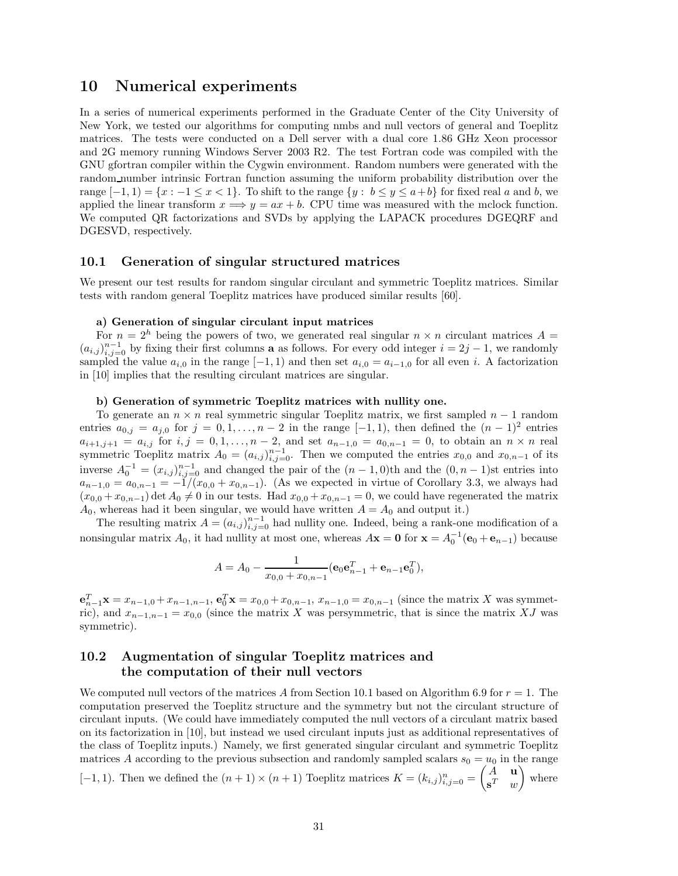## **10 Numerical experiments**

In a series of numerical experiments performed in the Graduate Center of the City University of New York, we tested our algorithms for computing nmbs and null vectors of general and Toeplitz matrices. The tests were conducted on a Dell server with a dual core 1.86 GHz Xeon processor and 2G memory running Windows Server 2003 R2. The test Fortran code was compiled with the GNU gfortran compiler within the Cygwin environment. Random numbers were generated with the random number intrinsic Fortran function assuming the uniform probability distribution over the range  $[-1, 1] = \{x : -1 \le x < 1\}$ . To shift to the range  $\{y : b \le y \le a+b\}$  for fixed real a and b, we applied the linear transform  $x \Longrightarrow y = ax + b$ . CPU time was measured with the mclock function. We computed QR factorizations and SVDs by applying the LAPACK procedures DGEQRF and DGESVD, respectively.

#### **10.1 Generation of singular structured matrices**

We present our test results for random singular circulant and symmetric Toeplitz matrices. Similar tests with random general Toeplitz matrices have produced similar results [60].

#### **a) Generation of singular circulant input matrices**

For  $n = 2<sup>h</sup>$  being the powers of two, we generated real singular  $n \times n$  circulant matrices  $A =$  $(a_{i,j})_{i,j=0}^{n-1}$  by fixing their first columns **a** as follows. For every odd integer  $i = 2j - 1$ , we randomly sampled the value  $a_{i,0}$  in the range  $[-1, 1)$  and then set  $a_{i,0} = a_{i-1,0}$  for all even i. A factorization in [10] implies that the resulting circulant matrices are singular.

#### **b) Generation of symmetric Toeplitz matrices with nullity one.**

To generate an  $n \times n$  real symmetric singular Toeplitz matrix, we first sampled  $n-1$  random entries  $a_{0,j} = a_{j,0}$  for  $j = 0, 1, \ldots, n-2$  in the range  $[-1, 1)$ , then defined the  $(n-1)^2$  entries  $a_{i+1,j+1} = a_{i,j}$  for  $i, j = 0, 1, \ldots, n-2$ , and set  $a_{n-1,0} = a_{0,n-1} = 0$ , to obtain an  $n \times n$  real symmetric Toeplitz matrix  $A_0 = (a_{i,j})_{i,j=0}^{n-1}$ . Then we computed the entries  $x_{0,0}$  and  $x_{0,n-1}$  of its inverse  $A_0^{-1} = (x_{i,j})_{i,j=0}^{n-1}$  and changed the pair of the  $(n-1,0)$ th and the  $(0, n-1)$ st entries into  $a_{n-1,0} = a_{0,n-1} = -1/(x_{0,0} + x_{0,n-1})$ . (As we expected in virtue of Corollary 3.3, we always had  $(x_{0,0} + x_{0,n-1})$  det  $A_0 \neq 0$  in our tests. Had  $x_{0,0} + x_{0,n-1} = 0$ , we could have regenerated the matrix  $A_0$ , whereas had it been singular, we would have written  $A = A_0$  and output it.)

The resulting matrix  $A = (a_{i,j})_{i,j=0}^{n-1}$  had nullity one. Indeed, being a rank-one modification of a nonsingular matrix  $A_0$ , it had nullity at most one, whereas  $A\mathbf{x} = \mathbf{0}$  for  $\mathbf{x} = A_0^{-1}(\mathbf{e}_0 + \mathbf{e}_{n-1})$  because

$$
A = A_0 - \frac{1}{x_{0,0} + x_{0,n-1}} (\mathbf{e}_0 \mathbf{e}_{n-1}^T + \mathbf{e}_{n-1} \mathbf{e}_0^T),
$$

 $\mathbf{e}_{n-1}^T \mathbf{x} = x_{n-1,0} + x_{n-1,n-1}, \mathbf{e}_0^T \mathbf{x} = x_{0,0} + x_{0,n-1}, x_{n-1,0} = x_{0,n-1}$  (since the matrix X was symmetric), and  $x_{n-1,n-1} = x_{0,0}$  (since the matrix X was persymmetric, that is since the matrix XJ was symmetric).

## **10.2 Augmentation of singular Toeplitz matrices and the computation of their null vectors**

We computed null vectors of the matrices A from Section 10.1 based on Algorithm 6.9 for  $r = 1$ . The computation preserved the Toeplitz structure and the symmetry but not the circulant structure of circulant inputs. (We could have immediately computed the null vectors of a circulant matrix based on its factorization in [10], but instead we used circulant inputs just as additional representatives of the class of Toeplitz inputs.) Namely, we first generated singular circulant and symmetric Toeplitz matrices A according to the previous subsection and randomly sampled scalars  $s_0 = u_0$  in the range

[-1, 1]. Then we defined the  $(n+1) \times (n+1)$  Toeplitz matrices  $K = (k_{i,j})_{i,j=0}^n = \begin{pmatrix} A & \mathbf{u} \\ \mathbf{s}^T & m \end{pmatrix}$  $\mathbf{s}^T$  w - where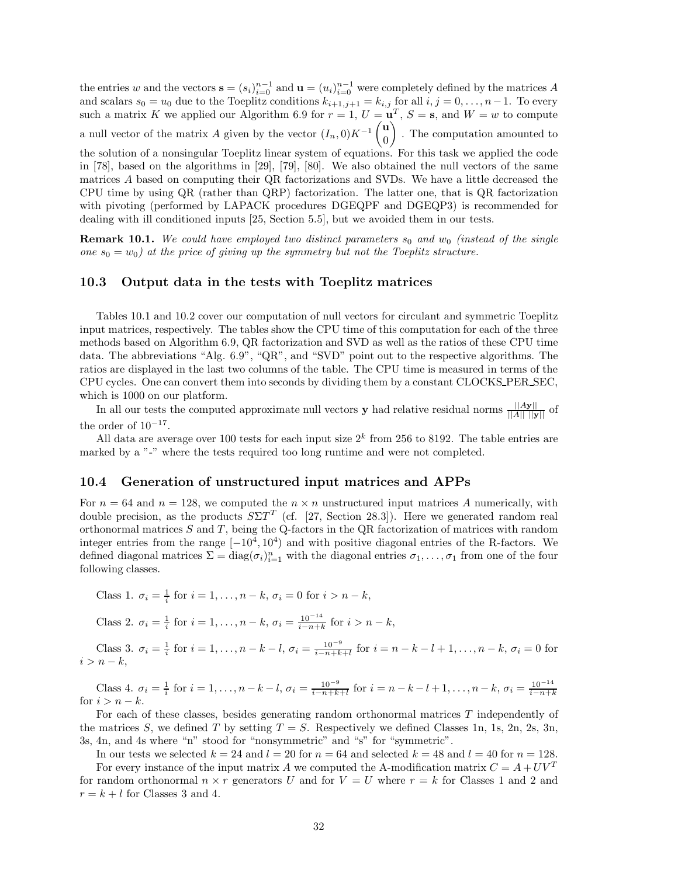the entries w and the vectors  $\mathbf{s} = (s_i)_{i=0}^{n-1}$  and  $\mathbf{u} = (u_i)_{i=0}^{n-1}$  were completely defined by the matrices A and scalars  $s_0 = u_0$  due to the Toeplitz conditions  $k_{i+1,j+1} = k_{i,j}$  for all  $i, j = 0, \ldots, n-1$ . To every such a matrix K we applied our Algorithm 6.9 for  $r = 1$ ,  $U = \mathbf{u}^T$ ,  $S = \mathbf{s}$ , and  $W = w$  to compute a null vector of the matrix A given by the vector  $(I_n, 0)K^{-1}\begin{pmatrix} \mathbf{u} \\ 0 \end{pmatrix}$ - . The computation amounted to

0 the solution of a nonsingular Toeplitz linear system of equations. For this task we applied the code in [78], based on the algorithms in [29], [79], [80]. We also obtained the null vectors of the same matrices A based on computing their QR factorizations and SVDs. We have a little decreased the CPU time by using QR (rather than QRP) factorization. The latter one, that is QR factorization with pivoting (performed by LAPACK procedures DGEQPF and DGEQP3) is recommended for dealing with ill conditioned inputs [25, Section 5.5], but we avoided them in our tests.

**Remark 10.1.** We could have employed two distinct parameters  $s_0$  and  $w_0$  (instead of the single *one*  $s_0 = w_0$  *at the price of giving up the symmetry but not the Toeplitz structure.* 

#### **10.3 Output data in the tests with Toeplitz matrices**

Tables 10.1 and 10.2 cover our computation of null vectors for circulant and symmetric Toeplitz input matrices, respectively. The tables show the CPU time of this computation for each of the three methods based on Algorithm 6.9, QR factorization and SVD as well as the ratios of these CPU time data. The abbreviations "Alg. 6.9", "QR", and "SVD" point out to the respective algorithms. The ratios are displayed in the last two columns of the table. The CPU time is measured in terms of the CPU cycles. One can convert them into seconds by dividing them by a constant CLOCKS PER SEC, which is  $1000$  on our platform.

In all our tests the computed approximate null vectors **y** had relative residual norms  $\frac{||A\mathbf{y}||}{||A|| \cdot ||\mathbf{y}||}$  of the order of  $10^{-17}$ .

All data are average over 100 tests for each input size  $2<sup>k</sup>$  from 256 to 8192. The table entries are marked by a "-" where the tests required too long runtime and were not completed.

#### **10.4 Generation of unstructured input matrices and APPs**

For  $n = 64$  and  $n = 128$ , we computed the  $n \times n$  unstructured input matrices A numerically, with double precision, as the products  $S\Sigma T^{T}$  (cf. [27, Section 28.3]). Here we generated random real orthonormal matrices  $S$  and  $T$ , being the Q-factors in the QR factorization of matrices with random integer entries from the range  $[-10^4, 10^4)$  and with positive diagonal entries of the R-factors. We defined diagonal matrices  $\Sigma = diag(\sigma_i)_{i=1}^n$  with the diagonal entries  $\sigma_1, \ldots, \sigma_1$  from one of the four following classes.

Class 1. 
$$
\sigma_i = \frac{1}{i}
$$
 for  $i = 1, ..., n - k$ ,  $\sigma_i = 0$  for  $i > n - k$ ,

Class 2. 
$$
\sigma_i = \frac{1}{i}
$$
 for  $i = 1, ..., n - k$ ,  $\sigma_i = \frac{10^{-14}}{i - n + k}$  for  $i > n - k$ ,

Class 3.  $\sigma_i = \frac{1}{i}$  for  $i = 1, ..., n - k - l$ ,  $\sigma_i = \frac{10^{-9}}{i - n + k + l}$  for  $i = n - k - l + 1, ..., n - k$ ,  $\sigma_i = 0$  for  $i>n-k,$ 

Class 4.  $\sigma_i = \frac{1}{i}$  for  $i = 1, ..., n-k-l$ ,  $\sigma_i = \frac{10^{-9}}{i-n+k+l}$  for  $i = n-k-l+1, ..., n-k$ ,  $\sigma_i = \frac{10^{-14}}{i-n+k}$ for  $i>n-k$ .

For each of these classes, besides generating random orthonormal matrices T independently of the matrices S, we defined T by setting  $T = S$ . Respectively we defined Classes 1n, 1s, 2n, 2s, 3n, 3s, 4n, and 4s where "n" stood for "nonsymmetric" and "s" for "symmetric".

In our tests we selected  $k = 24$  and  $l = 20$  for  $n = 64$  and selected  $k = 48$  and  $l = 40$  for  $n = 128$ .

For every instance of the input matrix A we computed the A-modification matrix  $C = A + UV^T$ for random orthonormal  $n \times r$  generators U and for  $V = U$  where  $r = k$  for Classes 1 and 2 and  $r = k + l$  for Classes 3 and 4.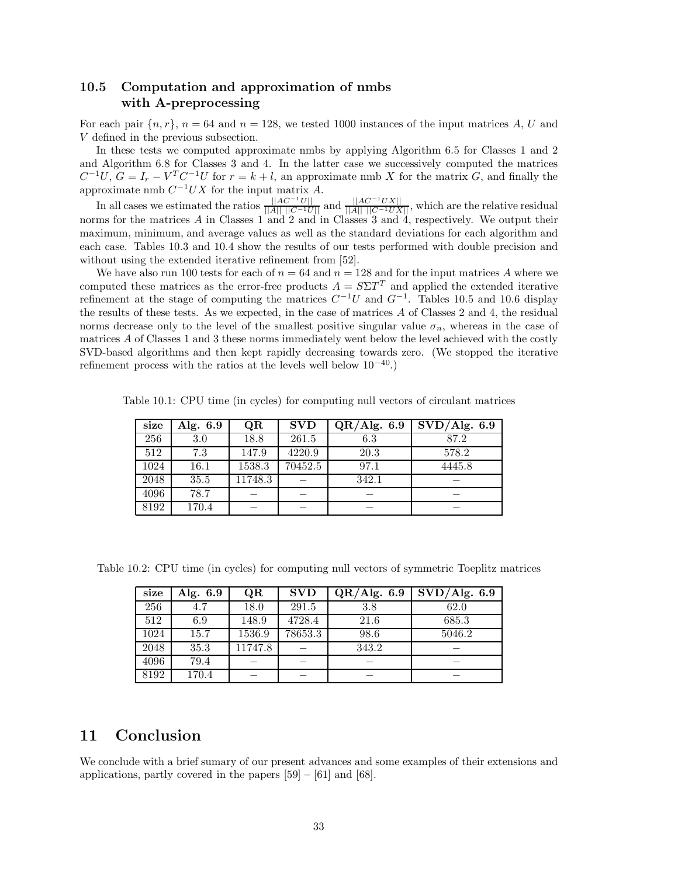## **10.5 Computation and approximation of nmbs with A-preprocessing**

For each pair  $\{n, r\}$ ,  $n = 64$  and  $n = 128$ , we tested 1000 instances of the input matrices A, U and V defined in the previous subsection.

In these tests we computed approximate nmbs by applying Algorithm 6.5 for Classes 1 and 2 and Algorithm 6.8 for Classes 3 and 4. In the latter case we successively computed the matrices  $C^{-1}U, G = I_r - V^T C^{-1}U$  for  $r = k + l$ , an approximate nmb X for the matrix G, and finally the approximate nmb  $C^{-1}UX$  for the input matrix A.

In all cases we estimated the ratios  $\frac{||AC^{-1}U||}{||A|| ||C^{-1}U||}$  and  $\frac{||AC^{-1}UX||}{||A|| ||C^{-1}UX||}$ , which are the relative residual norms for the matrices A in Classes 1 and 2 and in Classes 3 and 4, respectively. We output their maximum, minimum, and average values as well as the standard deviations for each algorithm and each case. Tables 10.3 and 10.4 show the results of our tests performed with double precision and without using the extended iterative refinement from [52].

We have also run 100 tests for each of  $n = 64$  and  $n = 128$  and for the input matrices A where we computed these matrices as the error-free products  $A = S\Sigma T^T$  and applied the extended iterative refinement at the stage of computing the matrices  $C^{-1}U$  and  $G^{-1}$ . Tables 10.5 and 10.6 display the results of these tests. As we expected, in the case of matrices A of Classes 2 and 4, the residual norms decrease only to the level of the smallest positive singular value  $\sigma_n$ , whereas in the case of matrices A of Classes 1 and 3 these norms immediately went below the level achieved with the costly SVD-based algorithms and then kept rapidly decreasing towards zero. (We stopped the iterative refinement process with the ratios at the levels well below  $10^{-40}$ .)

Table 10.1: CPU time (in cycles) for computing null vectors of circulant matrices

| size | Alg. 6.9 | QR      | <b>SVD</b> | $\overline{\text{QR}/\text{Alg}}$ . 6.9 | $\overline{\mathrm{SVD}/\mathrm{Alg}}$ . 6.9 |
|------|----------|---------|------------|-----------------------------------------|----------------------------------------------|
| 256  | 3.0      | 18.8    | 261.5      | 6.3                                     | 87.2                                         |
| 512  | 7.3      | 147.9   | 4220.9     | 20.3                                    | 578.2                                        |
| 1024 | $16.1\,$ | 1538.3  | 70452.5    | 97.1                                    | 4445.8                                       |
| 2048 | 35.5     | 11748.3 |            | 342.1                                   |                                              |
| 4096 | 78.7     |         |            |                                         |                                              |
| 8192 | 170.4    |         |            |                                         |                                              |

Table 10.2: CPU time (in cycles) for computing null vectors of symmetric Toeplitz matrices

| size | Alg. 6.9 | QR      | <b>SVD</b> | QR/Alg. 6.9 | $\overline{\mathrm{SVD}}/\mathrm{Alg.}$ 6.9 |
|------|----------|---------|------------|-------------|---------------------------------------------|
| 256  | 4.7      | 18.0    | 291.5      | 3.8         | 62.0                                        |
| 512  | 6.9      | 148.9   | 4728.4     | 21.6        | 685.3                                       |
| 1024 | 15.7     | 1536.9  | 78653.3    | 98.6        | 5046.2                                      |
| 2048 | 35.3     | 11747.8 |            | 343.2       |                                             |
| 4096 | 79.4     |         |            |             |                                             |
| 8192 | 170.4    |         |            |             |                                             |

## **11 Conclusion**

We conclude with a brief sumary of our present advances and some examples of their extensions and applications, partly covered in the papers [59] – [61] and [68].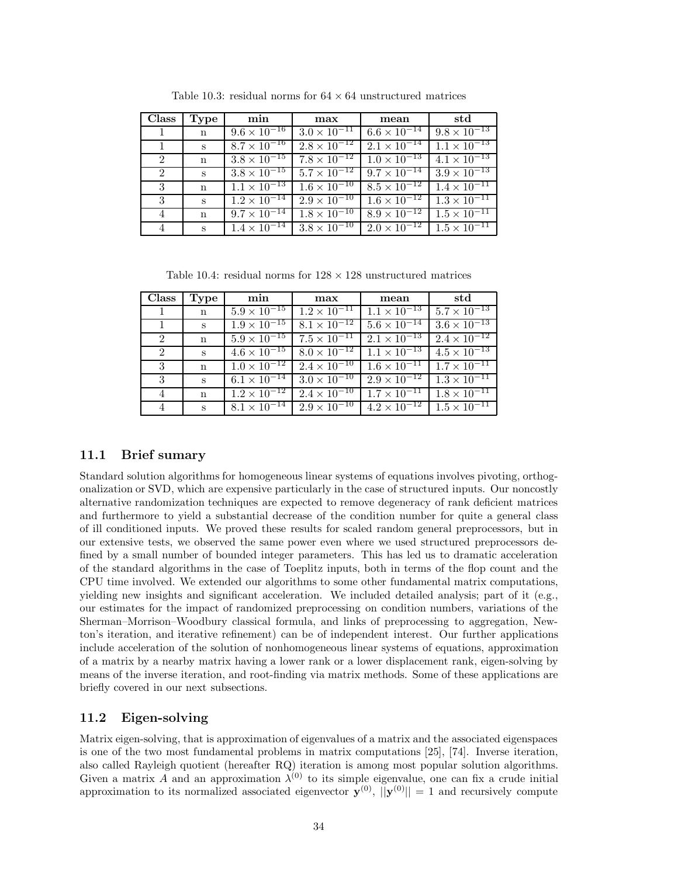| <b>Class</b>   | Type        | min                              | max                              | mean                             | std                   |
|----------------|-------------|----------------------------------|----------------------------------|----------------------------------|-----------------------|
| 1              | $\mathbf n$ | $9.6 \times \overline{10^{-16}}$ | $3.0 \times 10^{-11}$            | $6.6 \times 10^{-14}$            | $9.8 \times 10^{-13}$ |
|                | S           | $8.7 \times 10^{-16}$            | $2.8 \times 10^{-12}$            | $2.1 \times 10^{-14}$            | $1.1 \times 10^{-13}$ |
| $2^{\circ}$    | $\mathbf n$ | $3.8 \times 10^{-15}$            | $7.8 \times \overline{10^{-12}}$ | $1.0 \times \overline{10^{-13}}$ | $4.1 \times 10^{-13}$ |
| $\overline{2}$ | S           | $3.8 \times 10^{-15}$            | $5.7 \times 10^{-12}$            | $9.7 \times 10^{-14}$            | $3.9 \times 10^{-13}$ |
| 3              | n           | $1.1 \times \overline{10^{-13}}$ | $1.6 \times \overline{10^{-10}}$ | $8.5 \times \overline{10^{-12}}$ | $1.4 \times 10^{-11}$ |
| 3              | S           | $1.2 \times \overline{10^{-14}}$ | $2.9 \times 10^{-10}$            | $1.6 \times \overline{10^{-12}}$ | $1.3 \times 10^{-11}$ |
| 4              | $\mathbf n$ | $9.7 \times 10^{-14}$            | $1.8 \times 10^{-10}$            | $8.9 \times 10^{-12}$            | $1.5 \times 10^{-11}$ |
| 4              | S           | $1.4 \times 10^{-14}$            | $3.8 \times 10^{-10}$            | $2.0 \times 10^{-12}$            | $1.5 \times 10^{-11}$ |

Table 10.3: residual norms for  $64 \times 64$  unstructured matrices

Table 10.4: residual norms for  $128 \times 128$  unstructured matrices

| <b>Class</b> | Type         | min                                         | max                              | mean                             | std                   |
|--------------|--------------|---------------------------------------------|----------------------------------|----------------------------------|-----------------------|
|              | $\mathbf n$  | $5.9 \times 10^{-15}$                       | $1.2 \times 10^{-11}$            | $1.1 \times 10^{-13}$            | $5.7 \times 10^{-13}$ |
|              | S            | $1.9 \times 10^{-15}$ $8.1 \times 10^{-12}$ |                                  | $5.6 \times 10^{-14}$            | $3.6 \times 10^{-13}$ |
| 2            | $\mathbf n$  | $5.9 \times 10^{-15}$                       | $7.5 \times 10^{-11}$            | $2.1 \times 10^{-13}$            | $2.4 \times 10^{-12}$ |
| 2            | S            | $4.6 \times 10^{-15}$ $8.0 \times 10^{-12}$ |                                  | $1.1 \times 10^{-13}$            | $4.5 \times 10^{-13}$ |
| 3            | $\mathbf n$  | $1.0 \times \overline{10^{-12}}$            | $2.4 \times 10^{-10}$            | $1.6 \times 10^{-11}$            | $1.7 \times 10^{-11}$ |
| 3            | S            | $6.1 \times 10^{-14}$                       | $3.0 \times 10^{-10}$            | $2.9 \times 10^{-12}$            | $1.3 \times 10^{-11}$ |
| 4            | $\mathbf{n}$ | $1.2 \times \overline{10^{-12}}$            | $2.\overline{4 \times 10^{-10}}$ | $1.7 \times 10^{-11}$            | $1.8 \times 10^{-11}$ |
| 4            | $\mathbf{s}$ | $8.1 \times 10^{-14}$                       | $2.9 \times 10^{-10}$            | $4.2 \times \overline{10^{-12}}$ | $1.5 \times 10^{-11}$ |

### **11.1 Brief sumary**

Standard solution algorithms for homogeneous linear systems of equations involves pivoting, orthogonalization or SVD, which are expensive particularly in the case of structured inputs. Our noncostly alternative randomization techniques are expected to remove degeneracy of rank deficient matrices and furthermore to yield a substantial decrease of the condition number for quite a general class of ill conditioned inputs. We proved these results for scaled random general preprocessors, but in our extensive tests, we observed the same power even where we used structured preprocessors defined by a small number of bounded integer parameters. This has led us to dramatic acceleration of the standard algorithms in the case of Toeplitz inputs, both in terms of the flop count and the CPU time involved. We extended our algorithms to some other fundamental matrix computations, yielding new insights and significant acceleration. We included detailed analysis; part of it (e.g., our estimates for the impact of randomized preprocessing on condition numbers, variations of the Sherman–Morrison–Woodbury classical formula, and links of preprocessing to aggregation, Newton's iteration, and iterative refinement) can be of independent interest. Our further applications include acceleration of the solution of nonhomogeneous linear systems of equations, approximation of a matrix by a nearby matrix having a lower rank or a lower displacement rank, eigen-solving by means of the inverse iteration, and root-finding via matrix methods. Some of these applications are briefly covered in our next subsections.

#### **11.2 Eigen-solving**

Matrix eigen-solving, that is approximation of eigenvalues of a matrix and the associated eigenspaces is one of the two most fundamental problems in matrix computations [25], [74]. Inverse iteration, also called Rayleigh quotient (hereafter RQ) iteration is among most popular solution algorithms. Given a matrix A and an approximation  $\lambda^{(0)}$  to its simple eigenvalue, one can fix a crude initial approximation to its normalized associated eigenvector  $\mathbf{y}^{(0)}$ ,  $||\mathbf{y}^{(0)}|| = 1$  and recursively compute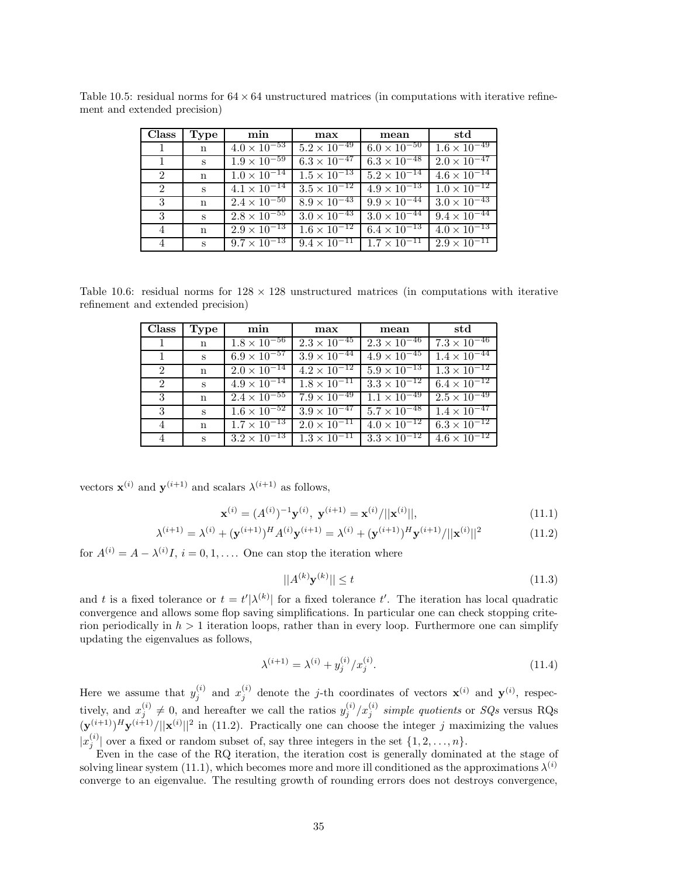| Class          | Type              | min                              | max                              | mean                             | std                              |
|----------------|-------------------|----------------------------------|----------------------------------|----------------------------------|----------------------------------|
|                | $\mathbf n$       | $4.0 \times \overline{10^{-53}}$ | $5.2 \times \overline{10^{-49}}$ | $6.0 \times 10^{-50}$            | $1.6 \times 10^{-49}$            |
| $\overline{1}$ | $S_{\mathcal{L}}$ | $1.9 \times 10^{-59}$            | $6.3 \times 10^{-47}$            | $6.3 \times 10^{-48}$            | $2.0 \times \overline{10^{-47}}$ |
| 2              | $\mathbf{n}$      | $1.0 \times \overline{10^{-14}}$ | $1.5 \times 10^{-13}$            | $5.2 \times \overline{10^{-14}}$ | $4.6 \times 10^{-14}$            |
| 2              | $S_{\mathcal{L}}$ | $4.1 \times 10^{-14}$            | $3.5 \times 10^{-12}$            | $4.9 \times 10^{-13}$            | $1.0 \times 10^{-12}$            |
| 3              | $\mathbf{n}$      | $2.4 \times 10^{-50}$            | $8.9 \times 10^{-43}$            | $9.9 \times 10^{-44}$            | $3.0 \times 10^{-43}$            |
| 3              | $S_{-}$           | $2.8 \times \overline{10^{-55}}$ | $3.0 \times 10^{-43}$            | $3.0 \times \overline{10^{-44}}$ | $9.4 \times 10^{-44}$            |
| 4              | $\mathbf n$       | $2.9 \times 10^{-13}$            | $1.6 \times 10^{-12}$            | $6.4 \times 10^{-13}$            | $4.0 \times \overline{10^{-13}}$ |
| $\overline{4}$ | $\mathbf{s}$      | $9.7 \times 10^{-13}$            | $9.\overline{4 \times 10^{-11}}$ | $1.7 \times 10^{-11}$            | $2.9 \times 10^{-11}$            |

Table 10.5: residual norms for  $64 \times 64$  unstructured matrices (in computations with iterative refinement and extended precision)

Table 10.6: residual norms for  $128 \times 128$  unstructured matrices (in computations with iterative refinement and extended precision)

| <b>Class</b>   | Type         | min                              | max                              | mean                  | std                              |
|----------------|--------------|----------------------------------|----------------------------------|-----------------------|----------------------------------|
| $\mathbf{1}$   | $\mathbf{n}$ | $1.8 \times 10^{-56}$            | $2.3 \times 10^{-45}$            | $2.3 \times 10^{-46}$ | $7.3 \times 10^{-46}$            |
| -1             | S            | $6.9 \times \overline{10^{-57}}$ | $3.9 \times \overline{10^{-44}}$ | $4.9 \times 10^{-45}$ | $1.4 \times 10^{-44}$            |
| $\overline{2}$ | $\mathbf n$  | $2.0 \times 10^{-14}$            | $4.2 \times 10^{-12}$            | $5.9 \times 10^{-13}$ | $1.3 \times 10^{-12}$            |
| $2^{\circ}$    | $\mathbf{s}$ | $4.9 \times 10^{-14}$            | $1.8 \times \overline{10^{-11}}$ | $3.3 \times 10^{-12}$ | $6.4 \times 10^{-12}$            |
| $\mathbf{3}$   | $\mathbf n$  | $2.4 \times 10^{-55}$            | $7.9 \times \overline{10^{-49}}$ | $1.1 \times 10^{-49}$ | $2.5 \times 10^{-49}$            |
| -3             | S            | $1.6 \times 10^{-52}$            | $3.9 \times 10^{-47}$            | $5.7 \times 10^{-48}$ | $1.4 \times 10^{-47}$            |
| 4              | $\mathbf{n}$ | $1.7 \times 10^{-13}$            | $2.0 \times 10^{-11}$            | $4.0 \times 10^{-12}$ | $6.3 \times 10^{-12}$            |
| 4              | $S_{-}$      | $3.2 \times 10^{-13}$            | $1.3 \times 10^{-11}$            | $3.3 \times 10^{-12}$ | $4.6 \times \overline{10^{-12}}$ |

vectors  $\mathbf{x}^{(i)}$  and  $\mathbf{y}^{(i+1)}$  and scalars  $\lambda^{(i+1)}$  as follows,

$$
\mathbf{x}^{(i)} = (A^{(i)})^{-1} \mathbf{y}^{(i)}, \ \mathbf{y}^{(i+1)} = \mathbf{x}^{(i)}/||\mathbf{x}^{(i)}||,\tag{11.1}
$$

$$
\lambda^{(i+1)} = \lambda^{(i)} + (\mathbf{y}^{(i+1)})^H A^{(i)} \mathbf{y}^{(i+1)} = \lambda^{(i)} + (\mathbf{y}^{(i+1)})^H \mathbf{y}^{(i+1)}/||\mathbf{x}^{(i)}||^2 \tag{11.2}
$$

for  $A^{(i)} = A - \lambda^{(i)}I$ ,  $i = 0, 1, \ldots$  One can stop the iteration where

$$
||A^{(k)}\mathbf{y}^{(k)}|| \le t \tag{11.3}
$$

and t is a fixed tolerance or  $t = t'|\lambda^{(k)}|$  for a fixed tolerance t'. The iteration has local quadratic convergence and allows some flop saving simplifications. In particular one can check stopping criterion periodically in  $h > 1$  iteration loops, rather than in every loop. Furthermore one can simplify updating the eigenvalues as follows,

$$
\lambda^{(i+1)} = \lambda^{(i)} + y_j^{(i)} / x_j^{(i)}.
$$
\n(11.4)

Here we assume that  $y_j^{(i)}$  and  $x_j^{(i)}$  denote the j-th coordinates of vectors  $\mathbf{x}^{(i)}$  and  $\mathbf{y}^{(i)}$ , respectively, and  $x_j^{(i)} \neq 0$ , and hereafter we call the ratios  $y_j^{(i)}/x_j^{(i)}$  *simple quotients* or *SQs* versus RQs  $(\mathbf{y}^{(i+1)})^H \mathbf{y}^{(i+1)}/||\mathbf{x}^{(i)}||^2$  in (11.2). Practically one can choose the integer j maximizing the values  $|x_j^{(i)}|$  over a fixed or random subset of, say three integers in the set  $\{1, 2, ..., n\}$ .

Even in the case of the RQ iteration, the iteration cost is generally dominated at the stage of solving linear system (11.1), which becomes more and more ill conditioned as the approximations  $\lambda^{(i)}$ converge to an eigenvalue. The resulting growth of rounding errors does not destroys convergence,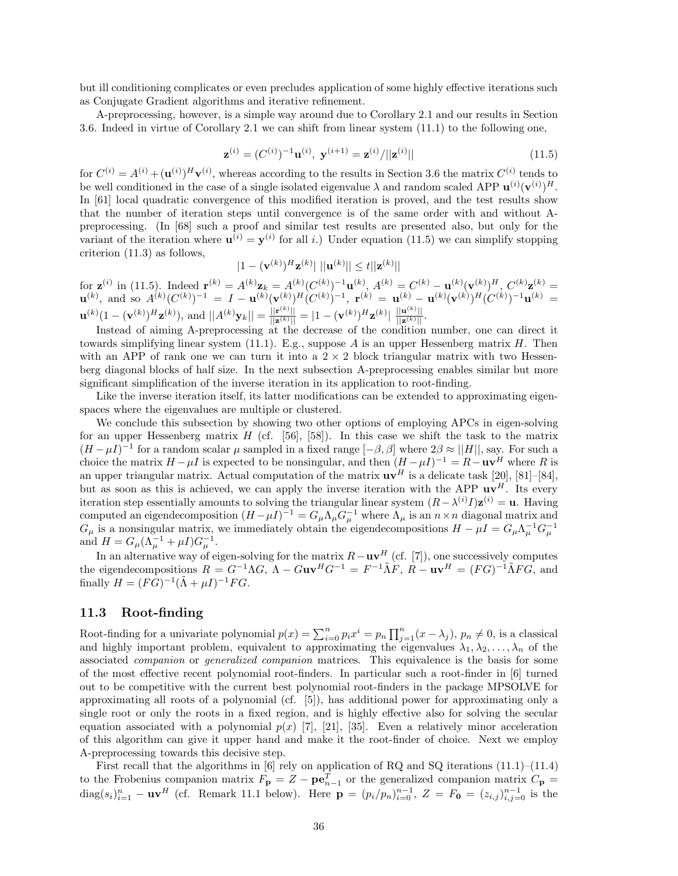but ill conditioning complicates or even precludes application of some highly effective iterations such as Conjugate Gradient algorithms and iterative refinement.

A-preprocessing, however, is a simple way around due to Corollary 2.1 and our results in Section 3.6. Indeed in virtue of Corollary 2.1 we can shift from linear system (11.1) to the following one,

$$
\mathbf{z}^{(i)} = (C^{(i)})^{-1} \mathbf{u}^{(i)}, \ \mathbf{y}^{(i+1)} = \mathbf{z}^{(i)}/||\mathbf{z}^{(i)}|| \tag{11.5}
$$

for  $C^{(i)} = A^{(i)} + (\mathbf{u}^{(i)})^H \mathbf{v}^{(i)}$ , whereas according to the results in Section 3.6 the matrix  $C^{(i)}$  tends to be well conditioned in the case of a single isolated eigenvalue  $\lambda$  and random scaled APP  $\mathbf{u}^{(i)}(\mathbf{v}^{(i)})^H$ . In [61] local quadratic convergence of this modified iteration is proved, and the test results show that the number of iteration steps until convergence is of the same order with and without Apreprocessing. (In [68] such a proof and similar test results are presented also, but only for the variant of the iteration where  $\mathbf{u}^{(i)} = \mathbf{y}^{(i)}$  for all i.) Under equation (11.5) we can simplify stopping criterion (11.3) as follows,

$$
|1 - (\mathbf{v}^{(k)})^H \mathbf{z}^{(k)}| ||\mathbf{u}^{(k)}|| \le t ||\mathbf{z}^{(k)}||
$$

for  $\mathbf{z}^{(i)}$  in (11.5). Indeed  $\mathbf{r}^{(k)} = A^{(k)} \mathbf{z}_k = A^{(k)} (C^{(k)})^{-1} \mathbf{u}^{(k)}$ ,  $A^{(k)} = C^{(k)} - \mathbf{u}^{(k)} (\mathbf{v}^{(k)})^H$ ,  $C^{(k)} \mathbf{z}^{(k)} =$  $\mathbf{u}^{(k)}$ , and so  $A^{(k)}(C^{(k)})^{-1} = I - \mathbf{u}^{(k)}(\mathbf{v}^{(k)})^H(C^{(k)})^{-1}$ ,  $\mathbf{r}^{(k)} = \mathbf{u}^{(k)} - \mathbf{u}^{(k)}(\mathbf{v}^{(k)})^H(C^{(k)})^{-1}\mathbf{u}^{(k)} =$  $\mathbf{u}^{(k)}(1-(\mathbf{v}^{(k)})^H\mathbf{z}^{(k)}),$  and  $||A^{(k)}\mathbf{y}_k|| = \frac{||\mathbf{r}^{(k)}||}{||\mathbf{z}^{(k)}||} = |1-(\mathbf{v}^{(k)})^H\mathbf{z}^{(k)}| \cdot \frac{||\mathbf{u}^{(k)}||}{||\mathbf{z}^{(k)}||}.$ 

Instead of aiming A-preprocessing at the decrease of the condition number, one can direct it towards simplifying linear system  $(11.1)$ . E.g., suppose A is an upper Hessenberg matrix H. Then with an APP of rank one we can turn it into a  $2 \times 2$  block triangular matrix with two Hessenberg diagonal blocks of half size. In the next subsection A-preprocessing enables similar but more significant simplification of the inverse iteration in its application to root-finding.

Like the inverse iteration itself, its latter modifications can be extended to approximating eigenspaces where the eigenvalues are multiple or clustered.

We conclude this subsection by showing two other options of employing APCs in eigen-solving for an upper Hessenberg matrix  $H$  (cf. [56], [58]). In this case we shift the task to the matrix  $(H - \mu I)^{-1}$  for a random scalar  $\mu$  sampled in a fixed range  $[-\beta, \beta]$  where  $2\beta \approx ||H||$ , say. For such a choice the matrix  $H - \mu I$  is expected to be nonsingular, and then  $(H - \mu I)^{-1} = R - uv^H$  where R is an upper triangular matrix. Actual computation of the matrix  $\mathbf{u}\mathbf{v}^H$  is a delicate task [20], [81]–[84], but as soon as this is achieved, we can apply the inverse iteration with the APP  $\mathbf{u} \mathbf{v}^H$ . Its every iteration step essentially amounts to solving the triangular linear system  $(R - \lambda^{(i)}I)\mathbf{z}^{(i)} = \mathbf{u}$ . Having computed an eigendecomposition  $(H - \mu I)^{-1} = G_{\mu} \Lambda_{\mu} G_{\mu}^{-1}$  where  $\Lambda_{\mu}$  is an  $n \times n$  diagonal matrix and  $G_{\mu}$  is a nonsingular matrix, we immediately obtain the eigendecompositions  $H - \mu I = G_{\mu} \Lambda_{\mu}^{-1} G_{\mu}^{-1}$  and  $H = G_{\mu} (\Lambda_{\mu}^{-1} + \mu I) G_{\mu}^{-1}$ .

In an alternative way of eigen-solving for the matrix  $R - uv^H$  (cf. [7]), one successively computes the eigendecompositions  $R = G^{-1} \Lambda G$ ,  $\Lambda - G \mathbf{u} \mathbf{v}^H G^{-1} = F^{-1} \tilde{\Lambda} F$ ,  $R - \mathbf{u} \mathbf{v}^H = (FG)^{-1} \tilde{\Lambda} FG$ , and finally  $H = (FG)^{-1}(\tilde{\Lambda} + \mu I)^{-1}FG$ .

#### **11.3 Root-finding**

Root-finding for a univariate polynomial  $p(x) = \sum_{i=0}^{n} p_i x^i = p_n \prod_{j=1}^{n} (x - \lambda_j)$ ,  $p_n \neq 0$ , is a classical and highly important problem, equivalent to approximating the eigenvalues  $\lambda_1, \lambda_2, \ldots, \lambda_n$  of the associated *companion* or *generalized companion* matrices. This equivalence is the basis for some of the most effective recent polynomial root-finders. In particular such a root-finder in [6] turned out to be competitive with the current best polynomial root-finders in the package MPSOLVE for approximating all roots of a polynomial (cf. [5]), has additional power for approximating only a single root or only the roots in a fixed region, and is highly effective also for solving the secular equation associated with a polynomial  $p(x)$  [7], [21], [35]. Even a relatively minor acceleration of this algorithm can give it upper hand and make it the root-finder of choice. Next we employ A-preprocessing towards this decisive step.

First recall that the algorithms in [6] rely on application of RQ and SQ iterations (11.1)–(11.4) to the Frobenius companion matrix  $F_{\mathbf{p}} = Z - \mathbf{p} \mathbf{e}_{n-1}^T$  or the generalized companion matrix  $C_{\mathbf{p}} =$  $diag(s_i)_{i=1}^n - \mathbf{u}\mathbf{v}^H$  (cf. Remark 11.1 below). Here  $\mathbf{p} = (p_i/p_n)_{i=0}^{n-1}$ ,  $Z = F_0 = (z_{i,j})_{i,j=0}^{n-1}$  is the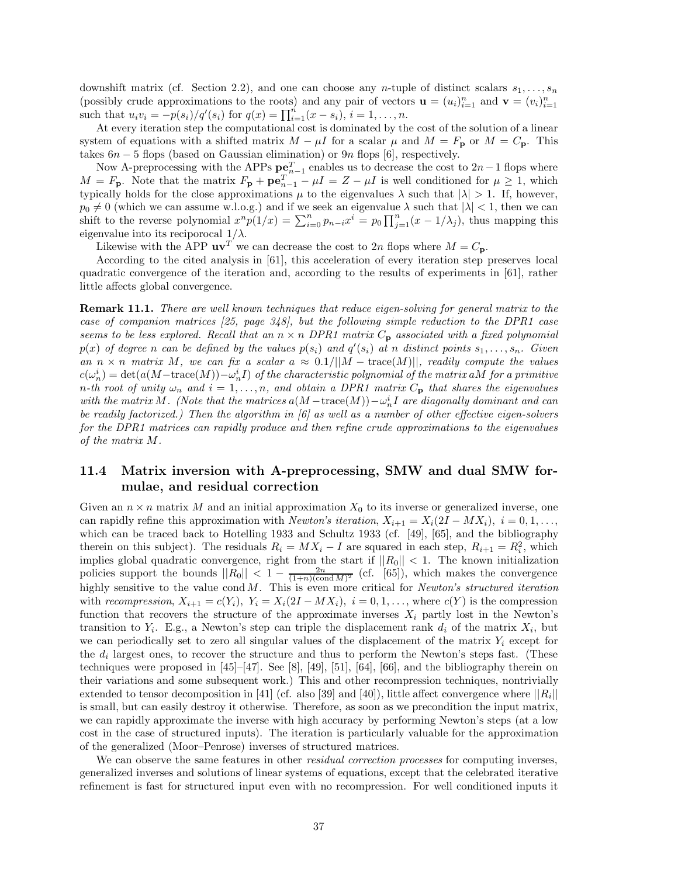downshift matrix (cf. Section 2.2), and one can choose any *n*-tuple of distinct scalars  $s_1, \ldots, s_n$ (possibly crude approximations to the roots) and any pair of vectors  $\mathbf{u} = (u_i)_{i=1}^n$  and  $\mathbf{v} = (v_i)_{i=1}^n$ such that  $u_i v_i = -p(s_i)/q'(s_i)$  for  $q(x) = \prod_{i=1}^n (x - s_i), i = 1, ..., n$ .

At every iteration step the computational cost is dominated by the cost of the solution of a linear system of equations with a shifted matrix  $M - \mu I$  for a scalar  $\mu$  and  $M = F_p$  or  $M = C_p$ . This takes  $6n-5$  flops (based on Gaussian elimination) or  $9n$  flops [6], respectively.

Now A-preprocessing with the APPs  $\mathbf{p} \in \mathbb{R}^{T}_{n-1}$  enables us to decrease the cost to 2n−1 flops where  $M = F_p$ . Note that the matrix  $F_p + \mathbf{p} \mathbf{e}_{n-1}^T - \mu I = Z - \mu I$  is well conditioned for  $\mu \geq 1$ , which typically holds for the close approximations  $\mu$  to the eigenvalues  $\lambda$  such that  $|\lambda| > 1$ . If, however,  $p_0 \neq 0$  (which we can assume w.l.o.g.) and if we seek an eigenvalue  $\lambda$  such that  $|\lambda| < 1$ , then we can shift to the reverse polynomial  $x^n p(1/x) = \sum_{i=0}^n p_{n-i} x^i = p_0 \prod_{j=1}^n (x-1/\lambda_j)$ , thus mapping this eigenvalue into its reciporocal  $1/\lambda$ .

Likewise with the APP  $uv^T$  we can decrease the cost to 2n flops where  $M = C_p$ .

According to the cited analysis in [61], this acceleration of every iteration step preserves local quadratic convergence of the iteration and, according to the results of experiments in [61], rather little affects global convergence.

**Remark 11.1.** *There are well known techniques that reduce eigen-solving for general matrix to the case of companion matrices [25, page 348], but the following simple reduction to the DPR1 case seems to be less explored. Recall that an*  $n \times n$  *DPR1 matrix*  $C_p$  *associated with a fixed polynomial*  $p(x)$  *of degree* n *can be defined by the values*  $p(s_i)$  *and*  $q'(s_i)$  *at* n *distinct points*  $s_1, \ldots, s_n$ *. Given an*  $n \times n$  *matrix* M, we can fix a scalar  $a \approx 0.1/||M - \text{trace}(M)||$ , readily compute the values  $c(\omega_n^i)=\det(a(M-\mathrm{trace}(M))-\omega_n^iI)$  of the characteristic polynomial of the matrix a $M$  for a primitive *n*-th root of unity  $\omega_n$  and  $i = 1, \ldots, n$ , and obtain a DPR1 matrix  $C_p$  that shares the eigenvalues *with the matrix* M. (Note that the matrices  $a(M - \text{trace}(M)) - \omega_n^i I$  are diagonally dominant and can *be readily factorized.) Then the algorithm in [6] as well as a number of other effective eigen-solvers for the DPR1 matrices can rapidly produce and then refine crude approximations to the eigenvalues of the matrix* M*.*

## **11.4 Matrix inversion with A-preprocessing, SMW and dual SMW formulae, and residual correction**

Given an  $n \times n$  matrix M and an initial approximation  $X_0$  to its inverse or generalized inverse, one can rapidly refine this approximation with *Newton's iteration*,  $X_{i+1} = X_i(2I - MX_i)$ ,  $i = 0, 1, \ldots$ , which can be traced back to Hotelling 1933 and Schultz 1933 (cf. [49], [65], and the bibliography therein on this subject). The residuals  $R_i = MX_i - I$  are squared in each step,  $R_{i+1} = R_i^2$ , which implies global quadratic convergence, right from the start if  $||R_0|| < 1$ . The known initialization policies support the bounds  $||R_0|| < 1 - \frac{2n}{(1+n)(\text{cond }M)^2}$  (cf. [65]), which makes the convergence highly sensitive to the value cond M. This is even more critical for *Newton's structured iteration* with *recompression*,  $X_{i+1} = c(Y_i)$ ,  $Y_i = X_i(2I - MX_i)$ ,  $i = 0, 1, \ldots$ , where  $c(Y)$  is the compression function that recovers the structure of the approximate inverses  $X_i$  partly lost in the Newton's transition to  $Y_i$ . E.g., a Newton's step can triple the displacement rank  $d_i$  of the matrix  $X_i$ , but we can periodically set to zero all singular values of the displacement of the matrix  $Y_i$  except for the  $d_i$  largest ones, to recover the structure and thus to perform the Newton's steps fast. (These techniques were proposed in  $[45]$ – $[47]$ . See  $[8]$ ,  $[49]$ ,  $[51]$ ,  $[64]$ ,  $[66]$ , and the bibliography therein on their variations and some subsequent work.) This and other recompression techniques, nontrivially extended to tensor decomposition in [41] (cf. also [39] and [40]), little affect convergence where  $||R_i||$ is small, but can easily destroy it otherwise. Therefore, as soon as we precondition the input matrix, we can rapidly approximate the inverse with high accuracy by performing Newton's steps (at a low cost in the case of structured inputs). The iteration is particularly valuable for the approximation of the generalized (Moor–Penrose) inverses of structured matrices.

We can observe the same features in other *residual correction processes* for computing inverses, generalized inverses and solutions of linear systems of equations, except that the celebrated iterative refinement is fast for structured input even with no recompression. For well conditioned inputs it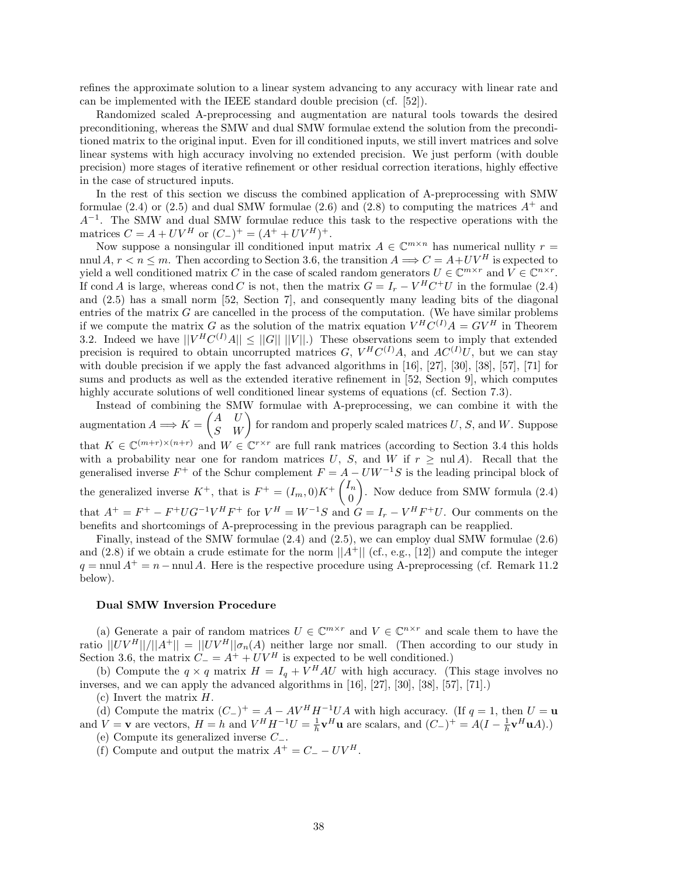refines the approximate solution to a linear system advancing to any accuracy with linear rate and can be implemented with the IEEE standard double precision (cf. [52]).

Randomized scaled A-preprocessing and augmentation are natural tools towards the desired preconditioning, whereas the SMW and dual SMW formulae extend the solution from the preconditioned matrix to the original input. Even for ill conditioned inputs, we still invert matrices and solve linear systems with high accuracy involving no extended precision. We just perform (with double precision) more stages of iterative refinement or other residual correction iterations, highly effective in the case of structured inputs.

In the rest of this section we discuss the combined application of A-preprocessing with SMW formulae  $(2.4)$  or  $(2.5)$  and dual SMW formulae  $(2.6)$  and  $(2.8)$  to computing the matrices  $A^+$  and  $A^{-1}$ . The SMW and dual SMW formulae reduce this task to the respective operations with the matrices  $C = A + UV^H$  or  $(C_{-})^+ = (A^+ + UV^H)^+$ .

Now suppose a nonsingular ill conditioned input matrix  $A \in \mathbb{C}^{m \times n}$  has numerical nullity  $r =$ nnul A,  $r < n \le m$ . Then according to Section 3.6, the transition  $A \Longrightarrow C = A + UV^H$  is expected to yield a well conditioned matrix C in the case of scaled random generators  $U \in \mathbb{C}^{m \times r}$  and  $V \in \mathbb{C}^{n \times r}$ . If cond A is large, whereas cond C is not, then the matrix  $G = I_r - V^H C^+ U$  in the formulae (2.4) and (2.5) has a small norm [52, Section 7], and consequently many leading bits of the diagonal entries of the matrix  $G$  are cancelled in the process of the computation. (We have similar problems if we compute the matrix G as the solution of the matrix equation  $V^H\overset{\circ}{C}{}^{(I)}A = GV^H$  in Theorem 3.2. Indeed we have  $||V^HC^{(I)}A|| \leq ||G|| ||V||$ .) These observations seem to imply that extended precision is required to obtain uncorrupted matrices G,  $V^H C^{(I)} A$ , and  $AC^{(I)} U$ , but we can stay with double precision if we apply the fast advanced algorithms in [16], [27], [30], [38], [57], [71] for sums and products as well as the extended iterative refinement in [52, Section 9], which computes highly accurate solutions of well conditioned linear systems of equations (cf. Section 7.3).

Instead of combining the SMW formulae with A-preprocessing, we can combine it with the augmentation  $A \Longrightarrow K = \begin{pmatrix} A & U \ S & W \end{pmatrix}$  for random and properly scaled matrices U, S, and W. Suppose that  $K \in \mathbb{C}^{(m+r)\times(n+r)}$  and  $W \in \mathbb{C}^{r\times r}$  are full rank matrices (according to Section 3.4 this holds with a probability near one for random matrices U, S, and W if  $r \geq \text{null } A$ ). Recall that the generalised inverse  $F^+$  of the Schur complement  $F = A - UW^{-1}S$  is the leading principal block of the generalized inverse  $K^+$ , that is  $F^+ = (I_m, 0)K^+\begin{pmatrix} I_m \\ 0 \end{pmatrix}$ 0 - . Now deduce from SMW formula (2.4) that  $A^+ = F^+ - F^+ U G^{-1} V^H F^+$  for  $V^H = W^{-1} S$  and  $G = I_r - V^H F^+ U$ . Our comments on the benefits and shortcomings of A-preprocessing in the previous paragraph can be reapplied.

Finally, instead of the SMW formulae (2.4) and (2.5), we can employ dual SMW formulae (2.6) and (2.8) if we obtain a crude estimate for the norm  $||A^+||$  (cf., e.g., [12]) and compute the integer  $q = \text{null } A^+ = n - \text{null } A$ . Here is the respective procedure using A-preprocessing (cf. Remark 11.2) below).

#### **Dual SMW Inversion Procedure**

(a) Generate a pair of random matrices  $U \in \mathbb{C}^{m \times r}$  and  $V \in \mathbb{C}^{n \times r}$  and scale them to have the ratio  $||UV^H||/||A^+|| = ||UV^H||\sigma_n(A)$  neither large nor small. (Then according to our study in Section 3.6, the matrix  $C = A^+ + UV^H$  is expected to be well conditioned.)

(b) Compute the  $q \times q$  matrix  $H = I_q + V^H A U$  with high accuracy. (This stage involves no inverses, and we can apply the advanced algorithms in [16], [27], [30], [38], [57], [71].)

(c) Invert the matrix H.

(d) Compute the matrix  $(C_{-})^{+} = A - AV^{H}H^{-1}UA$  with high accuracy. (If  $q = 1$ , then  $U = u$ and  $V = \mathbf{v}$  are vectors,  $H = h$  and  $V^H H^{-1} U = \frac{1}{h} \mathbf{v}^H \mathbf{u}$  are scalars, and  $(C_-)^+ = A(I - \frac{1}{h} \mathbf{v}^H \mathbf{u} A)$ .)

(e) Compute its generalized inverse C−.

(f) Compute and output the matrix  $A^+ = C_- - UV^H$ .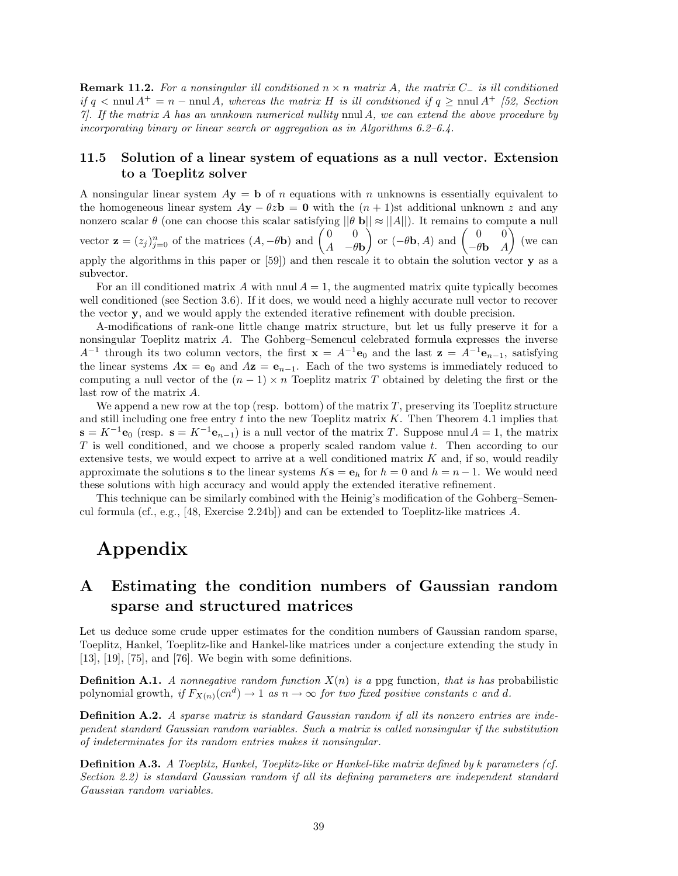**Remark 11.2.** *For a nonsingular ill conditioned* n × n *matrix* A*, the matrix* C<sup>−</sup> *is ill conditioned if*  $q < \text{nnul } A^+ = n - \text{nnul } A$ , whereas the matrix H is ill conditioned if  $q \geq \text{nnul } A^+$  [52, Section *7]. If the matrix* A *has an unnkown numerical nullity* nnul A*, we can extend the above procedure by incorporating binary or linear search or aggregation as in Algorithms 6.2–6.4.*

### **11.5 Solution of a linear system of equations as a null vector. Extension to a Toeplitz solver**

A nonsingular linear system  $Ay = b$  of n equations with n unknowns is essentially equivalent to the homogeneous linear system  $Ay - \theta z = 0$  with the  $(n + 1)$ st additional unknown z and any nonzero scalar  $\theta$  (one can choose this scalar satisfying  $||\theta \mathbf{b}|| \approx ||A||$ ). It remains to compute a null vector **z** =  $(z_j)_{j=0}^n$  of the matrices  $(A, -\theta \mathbf{b})$  and  $\begin{pmatrix} 0 & 0 \\ A & -\theta \mathbf{b} \end{pmatrix}$  $\left(\begin{matrix} 0 & 0 \\ -\theta \mathbf{b} & A \end{matrix}\right)$  and  $\left(\begin{matrix} 0 & 0 \\ -\theta \mathbf{b} & A \end{matrix}\right)$  $\Big)$  (we can apply the algorithms in this paper or [59]) and then rescale it to obtain the solution vector **y** as a subvector.

For an ill conditioned matrix A with nnul  $A = 1$ , the augmented matrix quite typically becomes well conditioned (see Section 3.6). If it does, we would need a highly accurate null vector to recover the vector **y**, and we would apply the extended iterative refinement with double precision.

A-modifications of rank-one little change matrix structure, but let us fully preserve it for a nonsingular Toeplitz matrix A. The Gohberg–Semencul celebrated formula expresses the inverse  $A^{-1}$  through its two column vectors, the first  $\mathbf{x} = A^{-1}\mathbf{e}_0$  and the last  $\mathbf{z} = A^{-1}\mathbf{e}_{n-1}$ , satisfying the linear systems  $A$ **x** = **e**<sub>0</sub> and  $A$ **z** = **e**<sub>n−1</sub>. Each of the two systems is immediately reduced to computing a null vector of the  $(n - 1) \times n$  Toeplitz matrix T obtained by deleting the first or the last row of the matrix A.

We append a new row at the top (resp. bottom) of the matrix  $T$ , preserving its Toeplitz structure and still including one free entry  $t$  into the new Toeplitz matrix  $K$ . Then Theorem 4.1 implies that  $\mathbf{s} = K^{-1}\mathbf{e}_0$  (resp.  $\mathbf{s} = K^{-1}\mathbf{e}_{n-1}$ ) is a null vector of the matrix T. Suppose nnul  $A = 1$ , the matrix T is well conditioned, and we choose a properly scaled random value t. Then according to our extensive tests, we would expect to arrive at a well conditioned matrix  $K$  and, if so, would readily approximate the solutions **s** to the linear systems  $K$ **s** = **e**<sub>h</sub> for  $h = 0$  and  $h = n - 1$ . We would need these solutions with high accuracy and would apply the extended iterative refinement.

This technique can be similarly combined with the Heinig's modification of the Gohberg–Semencul formula (cf., e.g., [48, Exercise 2.24b]) and can be extended to Toeplitz-like matrices A.

## **Appendix**

## **A Estimating the condition numbers of Gaussian random sparse and structured matrices**

Let us deduce some crude upper estimates for the condition numbers of Gaussian random sparse, Toeplitz, Hankel, Toeplitz-like and Hankel-like matrices under a conjecture extending the study in  $[13]$ ,  $[19]$ ,  $[75]$ , and  $[76]$ . We begin with some definitions.

**Definition A.1.** *A nonnegative random function*  $X(n)$  *is a* ppg function, that is has probabilistic polynomial growth, if  $F_{X(n)}(cn^d) \to 1$  *as*  $n \to \infty$  *for two fixed positive constants* c and d.

**Definition A.2.** *A sparse matrix is standard Gaussian random if all its nonzero entries are independent standard Gaussian random variables. Such a matrix is called nonsingular if the substitution of indeterminates for its random entries makes it nonsingular.*

**Definition A.3.** *A Toeplitz, Hankel, Toeplitz-like or Hankel-like matrix defined by* k *parameters (cf. Section 2.2) is standard Gaussian random if all its defining parameters are independent standard Gaussian random variables.*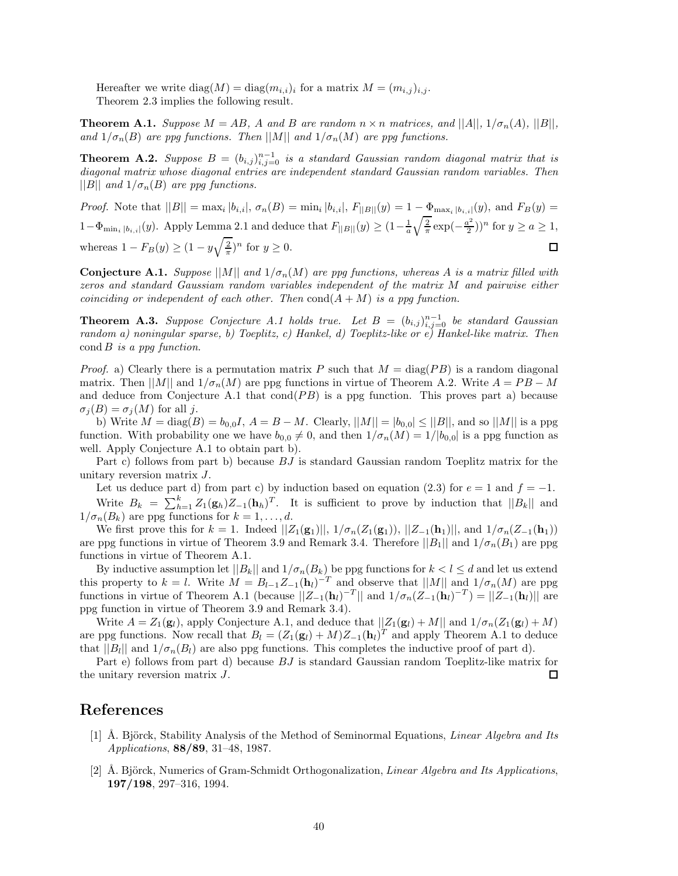Hereafter we write  $diag(M) = diag(m_{i,i})$  for a matrix  $M = (m_{i,j})_{i,j}$ . Theorem 2.3 implies the following result.

**Theorem A.1.** *Suppose*  $M = AB$ *,* A and B are random  $n \times n$  matrices, and  $||A||$ ,  $1/\sigma_n(A)$ ,  $||B||$ , *and*  $1/\sigma_n(B)$  *are ppg functions. Then* ||M|| *and*  $1/\sigma_n(M)$  *are ppg functions.* 

**Theorem A.2.** Suppose  $B = (b_{i,j})_{i,j=0}^{n-1}$  is a standard Gaussian random diagonal matrix that is *diagonal matrix whose diagonal entries are independent standard Gaussian random variables. Then*  $||B||$  *and*  $1/\sigma_n(B)$  *are ppg functions.* 

*Proof.* Note that  $||B|| = \max_i |b_{i,i}|$ ,  $\sigma_n(B) = \min_i |b_{i,i}|$ ,  $F_{||B||}(y) = 1 - \Phi_{\max_i |b_{i,i}|}(y)$ , and  $F_B(y) =$  $1-\Phi_{\min_i|b_{i,i}|}(y)$ . Apply Lemma 2.1 and deduce that  $F_{||B||}(y) \geq (1-\frac{1}{a}\sqrt{\frac{2}{\pi}}\exp(-\frac{a^2}{2}))^n$  for  $y \geq a \geq 1$ , whereas  $1 - F_B(y) \ge (1 - y\sqrt{\frac{2}{\pi}})^n$  for  $y \ge 0$ . 口

**Conjecture A.1.** *Suppose*  $||M||$  *and*  $1/\sigma_n(M)$  *are ppg functions, whereas* A *is a matrix filled with zeros and standard Gaussiam random variables independent of the matrix* M *and pairwise either coinciding or independent of each other. Then*  $cond(A + M)$  *is a ppg function.* 

**Theorem A.3.** Suppose Conjecture A.1 holds true. Let  $B = (b_{i,j})_{i,j=0}^{n-1}$  be standard Gaussian *random a) noningular sparse, b) Toeplitz, c) Hankel, d) Toeplitz-like or e) Hankel-like matrix. Then* cond B *is a ppg function.*

*Proof.* a) Clearly there is a permutation matrix P such that  $M = \text{diag}(PB)$  is a random diagonal matrix. Then  $||M||$  and  $1/\sigma_n(M)$  are ppg functions in virtue of Theorem A.2. Write  $A = PB - M$ and deduce from Conjecture A.1 that  $cond(PB)$  is a ppg function. This proves part a) because  $\sigma_i(B) = \sigma_i(M)$  for all j.

b) Write  $M = \text{diag}(B) = b_{0,0}I$ ,  $A = B - M$ . Clearly,  $||M|| = |b_{0,0}| \le ||B||$ , and so  $||M||$  is a ppg function. With probability one we have  $b_{0,0} \neq 0$ , and then  $1/\sigma_n(M)=1/|b_{0,0}|$  is a ppg function as well. Apply Conjecture A.1 to obtain part b).

Part c) follows from part b) because BJ is standard Gaussian random Toeplitz matrix for the unitary reversion matrix J.

Let us deduce part d) from part c) by induction based on equation (2.3) for  $e = 1$  and  $f = -1$ . Write  $B_k = \sum_{h=1}^k Z_1(\mathbf{g}_h)Z_{-1}(\mathbf{h}_h)^T$ . It is sufficient to prove by induction that  $||B_k||$  and  $1/\sigma_n(B_k)$  are ppg functions for  $k = 1, \ldots, d$ .

We first prove this for  $k = 1$ . Indeed  $||Z_1(\mathbf{g}_1)||$ ,  $1/\sigma_n(Z_1(\mathbf{g}_1))$ ,  $||Z_{-1}(\mathbf{h}_1)||$ , and  $1/\sigma_n(Z_{-1}(\mathbf{h}_1))$ are ppg functions in virtue of Theorem 3.9 and Remark 3.4. Therefore  $||B_1||$  and  $1/\sigma_n(B_1)$  are ppg functions in virtue of Theorem A.1.

By inductive assumption let  $||B_k||$  and  $1/\sigma_n(B_k)$  be ppg functions for  $k < l \leq d$  and let us extend this property to  $k = l$ . Write  $M = B_{l-1}Z_{-1}(\mathbf{h}_l)^{-T}$  and observe that  $||M||$  and  $1/\sigma_n(M)$  are ppg functions in virtue of Theorem A.1 (because  $||Z_{-1}(\mathbf{h}_l)^{-T}||$  and  $1/\sigma_n(Z_{-1}(\mathbf{h}_l)^{-T}) = ||Z_{-1}(\mathbf{h}_l)||$  are ppg function in virtue of Theorem 3.9 and Remark 3.4).

Write  $A = Z_1(\mathbf{g}_l)$ , apply Conjecture A.1, and deduce that  $||Z_1(\mathbf{g}_l) + M||$  and  $1/\sigma_n(Z_1(\mathbf{g}_l) + M)$ are ppg functions. Now recall that  $B_l = (Z_1(\mathbf{g}_l) + M)Z_{-1}(\mathbf{h}_l)^T$  and apply Theorem A.1 to deduce that  $||B_l||$  and  $1/\sigma_n(B_l)$  are also ppg functions. This completes the inductive proof of part d).

Part e) follows from part d) because BJ is standard Gaussian random Toeplitz-like matrix for the unitary reversion matrix J. 口

## **References**

- [1] Å. Björck, Stability Analysis of the Method of Seminormal Equations, *Linear Algebra and Its Applications*, **88/89**, 31–48, 1987.
- [2] A. Björck, Numerics of Gram-Schmidt Orthogonalization, *Linear Algebra and Its Applications*, **197/198**, 297–316, 1994.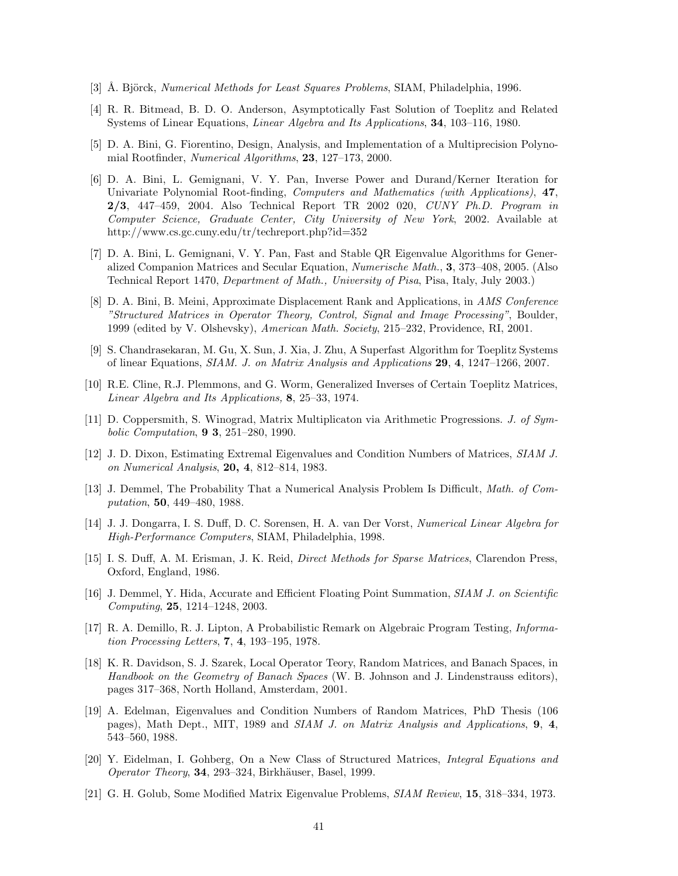- [3] Å. Björck, *Numerical Methods for Least Squares Problems*, SIAM, Philadelphia, 1996.
- [4] R. R. Bitmead, B. D. O. Anderson, Asymptotically Fast Solution of Toeplitz and Related Systems of Linear Equations, *Linear Algebra and Its Applications*, **34**, 103–116, 1980.
- [5] D. A. Bini, G. Fiorentino, Design, Analysis, and Implementation of a Multiprecision Polynomial Rootfinder, *Numerical Algorithms*, **23**, 127–173, 2000.
- [6] D. A. Bini, L. Gemignani, V. Y. Pan, Inverse Power and Durand/Kerner Iteration for Univariate Polynomial Root-finding, *Computers and Mathematics (with Applications)*, **47**, **2/3**, 447–459, 2004. Also Technical Report TR 2002 020, *CUNY Ph.D. Program in Computer Science, Graduate Center, City University of New York*, 2002. Available at http://www.cs.gc.cuny.edu/tr/techreport.php?id=352
- [7] D. A. Bini, L. Gemignani, V. Y. Pan, Fast and Stable QR Eigenvalue Algorithms for Generalized Companion Matrices and Secular Equation, *Numerische Math.*, **3**, 373–408, 2005. (Also Technical Report 1470, *Department of Math., University of Pisa*, Pisa, Italy, July 2003.)
- [8] D. A. Bini, B. Meini, Approximate Displacement Rank and Applications, in *AMS Conference "Structured Matrices in Operator Theory, Control, Signal and Image Processing"*, Boulder, 1999 (edited by V. Olshevsky), *American Math. Society*, 215–232, Providence, RI, 2001.
- [9] S. Chandrasekaran, M. Gu, X. Sun, J. Xia, J. Zhu, A Superfast Algorithm for Toeplitz Systems of linear Equations, *SIAM. J. on Matrix Analysis and Applications* **29**, **4**, 1247–1266, 2007.
- [10] R.E. Cline, R.J. Plemmons, and G. Worm, Generalized Inverses of Certain Toeplitz Matrices, *Linear Algebra and Its Applications,* **8**, 25–33, 1974.
- [11] D. Coppersmith, S. Winograd, Matrix Multiplicaton via Arithmetic Progressions. *J. of Symbolic Computation*, **9 3**, 251–280, 1990.
- [12] J. D. Dixon, Estimating Extremal Eigenvalues and Condition Numbers of Matrices, *SIAM J. on Numerical Analysis*, **20, 4**, 812–814, 1983.
- [13] J. Demmel, The Probability That a Numerical Analysis Problem Is Difficult, *Math. of Computation*, **50**, 449–480, 1988.
- [14] J. J. Dongarra, I. S. Duff, D. C. Sorensen, H. A. van Der Vorst, *Numerical Linear Algebra for High-Performance Computers*, SIAM, Philadelphia, 1998.
- [15] I. S. Duff, A. M. Erisman, J. K. Reid, *Direct Methods for Sparse Matrices*, Clarendon Press, Oxford, England, 1986.
- [16] J. Demmel, Y. Hida, Accurate and Efficient Floating Point Summation, *SIAM J. on Scientific Computing*, **25**, 1214–1248, 2003.
- [17] R. A. Demillo, R. J. Lipton, A Probabilistic Remark on Algebraic Program Testing, *Information Processing Letters*, **7**, **4**, 193–195, 1978.
- [18] K. R. Davidson, S. J. Szarek, Local Operator Teory, Random Matrices, and Banach Spaces, in *Handbook on the Geometry of Banach Spaces* (W. B. Johnson and J. Lindenstrauss editors), pages 317–368, North Holland, Amsterdam, 2001.
- [19] A. Edelman, Eigenvalues and Condition Numbers of Random Matrices, PhD Thesis (106 pages), Math Dept., MIT, 1989 and *SIAM J. on Matrix Analysis and Applications*, **9**, **4**, 543–560, 1988.
- [20] Y. Eidelman, I. Gohberg, On a New Class of Structured Matrices, *Integral Equations and Operator Theory*, 34, 293–324, Birkhäuser, Basel, 1999.
- [21] G. H. Golub, Some Modified Matrix Eigenvalue Problems, *SIAM Review*, **15**, 318–334, 1973.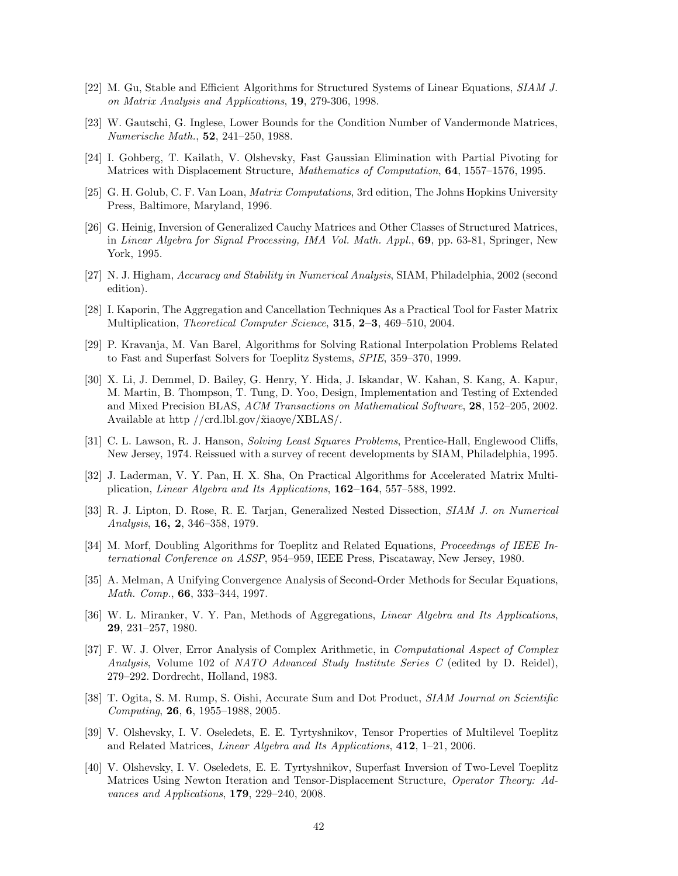- [22] M. Gu, Stable and Efficient Algorithms for Structured Systems of Linear Equations, *SIAM J. on Matrix Analysis and Applications*, **19**, 279-306, 1998.
- [23] W. Gautschi, G. Inglese, Lower Bounds for the Condition Number of Vandermonde Matrices, *Numerische Math.*, **52**, 241–250, 1988.
- [24] I. Gohberg, T. Kailath, V. Olshevsky, Fast Gaussian Elimination with Partial Pivoting for Matrices with Displacement Structure, *Mathematics of Computation*, **64**, 1557–1576, 1995.
- [25] G. H. Golub, C. F. Van Loan, *Matrix Computations*, 3rd edition, The Johns Hopkins University Press, Baltimore, Maryland, 1996.
- [26] G. Heinig, Inversion of Generalized Cauchy Matrices and Other Classes of Structured Matrices, in *Linear Algebra for Signal Processing, IMA Vol. Math. Appl.*, **69**, pp. 63-81, Springer, New York, 1995.
- [27] N. J. Higham, *Accuracy and Stability in Numerical Analysis*, SIAM, Philadelphia, 2002 (second edition).
- [28] I. Kaporin, The Aggregation and Cancellation Techniques As a Practical Tool for Faster Matrix Multiplication, *Theoretical Computer Science*, **315**, **2–3**, 469–510, 2004.
- [29] P. Kravanja, M. Van Barel, Algorithms for Solving Rational Interpolation Problems Related to Fast and Superfast Solvers for Toeplitz Systems, *SPIE*, 359–370, 1999.
- [30] X. Li, J. Demmel, D. Bailey, G. Henry, Y. Hida, J. Iskandar, W. Kahan, S. Kang, A. Kapur, M. Martin, B. Thompson, T. Tung, D. Yoo, Design, Implementation and Testing of Extended and Mixed Precision BLAS, *ACM Transactions on Mathematical Software*, **28**, 152–205, 2002. Available at http //crd.lbl.gov/ $\tilde{\text{xi}}$ iaoye/XBLAS/.
- [31] C. L. Lawson, R. J. Hanson, *Solving Least Squares Problems*, Prentice-Hall, Englewood Cliffs, New Jersey, 1974. Reissued with a survey of recent developments by SIAM, Philadelphia, 1995.
- [32] J. Laderman, V. Y. Pan, H. X. Sha, On Practical Algorithms for Accelerated Matrix Multiplication, *Linear Algebra and Its Applications*, **162–164**, 557–588, 1992.
- [33] R. J. Lipton, D. Rose, R. E. Tarjan, Generalized Nested Dissection, *SIAM J. on Numerical Analysis*, **16, 2**, 346–358, 1979.
- [34] M. Morf, Doubling Algorithms for Toeplitz and Related Equations, *Proceedings of IEEE International Conference on ASSP*, 954–959, IEEE Press, Piscataway, New Jersey, 1980.
- [35] A. Melman, A Unifying Convergence Analysis of Second-Order Methods for Secular Equations, *Math. Comp.*, **66**, 333–344, 1997.
- [36] W. L. Miranker, V. Y. Pan, Methods of Aggregations, *Linear Algebra and Its Applications*, **29**, 231–257, 1980.
- [37] F. W. J. Olver, Error Analysis of Complex Arithmetic, in *Computational Aspect of Complex Analysis*, Volume 102 of *NATO Advanced Study Institute Series C* (edited by D. Reidel), 279–292. Dordrecht, Holland, 1983.
- [38] T. Ogita, S. M. Rump, S. Oishi, Accurate Sum and Dot Product, *SIAM Journal on Scientific Computing*, **26**, **6**, 1955–1988, 2005.
- [39] V. Olshevsky, I. V. Oseledets, E. E. Tyrtyshnikov, Tensor Properties of Multilevel Toeplitz and Related Matrices, *Linear Algebra and Its Applications*, **412**, 1–21, 2006.
- [40] V. Olshevsky, I. V. Oseledets, E. E. Tyrtyshnikov, Superfast Inversion of Two-Level Toeplitz Matrices Using Newton Iteration and Tensor-Displacement Structure, *Operator Theory: Advances and Applications*, **179**, 229–240, 2008.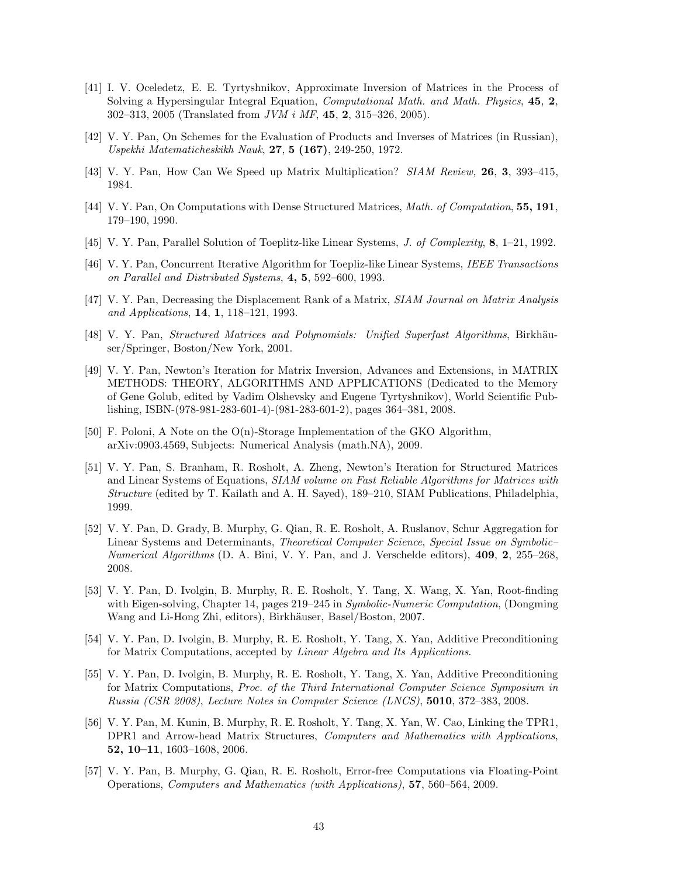- [41] I. V. Oceledetz, E. E. Tyrtyshnikov, Approximate Inversion of Matrices in the Process of Solving a Hypersingular Integral Equation, *Computational Math. and Math. Physics*, **45**, **2**, 302–313, 2005 (Translated from *JVM i MF*, **45**, **2**, 315–326, 2005).
- [42] V. Y. Pan, On Schemes for the Evaluation of Products and Inverses of Matrices (in Russian), *Uspekhi Matematicheskikh Nauk*, **27**, **5 (167)**, 249-250, 1972.
- [43] V. Y. Pan, How Can We Speed up Matrix Multiplication? *SIAM Review,* **26**, **3**, 393–415, 1984.
- [44] V. Y. Pan, On Computations with Dense Structured Matrices, *Math. of Computation*, **55, 191**, 179–190, 1990.
- [45] V. Y. Pan, Parallel Solution of Toeplitz-like Linear Systems, *J. of Complexity*, **8**, 1–21, 1992.
- [46] V. Y. Pan, Concurrent Iterative Algorithm for Toepliz-like Linear Systems, *IEEE Transactions on Parallel and Distributed Systems*, **4, 5**, 592–600, 1993.
- [47] V. Y. Pan, Decreasing the Displacement Rank of a Matrix, *SIAM Journal on Matrix Analysis and Applications*, **14**, **1**, 118–121, 1993.
- [48] V. Y. Pan, *Structured Matrices and Polynomials: Unified Superfast Algorithms*, Birkhäuser/Springer, Boston/New York, 2001.
- [49] V. Y. Pan, Newton's Iteration for Matrix Inversion, Advances and Extensions, in MATRIX METHODS: THEORY, ALGORITHMS AND APPLICATIONS (Dedicated to the Memory of Gene Golub, edited by Vadim Olshevsky and Eugene Tyrtyshnikov), World Scientific Publishing, ISBN-(978-981-283-601-4)-(981-283-601-2), pages 364–381, 2008.
- [50] F. Poloni, A Note on the O(n)-Storage Implementation of the GKO Algorithm, arXiv:0903.4569, Subjects: Numerical Analysis (math.NA), 2009.
- [51] V. Y. Pan, S. Branham, R. Rosholt, A. Zheng, Newton's Iteration for Structured Matrices and Linear Systems of Equations, *SIAM volume on Fast Reliable Algorithms for Matrices with Structure* (edited by T. Kailath and A. H. Sayed), 189–210, SIAM Publications, Philadelphia, 1999.
- [52] V. Y. Pan, D. Grady, B. Murphy, G. Qian, R. E. Rosholt, A. Ruslanov, Schur Aggregation for Linear Systems and Determinants, *Theoretical Computer Science*, *Special Issue on Symbolic– Numerical Algorithms* (D. A. Bini, V. Y. Pan, and J. Verschelde editors), **409**, **2**, 255–268, 2008.
- [53] V. Y. Pan, D. Ivolgin, B. Murphy, R. E. Rosholt, Y. Tang, X. Wang, X. Yan, Root-finding with Eigen-solving, Chapter 14, pages 219–245 in *Symbolic-Numeric Computation*, (Dongming Wang and Li-Hong Zhi, editors), Birkhäuser, Basel/Boston, 2007.
- [54] V. Y. Pan, D. Ivolgin, B. Murphy, R. E. Rosholt, Y. Tang, X. Yan, Additive Preconditioning for Matrix Computations, accepted by *Linear Algebra and Its Applications*.
- [55] V. Y. Pan, D. Ivolgin, B. Murphy, R. E. Rosholt, Y. Tang, X. Yan, Additive Preconditioning for Matrix Computations, *Proc. of the Third International Computer Science Symposium in Russia (CSR 2008)*, *Lecture Notes in Computer Science (LNCS)*, **5010**, 372–383, 2008.
- [56] V. Y. Pan, M. Kunin, B. Murphy, R. E. Rosholt, Y. Tang, X. Yan, W. Cao, Linking the TPR1, DPR1 and Arrow-head Matrix Structures, *Computers and Mathematics with Applications*, **52, 10–11**, 1603–1608, 2006.
- [57] V. Y. Pan, B. Murphy, G. Qian, R. E. Rosholt, Error-free Computations via Floating-Point Operations, *Computers and Mathematics (with Applications)*, **57**, 560–564, 2009.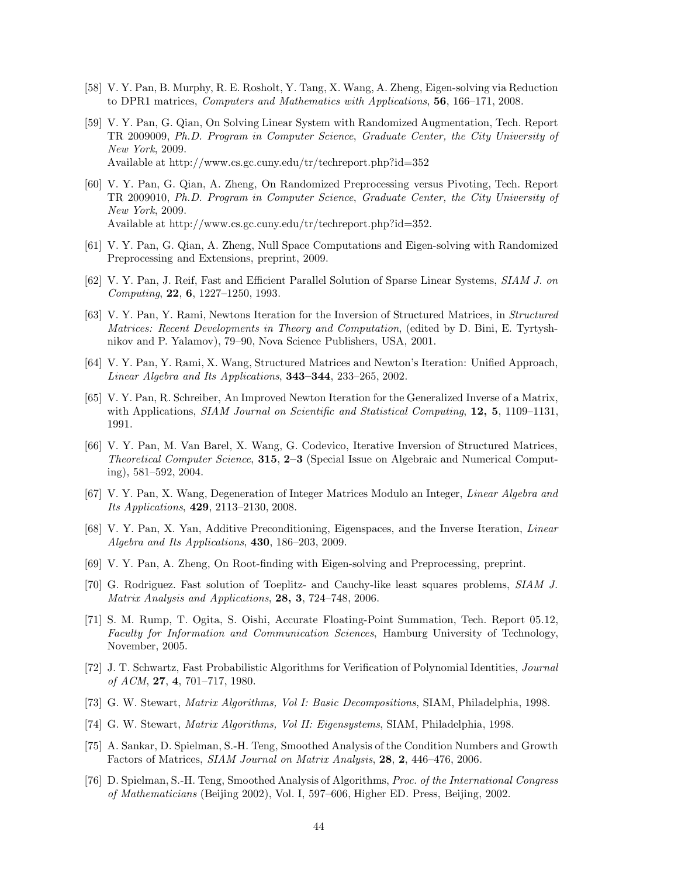- [58] V. Y. Pan, B. Murphy, R. E. Rosholt, Y. Tang, X. Wang, A. Zheng, Eigen-solving via Reduction to DPR1 matrices, *Computers and Mathematics with Applications*, **56**, 166–171, 2008.
- [59] V. Y. Pan, G. Qian, On Solving Linear System with Randomized Augmentation, Tech. Report TR 2009009, *Ph.D. Program in Computer Science*, *Graduate Center, the City University of New York*, 2009. Available at http://www.cs.gc.cuny.edu/tr/techreport.php?id=352
- [60] V. Y. Pan, G. Qian, A. Zheng, On Randomized Preprocessing versus Pivoting, Tech. Report TR 2009010, *Ph.D. Program in Computer Science*, *Graduate Center, the City University of New York*, 2009. Available at http://www.cs.gc.cuny.edu/tr/techreport.php?id=352.
- [61] V. Y. Pan, G. Qian, A. Zheng, Null Space Computations and Eigen-solving with Randomized Preprocessing and Extensions, preprint, 2009.
- [62] V. Y. Pan, J. Reif, Fast and Efficient Parallel Solution of Sparse Linear Systems, *SIAM J. on Computing*, **22**, **6**, 1227–1250, 1993.
- [63] V. Y. Pan, Y. Rami, Newtons Iteration for the Inversion of Structured Matrices, in *Structured Matrices: Recent Developments in Theory and Computation*, (edited by D. Bini, E. Tyrtyshnikov and P. Yalamov), 79–90, Nova Science Publishers, USA, 2001.
- [64] V. Y. Pan, Y. Rami, X. Wang, Structured Matrices and Newton's Iteration: Unified Approach, *Linear Algebra and Its Applications*, **343–344**, 233–265, 2002.
- [65] V. Y. Pan, R. Schreiber, An Improved Newton Iteration for the Generalized Inverse of a Matrix, with Applications, *SIAM Journal on Scientific and Statistical Computing*, **12, 5**, 1109–1131, 1991.
- [66] V. Y. Pan, M. Van Barel, X. Wang, G. Codevico, Iterative Inversion of Structured Matrices, *Theoretical Computer Science*, **315**, **2–3** (Special Issue on Algebraic and Numerical Computing), 581–592, 2004.
- [67] V. Y. Pan, X. Wang, Degeneration of Integer Matrices Modulo an Integer, *Linear Algebra and Its Applications*, **429**, 2113–2130, 2008.
- [68] V. Y. Pan, X. Yan, Additive Preconditioning, Eigenspaces, and the Inverse Iteration, *Linear Algebra and Its Applications*, **430**, 186–203, 2009.
- [69] V. Y. Pan, A. Zheng, On Root-finding with Eigen-solving and Preprocessing, preprint.
- [70] G. Rodriguez. Fast solution of Toeplitz- and Cauchy-like least squares problems, *SIAM J. Matrix Analysis and Applications*, **28, 3**, 724–748, 2006.
- [71] S. M. Rump, T. Ogita, S. Oishi, Accurate Floating-Point Summation, Tech. Report 05.12, *Faculty for Information and Communication Sciences*, Hamburg University of Technology, November, 2005.
- [72] J. T. Schwartz, Fast Probabilistic Algorithms for Verification of Polynomial Identities, *Journal of ACM*, **27**, **4**, 701–717, 1980.
- [73] G. W. Stewart, *Matrix Algorithms, Vol I: Basic Decompositions*, SIAM, Philadelphia, 1998.
- [74] G. W. Stewart, *Matrix Algorithms, Vol II: Eigensystems*, SIAM, Philadelphia, 1998.
- [75] A. Sankar, D. Spielman, S.-H. Teng, Smoothed Analysis of the Condition Numbers and Growth Factors of Matrices, *SIAM Journal on Matrix Analysis*, **28**, **2**, 446–476, 2006.
- [76] D. Spielman, S.-H. Teng, Smoothed Analysis of Algorithms, *Proc. of the International Congress of Mathematicians* (Beijing 2002), Vol. I, 597–606, Higher ED. Press, Beijing, 2002.